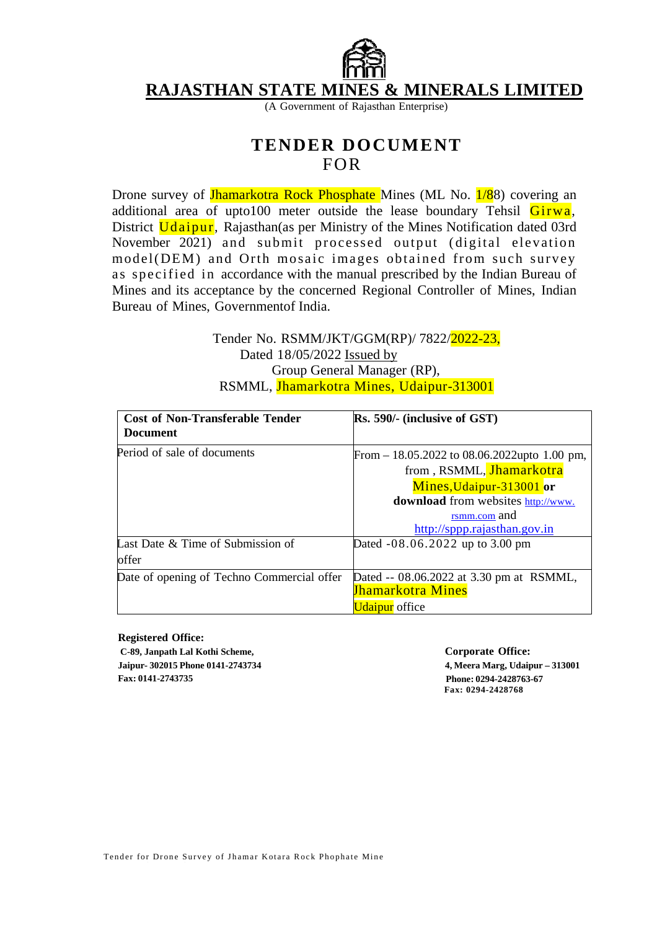

# **RAJASTHAN STATE MINES & MINERALS LIMITED**

(A Government of Rajasthan Enterprise)

# **TENDER DOCUMENT** FOR

Drone survey of **Jhamarkotra Rock Phosphate** Mines (ML No. 1/88) covering an additional area of upto100 meter outside the lease boundary Tehsil  $Girwa$ , District Udaipur, Rajasthan(as per Ministry of the Mines Notification dated 03rd November 2021) and submit processed output (digital elevation model(DEM) and Orth mosaic images obtained from such survey as specified in accordance with the manual prescribed by the Indian Bureau of Mines and its acceptance by the concerned Regional Controller of Mines, Indian Bureau of Mines, Government of India.

> Tender No. RSMM/JKT/GGM(RP)/ 7822/2022-23, Dated 18/05/2022 Issued by Group General Manager (RP), RSMML, Jhamarkotra Mines, Udaipur-313001

| <b>Cost of Non-Transferable Tender</b>     | Rs. 590/- (inclusive of GST)                  |
|--------------------------------------------|-----------------------------------------------|
| <b>Document</b>                            |                                               |
| Period of sale of documents                | From $-18.05.2022$ to 08.06.2022upto 1.00 pm, |
|                                            | from, RSMML, Jhamarkotra                      |
|                                            | Mines, Udaipur-313001 or                      |
|                                            | download from websites http://www.            |
|                                            | rsmm.com and                                  |
|                                            | http://sppp.rajasthan.gov.in                  |
| Last Date $&$ Time of Submission of        | Dated $-08.06.2022$ up to 3.00 pm             |
| offer                                      |                                               |
| Date of opening of Techno Commercial offer | Dated -- 08.06.2022 at 3.30 pm at RSMML,      |
|                                            | <u>Jhamarkotra Mines</u>                      |
|                                            | Udaipur office                                |

**Registered Office: C-89, Janpath Lal Kothi Scheme, Jaipur- 302015 Phone 0141-2743734 Fax: 0141-2743735**

 **Corporate Office: 4, Meera Marg, Udaipur – 313001 Phone: 0294-2428763-67 Fax: 0294-2428768**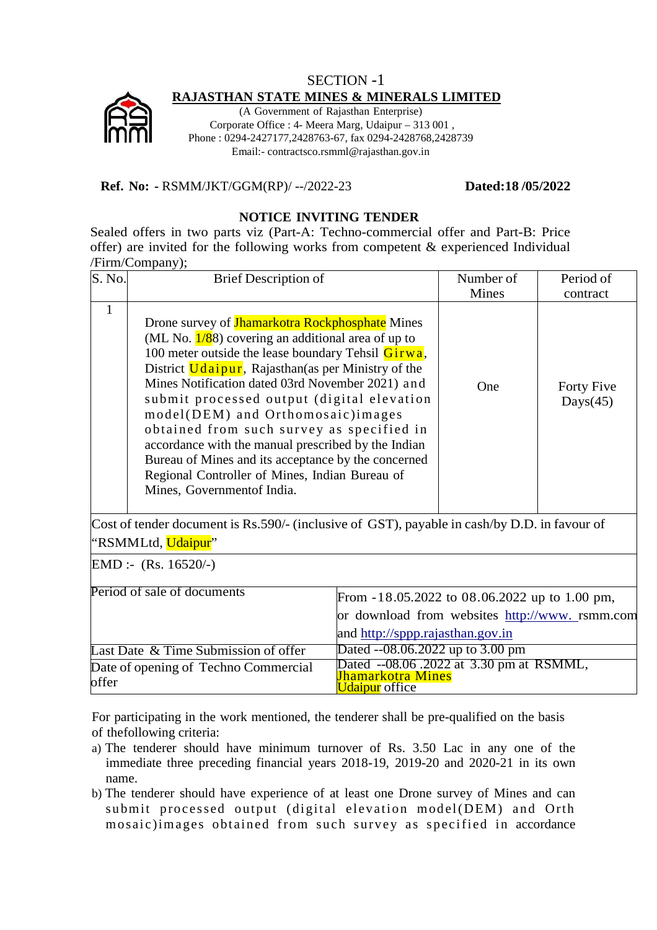# SECTION -1 **RAJASTHAN STATE MINES & MINERALS LIMITED**



(A Government of Rajasthan Enterprise) Corporate Office : 4- Meera Marg, Udaipur – 313 001 , Phone : 0294-2427177,2428763-67, fax 0294-2428768,2428739 Email:- contractsco.rsmml@rajasthan.gov.in

#### **Ref. No: -** RSMM/JKT/GGM(RP)/ --/2022-23 **Dated:18 /05/2022**

# **NOTICE INVITING TENDER**

Sealed offers in two parts viz (Part-A: Techno-commercial offer and Part-B: Price offer) are invited for the following works from competent & experienced Individual /Firm/Company);

| S. No.       | <b>Brief Description of</b>                                                                                                                                                                                                                                                                                                                                                                                                                                                                                                                                                                                       |                                                                                                    | Number of | Period of                 |
|--------------|-------------------------------------------------------------------------------------------------------------------------------------------------------------------------------------------------------------------------------------------------------------------------------------------------------------------------------------------------------------------------------------------------------------------------------------------------------------------------------------------------------------------------------------------------------------------------------------------------------------------|----------------------------------------------------------------------------------------------------|-----------|---------------------------|
|              |                                                                                                                                                                                                                                                                                                                                                                                                                                                                                                                                                                                                                   |                                                                                                    | Mines     | contract                  |
| $\mathbf{1}$ | Drone survey of <b>Jhamarkotra Rockphosphate</b> Mines<br>(ML No. $1/88$ ) covering an additional area of up to<br>100 meter outside the lease boundary Tehsil $Girwa$ ,<br>District Udaipur, Rajasthan(as per Ministry of the<br>Mines Notification dated 03rd November 2021) and<br>submit processed output (digital elevation<br>model(DEM) and Orthomosaic) images<br>obtained from such survey as specified in<br>accordance with the manual prescribed by the Indian<br>Bureau of Mines and its acceptance by the concerned<br>Regional Controller of Mines, Indian Bureau of<br>Mines, Governmentof India. |                                                                                                    | One       | Forty Five<br>Days $(45)$ |
|              | Cost of tender document is Rs.590/- (inclusive of GST), payable in cash/by D.D. in favour of<br>"RSMMLtd, Udaipur"                                                                                                                                                                                                                                                                                                                                                                                                                                                                                                |                                                                                                    |           |                           |
|              | EMD :- $(Rs. 16520/-)$                                                                                                                                                                                                                                                                                                                                                                                                                                                                                                                                                                                            |                                                                                                    |           |                           |
|              | Period of sale of documents                                                                                                                                                                                                                                                                                                                                                                                                                                                                                                                                                                                       | From $-18.05.2022$ to $08.06.2022$ up to 1.00 pm,<br>or download from websites http://www.rsmm.com |           |                           |
|              |                                                                                                                                                                                                                                                                                                                                                                                                                                                                                                                                                                                                                   | and http://sppp.rajasthan.gov.in                                                                   |           |                           |

Last Date & Time Submission of offer Dated --08.06.2022 up to 3.00 pm Date of opening of Techno Commercial offer Dated --08.06 .2022 at 3.30 pm at RSMML, Jhamarkotra Mines Udaipur office

For participating in the work mentioned, the tenderer shall be pre-qualified on the basis of the following criteria:

- a) The tenderer should have minimum turnover of Rs. 3.50 Lac in any one of the immediate three preceding financial years 2018-19, 2019-20 and 2020-21 in its own name.
- b) The tenderer should have experience of at least one Drone survey of Mines and can submit processed output (digital elevation model(DEM) and Orth mosaic)images obtained from such survey as specified in accordance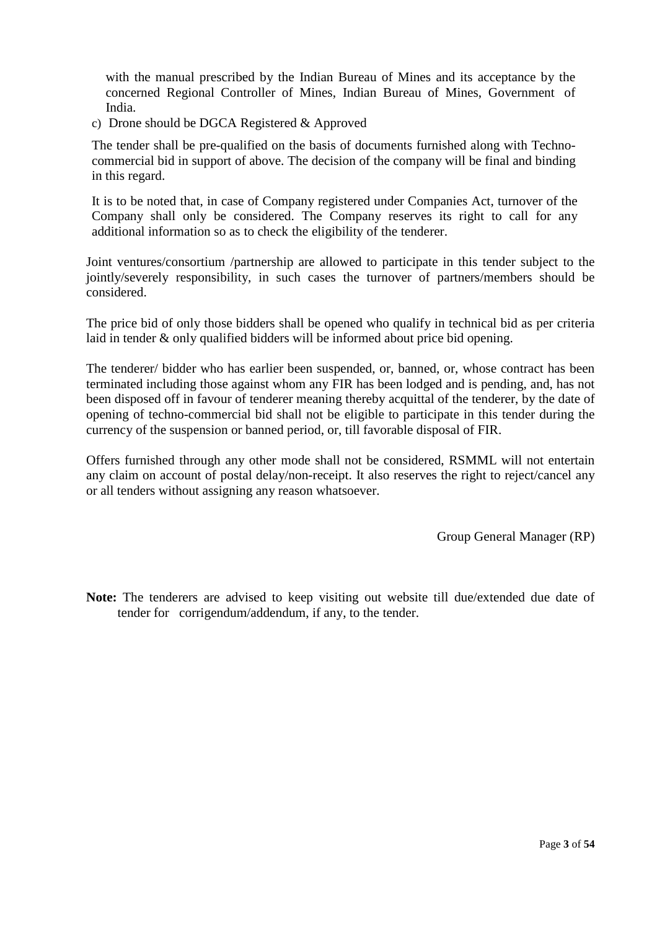with the manual prescribed by the Indian Bureau of Mines and its acceptance by the concerned Regional Controller of Mines, Indian Bureau of Mines, Government of India.

c) Drone should be DGCA Registered & Approved

The tender shall be pre-qualified on the basis of documents furnished along with Technocommercial bid in support of above. The decision of the company will be final and binding in this regard.

It is to be noted that, in case of Company registered under Companies Act, turnover of the Company shall only be considered. The Company reserves its right to call for any additional information so as to check the eligibility of the tenderer.

Joint ventures/consortium /partnership are allowed to participate in this tender subject to the jointly/severely responsibility, in such cases the turnover of partners/members should be considered.

The price bid of only those bidders shall be opened who qualify in technical bid as per criteria laid in tender & only qualified bidders will be informed about price bid opening.

The tenderer/ bidder who has earlier been suspended, or, banned, or, whose contract has been terminated including those against whom any FIR has been lodged and is pending, and, has not been disposed off in favour of tenderer meaning thereby acquittal of the tenderer, by the date of opening of techno-commercial bid shall not be eligible to participate in this tender during the currency of the suspension or banned period, or, till favorable disposal of FIR.

Offers furnished through any other mode shall not be considered, RSMML will not entertain any claim on account of postal delay/non-receipt. It also reserves the right to reject/cancel any or all tenders without assigning any reason whatsoever.

Group General Manager (RP)

**Note:** The tenderers are advised to keep visiting out website till due/extended due date of tender for corrigendum/addendum, if any, to the tender.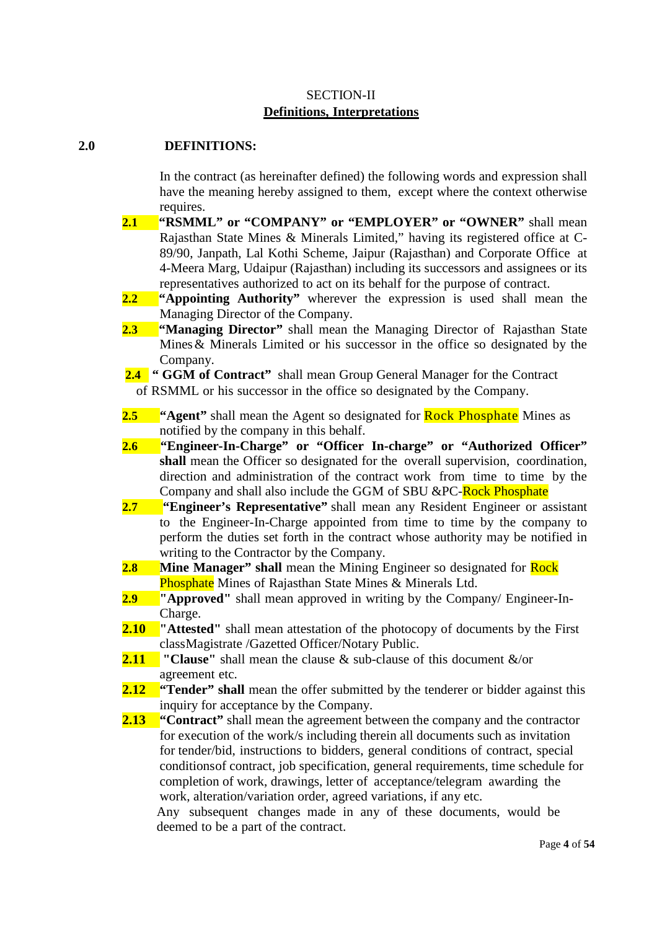# SECTION-II **Definitions, Interpretations**

# **2.0 DEFINITIONS:**

In the contract (as hereinafter defined) the following words and expression shall have the meaning hereby assigned to them, except where the context otherwise requires.

- **2.1 "RSMML" or "COMPANY" or "EMPLOYER" or "OWNER"** shall mean Rajasthan State Mines & Minerals Limited," having its registered office at C-89/90, Janpath, Lal Kothi Scheme, Jaipur (Rajasthan) and Corporate Office at 4-Meera Marg, Udaipur (Rajasthan) including its successors and assignees or its representatives authorized to act on its behalf for the purpose of contract.
- **2.2 "Appointing Authority"** wherever the expression is used shall mean the Managing Director of the Company.
- **2.3 "Managing Director"** shall mean the Managing Director of Rajasthan State Mines & Minerals Limited or his successor in the office so designated by the Company.

# 2.4 **" GGM of Contract"** shall mean Group General Manager for the Contract

of RSMML or his successor in the office so designated by the Company.

- **2.5 "Agent"** shall mean the Agent so designated for **Rock Phosphate** Mines as notified by the company in this behalf.
- **2.6 "Engineer-In-Charge" or "Officer In-charge" or "Authorized Officer" shall** mean the Officer so designated for the overall supervision, coordination, direction and administration of the contract work from time to time by the Company and shall also include the GGM of SBU &PC-Rock Phosphate
- **2.7 "Engineer's Representative"** shall mean any Resident Engineer or assistant to the Engineer-In-Charge appointed from time to time by the company to perform the duties set forth in the contract whose authority may be notified in writing to the Contractor by the Company.
- **2.8 Mine Manager**" shall mean the Mining Engineer so designated for **Rock Phosphate** Mines of Rajasthan State Mines & Minerals Ltd.
- **2.9 "Approved"** shall mean approved in writing by the Company/ Engineer-In-Charge.
- **2.10 "Attested"** shall mean attestation of the photocopy of documents by the First class Magistrate /Gazetted Officer/Notary Public.
- **2.11 "Clause"** shall mean the clause & sub-clause of this document &/or agreement etc.
- **2.12 "Tender"** shall mean the offer submitted by the tenderer or bidder against this inquiry for acceptance by the Company.
- **2.13 "Contract"** shall mean the agreement between the company and the contractor for execution of the work/s including therein all documents such as invitation for tender/bid, instructions to bidders, general conditions of contract, special conditions of contract, job specification, general requirements, time schedule for completion of work, drawings, letter of acceptance/telegram awarding the work, alteration/variation order, agreed variations, if any etc.

Any subsequent changes made in any of these documents, would be deemed to be a part of the contract.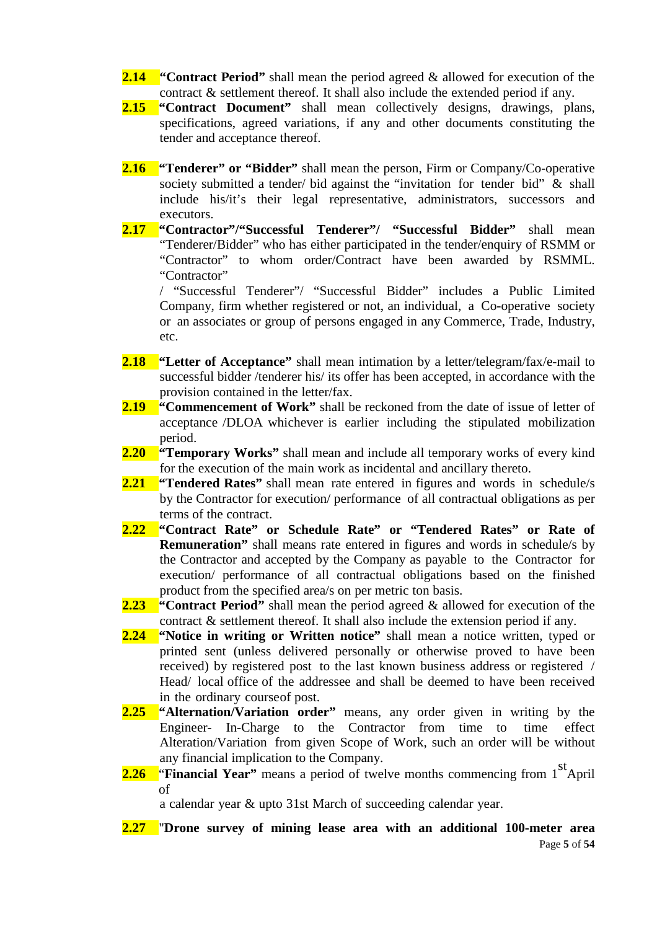- **2.14 "Contract Period"** shall mean the period agreed & allowed for execution of the contract & settlement thereof. It shall also include the extended period if any.
- 2.15 **"Contract Document"** shall mean collectively designs, drawings, plans, specifications, agreed variations, if any and other documents constituting the tender and acceptance thereof.
- **2.16 "Tenderer" or "Bidder"** shall mean the person, Firm or Company/Co-operative society submitted a tender/ bid against the "invitation for tender bid" & shall include his/it's their legal representative, administrators, successors and executors.
- **2.17 "Contractor"/"Successful Tenderer"/ "Successful Bidder"** shall mean "Tenderer/Bidder" who has either participated in the tender/enquiry of RSMM or "Contractor" to whom order/Contract have been awarded by RSMML. "Contractor"

/ "Successful Tenderer"/ "Successful Bidder" includes a Public Limited Company, firm whether registered or not, an individual, a Co-operative society or an associates or group of persons engaged in any Commerce, Trade, Industry, etc.

- **2.18 "Letter of Acceptance"** shall mean intimation by a letter/telegram/fax/e-mail to successful bidder /tenderer his/ its offer has been accepted, in accordance with the provision contained in the letter/fax.
- **2.19 "Commencement of Work"** shall be reckoned from the date of issue of letter of acceptance /DLOA whichever is earlier including the stipulated mobilization period.
- **2.20 "Temporary Works"** shall mean and include all temporary works of every kind for the execution of the main work as incidental and ancillary thereto.
- **2.21 "Tendered Rates"** shall mean rate entered in figures and words in schedule/s by the Contractor for execution/ performance of all contractual obligations as per terms of the contract.
- **2.22 "Contract Rate" or Schedule Rate" or "Tendered Rates" or Rate of Remuneration**" shall means rate entered in figures and words in schedule/s by the Contractor and accepted by the Company as payable to the Contractor for execution/ performance of all contractual obligations based on the finished product from the specified area/s on per metric ton basis.
- **2.23 "Contract Period"** shall mean the period agreed & allowed for execution of the contract & settlement thereof. It shall also include the extension period if any.
- **2.24 "Notice in writing or Written notice"** shall mean a notice written, typed or printed sent (unless delivered personally or otherwise proved to have been received) by registered post to the last known business address or registered / Head/ local office of the addressee and shall be deemed to have been received in the ordinary course of post.
- **2.25 "Alternation/Variation order"** means, any order given in writing by the Engineer- In-Charge to the Contractor from time to time effect Alteration/Variation from given Scope of Work, such an order will be without any financial implication to the Company.
- **2.26** "**Financial Year**" means a period of twelve months commencing from 1<sup>st</sup>April of

a calendar year & upto 31st March of succeeding calendar year.

Page **5** of **54 2.27** "**Drone survey of mining lease area with an additional 100-meter area**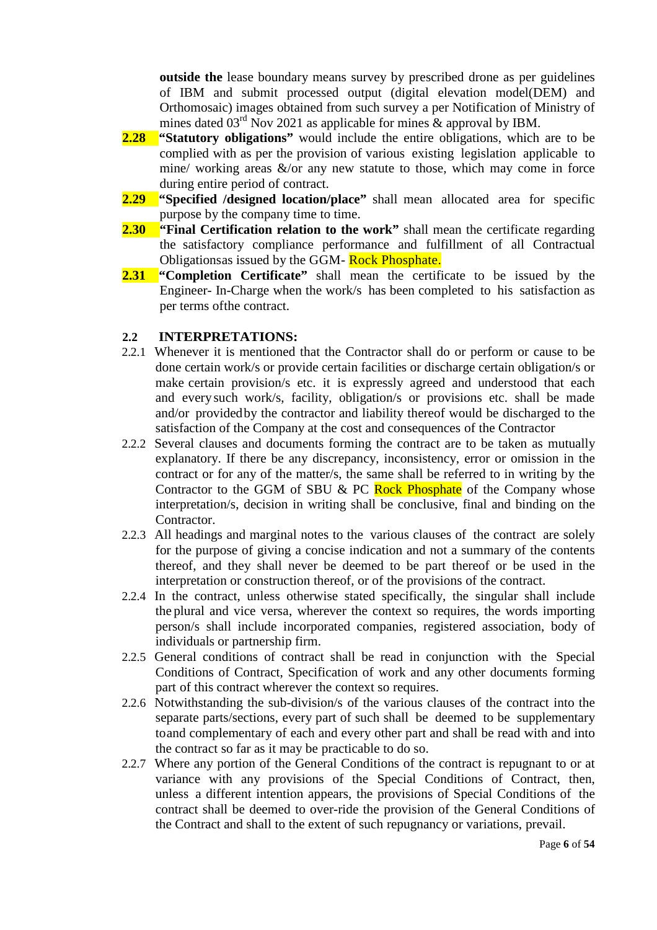**outside the** lease boundary means survey by prescribed drone as per guidelines of IBM and submit processed output (digital elevation model(DEM) and Orthomosaic) images obtained from such survey a per Notification of Ministry of mines dated  $03<sup>rd</sup>$  Nov 2021 as applicable for mines & approval by IBM.

- **2.28 "Statutory obligations"** would include the entire obligations, which are to be complied with as per the provision of various existing legislation applicable to mine/ working areas  $\&$ /or any new statute to those, which may come in force during entire period of contract.
- **2.29 "Specified /designed location/place"** shall mean allocated area for specific purpose by the company time to time.
- **2.30 "Final Certification relation to the work"** shall mean the certificate regarding the satisfactory compliance performance and fulfillment of all Contractual Obligations as issued by the GGM- Rock Phosphate.
- **2.31 "Completion Certificate"** shall mean the certificate to be issued by the Engineer- In-Charge when the work/s has been completed to his satisfaction as per terms of the contract.

#### **2.2 INTERPRETATIONS:**

- 2.2.1 Whenever it is mentioned that the Contractor shall do or perform or cause to be done certain work/s or provide certain facilities or discharge certain obligation/s or make certain provision/s etc. it is expressly agreed and understood that each and every such work/s, facility, obligation/s or provisions etc. shall be made and/or provided by the contractor and liability thereof would be discharged to the satisfaction of the Company at the cost and consequences of the Contractor
- 2.2.2 Several clauses and documents forming the contract are to be taken as mutually explanatory. If there be any discrepancy, inconsistency, error or omission in the contract or for any of the matter/s, the same shall be referred to in writing by the Contractor to the GGM of SBU & PC Rock Phosphate of the Company whose interpretation/s, decision in writing shall be conclusive, final and binding on the Contractor.
- 2.2.3 All headings and marginal notes to the various clauses of the contract are solely for the purpose of giving a concise indication and not a summary of the contents thereof, and they shall never be deemed to be part thereof or be used in the interpretation or construction thereof, or of the provisions of the contract.
- 2.2.4 In the contract, unless otherwise stated specifically, the singular shall include the plural and vice versa, wherever the context so requires, the words importing person/s shall include incorporated companies, registered association, body of individuals or partnership firm.
- 2.2.5 General conditions of contract shall be read in conjunction with the Special Conditions of Contract, Specification of work and any other documents forming part of this contract wherever the context so requires.
- 2.2.6 Notwithstanding the sub-division/s of the various clauses of the contract into the separate parts/sections, every part of such shall be deemed to be supplementary to and complementary of each and every other part and shall be read with and into the contract so far as it may be practicable to do so.
- 2.2.7 Where any portion of the General Conditions of the contract is repugnant to or at variance with any provisions of the Special Conditions of Contract, then, unless a different intention appears, the provisions of Special Conditions of the contract shall be deemed to over-ride the provision of the General Conditions of the Contract and shall to the extent of such repugnancy or variations, prevail.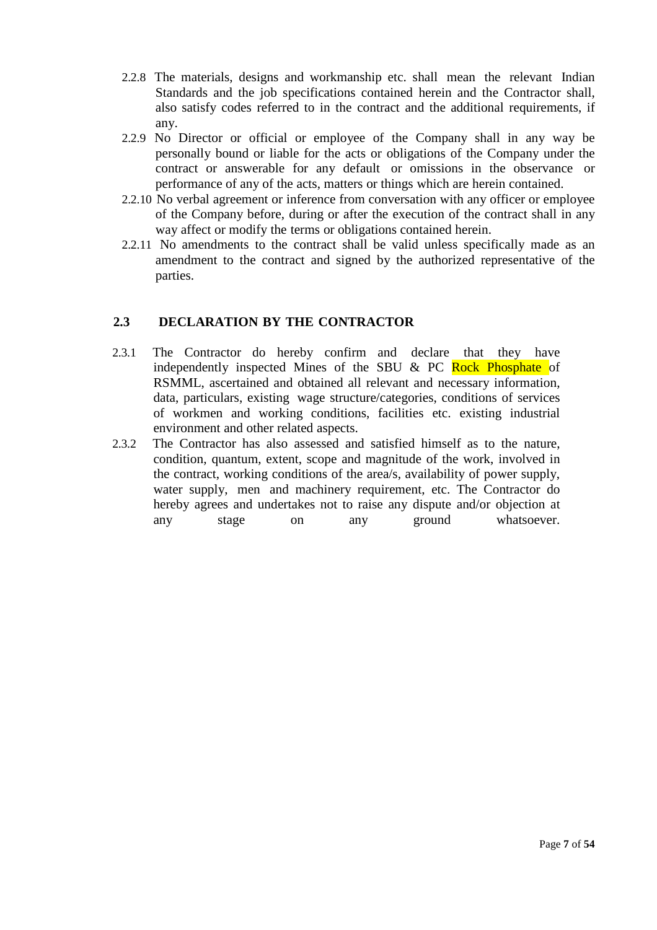- 2.2.8 The materials, designs and workmanship etc. shall mean the relevant Indian Standards and the job specifications contained herein and the Contractor shall, also satisfy codes referred to in the contract and the additional requirements, if any.
- 2.2.9 No Director or official or employee of the Company shall in any way be personally bound or liable for the acts or obligations of the Company under the contract or answerable for any default or omissions in the observance or performance of any of the acts, matters or things which are herein contained.
- 2.2.10 No verbal agreement or inference from conversation with any officer or employee of the Company before, during or after the execution of the contract shall in any way affect or modify the terms or obligations contained herein.
- 2.2.11 No amendments to the contract shall be valid unless specifically made as an amendment to the contract and signed by the authorized representative of the parties.

# **2.3 DECLARATION BY THE CONTRACTOR**

- 2.3.1 The Contractor do hereby confirm and declare that they have independently inspected Mines of the SBU  $& PC$  Rock Phosphate of RSMML, ascertained and obtained all relevant and necessary information, data, particulars, existing wage structure/categories, conditions of services of workmen and working conditions, facilities etc. existing industrial environment and other related aspects.
- 2.3.2 The Contractor has also assessed and satisfied himself as to the nature, condition, quantum, extent, scope and magnitude of the work, involved in the contract, working conditions of the area/s, availability of power supply, water supply, men and machinery requirement, etc. The Contractor do hereby agrees and undertakes not to raise any dispute and/or objection at any stage on any ground whatsoever.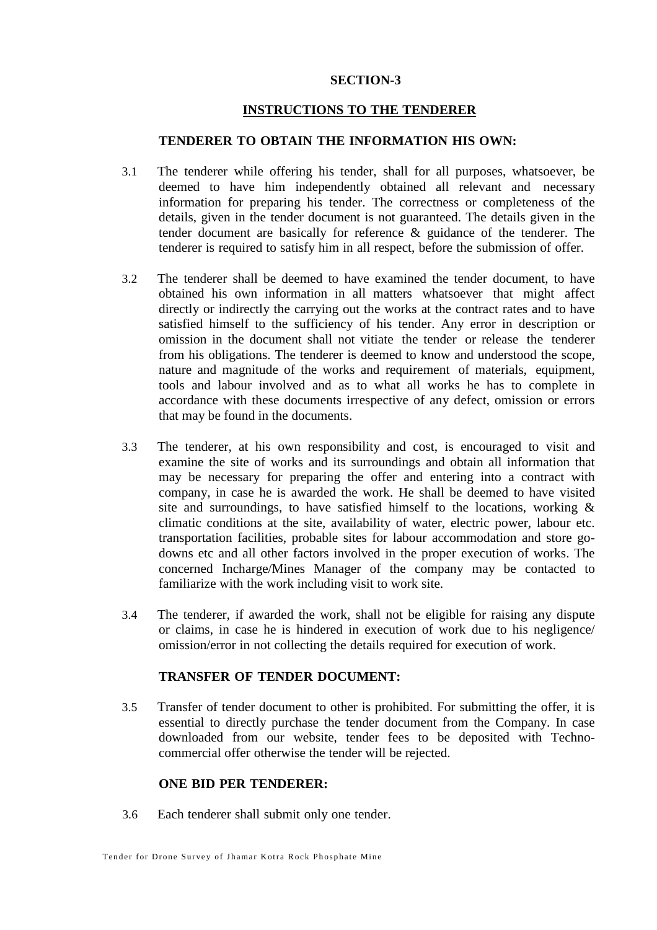#### **SECTION-3**

#### **INSTRUCTIONS TO THE TENDERER**

# **TENDERER TO OBTAIN THE INFORMATION HIS OWN:**

- 3.1 The tenderer while offering his tender, shall for all purposes, whatsoever, be deemed to have him independently obtained all relevant and necessary information for preparing his tender. The correctness or completeness of the details, given in the tender document is not guaranteed. The details given in the tender document are basically for reference & guidance of the tenderer. The tenderer is required to satisfy him in all respect, before the submission of offer.
- 3.2 The tenderer shall be deemed to have examined the tender document, to have obtained his own information in all matters whatsoever that might affect directly or indirectly the carrying out the works at the contract rates and to have satisfied himself to the sufficiency of his tender. Any error in description or omission in the document shall not vitiate the tender or release the tenderer from his obligations. The tenderer is deemed to know and understood the scope, nature and magnitude of the works and requirement of materials, equipment, tools and labour involved and as to what all works he has to complete in accordance with these documents irrespective of any defect, omission or errors that may be found in the documents.
- 3.3 The tenderer, at his own responsibility and cost, is encouraged to visit and examine the site of works and its surroundings and obtain all information that may be necessary for preparing the offer and entering into a contract with company, in case he is awarded the work. He shall be deemed to have visited site and surroundings, to have satisfied himself to the locations, working & climatic conditions at the site, availability of water, electric power, labour etc. transportation facilities, probable sites for labour accommodation and store godowns etc and all other factors involved in the proper execution of works. The concerned Incharge/Mines Manager of the company may be contacted to familiarize with the work including visit to work site.
- 3.4 The tenderer, if awarded the work, shall not be eligible for raising any dispute or claims, in case he is hindered in execution of work due to his negligence/ omission/error in not collecting the details required for execution of work.

#### **TRANSFER OF TENDER DOCUMENT:**

3.5 Transfer of tender document to other is prohibited. For submitting the offer, it is essential to directly purchase the tender document from the Company. In case downloaded from our website, tender fees to be deposited with Technocommercial offer otherwise the tender will be rejected.

#### **ONE BID PER TENDERER:**

3.6 Each tenderer shall submit only one tender.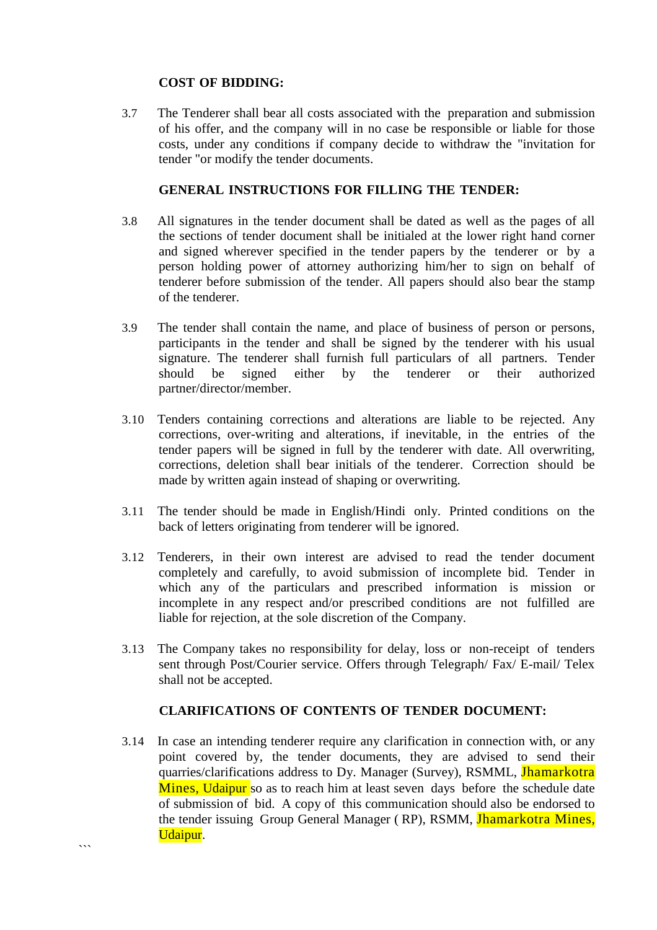#### **COST OF BIDDING:**

3.7 The Tenderer shall bear all costs associated with the preparation and submission of his offer, and the company will in no case be responsible or liable for those costs, under any conditions if company decide to withdraw the "invitation for tender "or modify the tender documents.

#### **GENERAL INSTRUCTIONS FOR FILLING THE TENDER:**

- 3.8 All signatures in the tender document shall be dated as well as the pages of all the sections of tender document shall be initialed at the lower right hand corner and signed wherever specified in the tender papers by the tenderer or by a person holding power of attorney authorizing him/her to sign on behalf of tenderer before submission of the tender. All papers should also bear the stamp of the tenderer.
- 3.9 The tender shall contain the name, and place of business of person or persons, participants in the tender and shall be signed by the tenderer with his usual signature. The tenderer shall furnish full particulars of all partners. Tender should be signed either by the tenderer or their authorized should be signed either by the tenderer or their authorized partner/director/member.
- 3.10 Tenders containing corrections and alterations are liable to be rejected. Any corrections, over-writing and alterations, if inevitable, in the entries of the tender papers will be signed in full by the tenderer with date. All overwriting, corrections, deletion shall bear initials of the tenderer. Correction should be made by written again instead of shaping or overwriting.
- 3.11 The tender should be made in English/Hindi only. Printed conditions on the back of letters originating from tenderer will be ignored.
- 3.12 Tenderers, in their own interest are advised to read the tender document completely and carefully, to avoid submission of incomplete bid. Tender in which any of the particulars and prescribed information is mission or incomplete in any respect and/or prescribed conditions are not fulfilled are liable for rejection, at the sole discretion of the Company.
- 3.13 The Company takes no responsibility for delay, loss or non-receipt of tenders sent through Post/Courier service. Offers through Telegraph/ Fax/ E-mail/ Telex shall not be accepted.

# **CLARIFICATIONS OF CONTENTS OF TENDER DOCUMENT:**

3.14 In case an intending tenderer require any clarification in connection with, or any point covered by, the tender documents, they are advised to send their quarries/clarifications address to Dy. Manager (Survey), RSMML, Jhamarkotra Mines, Udaipur so as to reach him at least seven days before the schedule date of submission of bid. A copy of this communication should also be endorsed to the tender issuing Group General Manager ( RP), RSMM, Jhamarkotra Mines, Udaipur.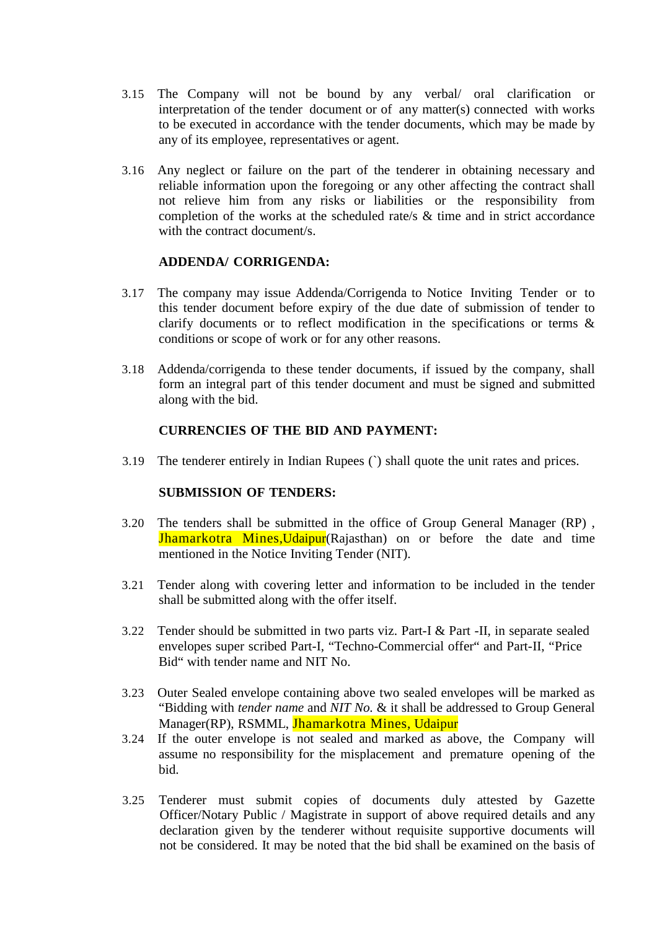- 3.15 The Company will not be bound by any verbal/ oral clarification or interpretation of the tender document or of any matter(s) connected with works to be executed in accordance with the tender documents, which may be made by any of its employee, representatives or agent.
- 3.16 Any neglect or failure on the part of the tenderer in obtaining necessary and reliable information upon the foregoing or any other affecting the contract shall not relieve him from any risks or liabilities or the responsibility from completion of the works at the scheduled rate/s & time and in strict accordance with the contract document/s.

#### **ADDENDA/ CORRIGENDA:**

- 3.17 The company may issue Addenda/Corrigenda to Notice Inviting Tender or to this tender document before expiry of the due date of submission of tender to clarify documents or to reflect modification in the specifications or terms & conditions or scope of work or for any other reasons.
- 3.18 Addenda/corrigenda to these tender documents, if issued by the company, shall form an integral part of this tender document and must be signed and submitted along with the bid.

# **CURRENCIES OF THE BID AND PAYMENT:**

3.19 The tenderer entirely in Indian Rupees (`) shall quote the unit rates and prices.

#### **SUBMISSION OF TENDERS:**

- 3.20 The tenders shall be submitted in the office of Group General Manager (RP) , **Jhamarkotra Mines, Udaipur** (Rajasthan) on or before the date and time mentioned in the Notice Inviting Tender (NIT).
- 3.21 Tender along with covering letter and information to be included in the tender shall be submitted along with the offer itself.
- 3.22 Tender should be submitted in two parts viz. Part-I & Part -II, in separate sealed envelopes super scribed Part-I, "Techno-Commercial offer" and Part-II, "Price Bid" with tender name and NIT No.
- 3.23 Outer Sealed envelope containing above two sealed envelopes will be marked as "Bidding with *tender name* and *NIT No.* & it shall be addressed to Group General Manager(RP), RSMML, Jhamarkotra Mines, Udaipur
- 3.24 If the outer envelope is not sealed and marked as above, the Company will assume no responsibility for the misplacement and premature opening of the bid.
- 3.25 Tenderer must submit copies of documents duly attested by Gazette Officer/Notary Public / Magistrate in support of above required details and any declaration given by the tenderer without requisite supportive documents will not be considered. It may be noted that the bid shall be examined on the basis of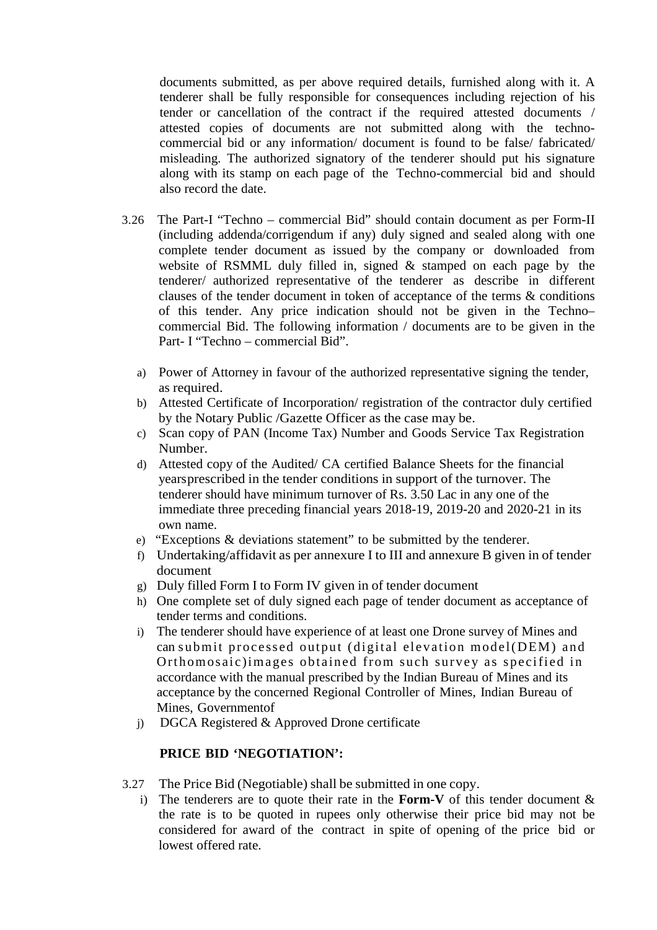documents submitted, as per above required details, furnished along with it. A tenderer shall be fully responsible for consequences including rejection of his tender or cancellation of the contract if the required attested documents / attested copies of documents are not submitted along with the technocommercial bid or any information/ document is found to be false/ fabricated/ misleading. The authorized signatory of the tenderer should put his signature along with its stamp on each page of the Techno-commercial bid and should also record the date.

- 3.26 The Part-I "Techno commercial Bid" should contain document as per Form-II (including addenda/corrigendum if any) duly signed and sealed along with one complete tender document as issued by the company or downloaded from website of RSMML duly filled in, signed & stamped on each page by the tenderer/ authorized representative of the tenderer as describe in different clauses of the tender document in token of acceptance of the terms & conditions of this tender. Any price indication should not be given in the Techno– commercial Bid. The following information / documents are to be given in the Part- I "Techno – commercial Bid".
	- a) Power of Attorney in favour of the authorized representative signing the tender, as required.
	- b) Attested Certificate of Incorporation/ registration of the contractor duly certified by the Notary Public /Gazette Officer as the case may be.
	- c) Scan copy of PAN (Income Tax) Number and Goods Service Tax Registration Number.
	- d) Attested copy of the Audited/ CA certified Balance Sheets for the financial years prescribed in the tender conditions in support of the turnover. The tenderer should have minimum turnover of Rs. 3.50 Lac in any one of the immediate three preceding financial years 2018-19, 2019-20 and 2020-21 in its own name.
	- e) "Exceptions & deviations statement" to be submitted by the tenderer.
	- f) Undertaking/affidavit as per annexure I to III and annexure B given in of tender document
	- g) Duly filled Form I to Form IV given in of tender document
	- h) One complete set of duly signed each page of tender document as acceptance of tender terms and conditions.
	- i) The tenderer should have experience of at least one Drone survey of Mines and can submit processed output (digital elevation model(DEM) and Orthomosaic) images obtained from such survey as specified in accordance with the manual prescribed by the Indian Bureau of Mines and its acceptance by the concerned Regional Controller of Mines, Indian Bureau of Mines, Government of
	- j) DGCA Registered & Approved Drone certificate

#### **PRICE BID 'NEGOTIATION':**

- 3.27 The Price Bid (Negotiable) shall be submitted in one copy.
	- i) The tenderers are to quote their rate in the **Form-V** of this tender document & the rate is to be quoted in rupees only otherwise their price bid may not be considered for award of the contract in spite of opening of the price bid or lowest offered rate.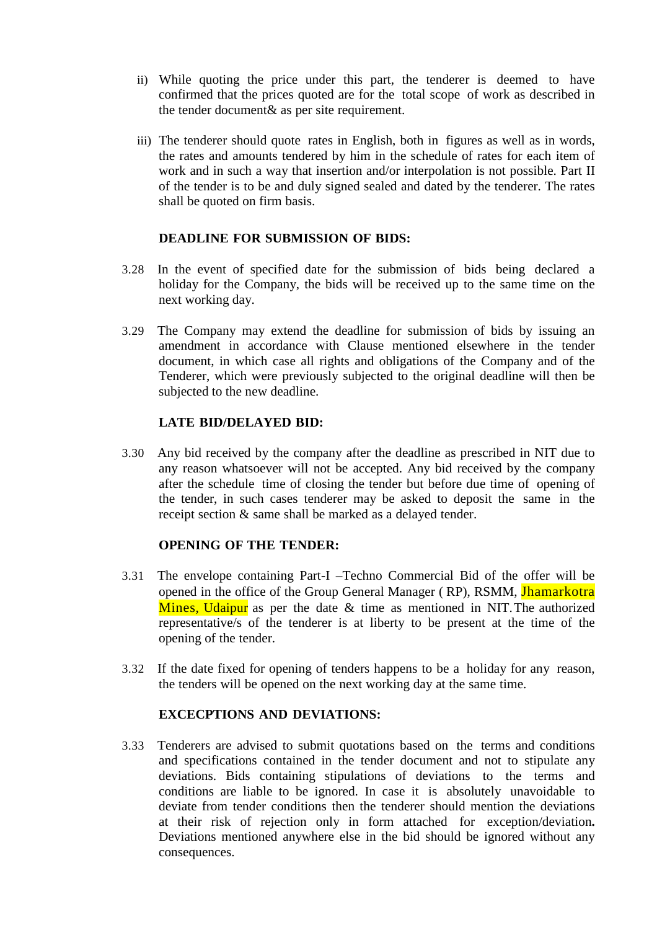- ii) While quoting the price under this part, the tenderer is deemed to have confirmed that the prices quoted are for the total scope of work as described in the tender document& as per site requirement.
- iii) The tenderer should quote rates in English, both in figures as well as in words, the rates and amounts tendered by him in the schedule of rates for each item of work and in such a way that insertion and/or interpolation is not possible. Part II of the tender is to be and duly signed sealed and dated by the tenderer. The rates shall be quoted on firm basis.

#### **DEADLINE FOR SUBMISSION OF BIDS:**

- 3.28 In the event of specified date for the submission of bids being declared a holiday for the Company, the bids will be received up to the same time on the next working day.
- 3.29 The Company may extend the deadline for submission of bids by issuing an amendment in accordance with Clause mentioned elsewhere in the tender document, in which case all rights and obligations of the Company and of the Tenderer, which were previously subjected to the original deadline will then be subjected to the new deadline.

#### **LATE BID/DELAYED BID:**

3.30 Any bid received by the company after the deadline as prescribed in NIT due to any reason whatsoever will not be accepted. Any bid received by the company after the schedule time of closing the tender but before due time of opening of the tender, in such cases tenderer may be asked to deposit the same in the receipt section & same shall be marked as a delayed tender.

#### **OPENING OF THE TENDER:**

- 3.31 The envelope containing Part-I –Techno Commercial Bid of the offer will be opened in the office of the Group General Manager (RP), RSMM, **Jhamarkotra** Mines, Udaipur as per the date & time as mentioned in NIT. The authorized representative/s of the tenderer is at liberty to be present at the time of the opening of the tender.
- 3.32 If the date fixed for opening of tenders happens to be a holiday for any reason, the tenders will be opened on the next working day at the same time.

#### **EXCECPTIONS AND DEVIATIONS:**

3.33 Tenderers are advised to submit quotations based on the terms and conditions and specifications contained in the tender document and not to stipulate any deviations. Bids containing stipulations of deviations to the terms and conditions are liable to be ignored. In case it is absolutely unavoidable to deviate from tender conditions then the tenderer should mention the deviations at their risk of rejection only in form attached for exception/deviation**.**  Deviations mentioned anywhere else in the bid should be ignored without any consequences.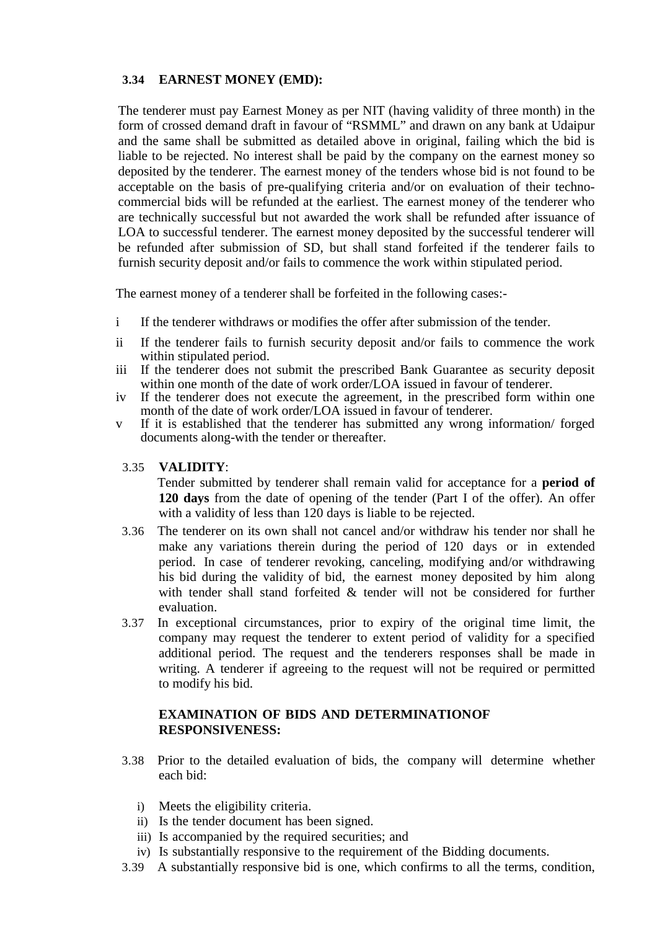#### **3.34 EARNEST MONEY (EMD):**

The tenderer must pay Earnest Money as per NIT (having validity of three month) in the form of crossed demand draft in favour of "RSMML" and drawn on any bank at Udaipur and the same shall be submitted as detailed above in original, failing which the bid is liable to be rejected. No interest shall be paid by the company on the earnest money so deposited by the tenderer. The earnest money of the tenders whose bid is not found to be acceptable on the basis of pre-qualifying criteria and/or on evaluation of their technocommercial bids will be refunded at the earliest. The earnest money of the tenderer who are technically successful but not awarded the work shall be refunded after issuance of LOA to successful tenderer. The earnest money deposited by the successful tenderer will be refunded after submission of SD, but shall stand forfeited if the tenderer fails to furnish security deposit and/or fails to commence the work within stipulated period.

The earnest money of a tenderer shall be forfeited in the following cases:-

- i If the tenderer withdraws or modifies the offer after submission of the tender.
- ii If the tenderer fails to furnish security deposit and/or fails to commence the work within stipulated period.
- iii If the tenderer does not submit the prescribed Bank Guarantee as security deposit within one month of the date of work order/LOA issued in favour of tenderer.
- iv If the tenderer does not execute the agreement, in the prescribed form within one month of the date of work order/LOA issued in favour of tenderer.
- v If it is established that the tenderer has submitted any wrong information/ forged documents along-with the tender or thereafter.

#### 3.35 **VALIDITY**:

Tender submitted by tenderer shall remain valid for acceptance for a **period of 120 days** from the date of opening of the tender (Part I of the offer). An offer with a validity of less than 120 days is liable to be rejected.

- 3.36 The tenderer on its own shall not cancel and/or withdraw his tender nor shall he make any variations therein during the period of 120 days or in extended period. In case of tenderer revoking, canceling, modifying and/or withdrawing his bid during the validity of bid, the earnest money deposited by him along with tender shall stand forfeited  $\&$  tender will not be considered for further evaluation.
- 3.37 In exceptional circumstances, prior to expiry of the original time limit, the company may request the tenderer to extent period of validity for a specified additional period. The request and the tenderers responses shall be made in writing. A tenderer if agreeing to the request will not be required or permitted to modify his bid.

# **EXAMINATION OF BIDS AND DETERMINATION OF RESPONSIVENESS:**

- 3.38 Prior to the detailed evaluation of bids, the company will determine whether each bid:
	- i) Meets the eligibility criteria.
	- ii) Is the tender document has been signed.
	- iii) Is accompanied by the required securities; and
	- iv) Is substantially responsive to the requirement of the Bidding documents.
- 3.39 A substantially responsive bid is one, which confirms to all the terms, condition,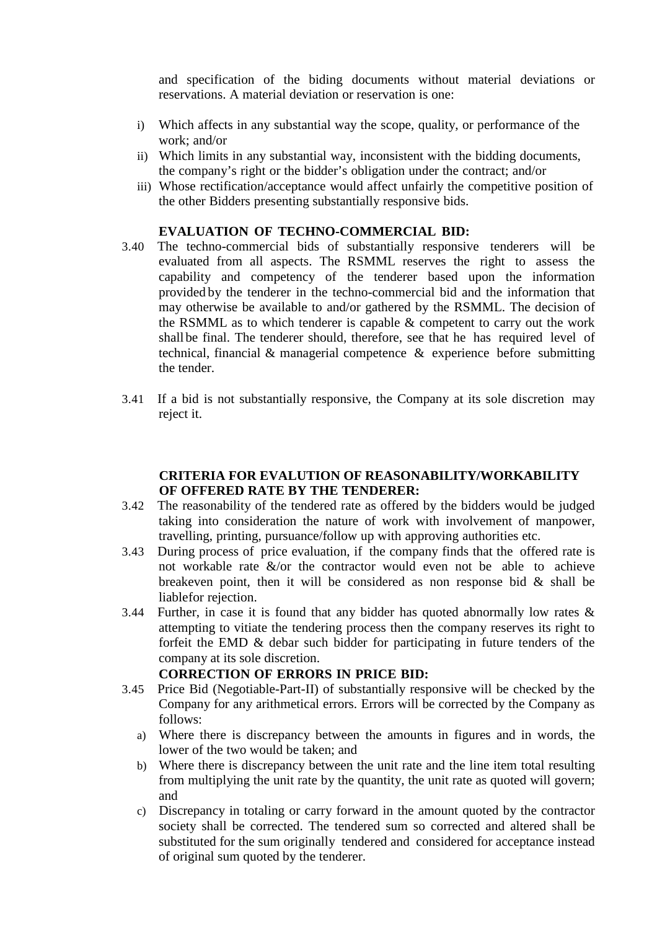and specification of the biding documents without material deviations or reservations. A material deviation or reservation is one:

- i) Which affects in any substantial way the scope, quality, or performance of the work; and/or
- ii) Which limits in any substantial way, inconsistent with the bidding documents, the company's right or the bidder's obligation under the contract; and/or
- iii) Whose rectification/acceptance would affect unfairly the competitive position of the other Bidders presenting substantially responsive bids.

#### **EVALUATION OF TECHNO-COMMERCIAL BID:**

- 3.40 The techno-commercial bids of substantially responsive tenderers will be evaluated from all aspects. The RSMML reserves the right to assess the capability and competency of the tenderer based upon the information provided by the tenderer in the techno-commercial bid and the information that may otherwise be available to and/or gathered by the RSMML. The decision of the RSMML as to which tenderer is capable & competent to carry out the work shall be final. The tenderer should, therefore, see that he has required level of technical, financial & managerial competence & experience before submitting the tender.
- 3.41 If a bid is not substantially responsive, the Company at its sole discretion may reject it.

#### **CRITERIA FOR EVALUTION OF REASONABILITY/WORKABILITY OF OFFERED RATE BY THE TENDERER:**

- 3.42 The reasonability of the tendered rate as offered by the bidders would be judged taking into consideration the nature of work with involvement of manpower, travelling, printing, pursuance/follow up with approving authorities etc.
- 3.43 During process of price evaluation, if the company finds that the offered rate is not workable rate &/or the contractor would even not be able to achieve breakeven point, then it will be considered as non response bid  $\&$  shall be liable for rejection.
- 3.44 Further, in case it is found that any bidder has quoted abnormally low rates & attempting to vitiate the tendering process then the company reserves its right to forfeit the EMD & debar such bidder for participating in future tenders of the company at its sole discretion.

# **CORRECTION OF ERRORS IN PRICE BID:**

- 3.45 Price Bid (Negotiable-Part-II) of substantially responsive will be checked by the Company for any arithmetical errors. Errors will be corrected by the Company as follows:
	- a) Where there is discrepancy between the amounts in figures and in words, the lower of the two would be taken; and
	- b) Where there is discrepancy between the unit rate and the line item total resulting from multiplying the unit rate by the quantity, the unit rate as quoted will govern; and
	- c) Discrepancy in totaling or carry forward in the amount quoted by the contractor society shall be corrected. The tendered sum so corrected and altered shall be substituted for the sum originally tendered and considered for acceptance instead of original sum quoted by the tenderer.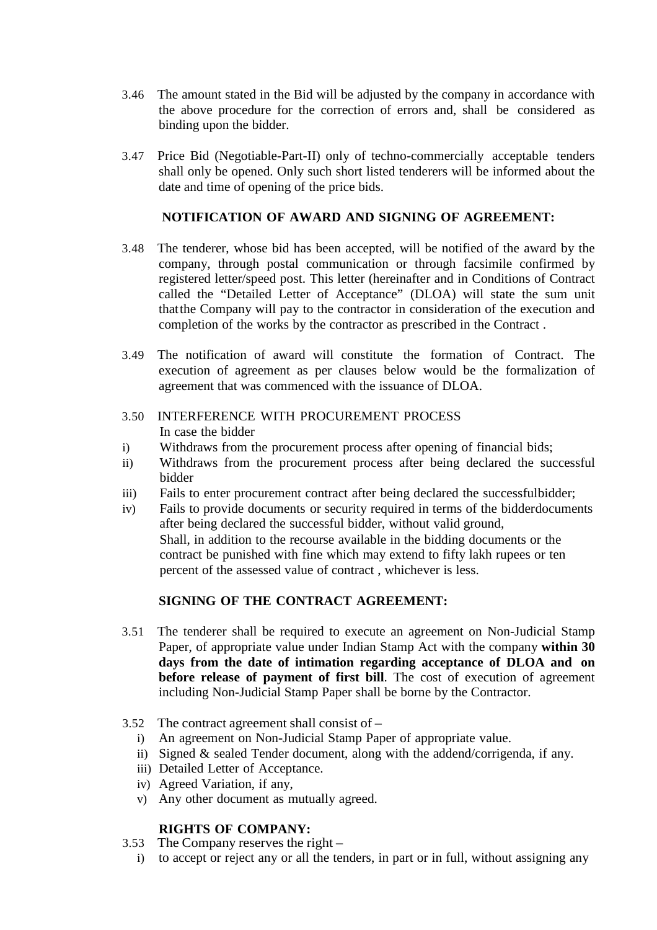- 3.46 The amount stated in the Bid will be adjusted by the company in accordance with the above procedure for the correction of errors and, shall be considered as binding upon the bidder.
- 3.47 Price Bid (Negotiable-Part-II) only of techno-commercially acceptable tenders shall only be opened. Only such short listed tenderers will be informed about the date and time of opening of the price bids.

#### **NOTIFICATION OF AWARD AND SIGNING OF AGREEMENT:**

- 3.48 The tenderer, whose bid has been accepted, will be notified of the award by the company, through postal communication or through facsimile confirmed by registered letter/speed post. This letter (hereinafter and in Conditions of Contract called the "Detailed Letter of Acceptance" (DLOA) will state the sum unit that the Company will pay to the contractor in consideration of the execution and completion of the works by the contractor as prescribed in the Contract .
- 3.49 The notification of award will constitute the formation of Contract. The execution of agreement as per clauses below would be the formalization of agreement that was commenced with the issuance of DLOA.
- 3.50 INTERFERENCE WITH PROCUREMENT PROCESS In case the bidder
- i) Withdraws from the procurement process after opening of financial bids;
- ii) Withdraws from the procurement process after being declared the successful bidder
- iii) Fails to enter procurement contract after being declared the successful bidder;
- iv) Fails to provide documents or security required in terms of the bidder documents after being declared the successful bidder, without valid ground, Shall, in addition to the recourse available in the bidding documents or the contract be punished with fine which may extend to fifty lakh rupees or ten percent of the assessed value of contract , whichever is less.

#### **SIGNING OF THE CONTRACT AGREEMENT:**

- 3.51 The tenderer shall be required to execute an agreement on Non-Judicial Stamp Paper, of appropriate value under Indian Stamp Act with the company **within 30 days from the date of intimation regarding acceptance of DLOA and on before release of payment of first bill**. The cost of execution of agreement including Non-Judicial Stamp Paper shall be borne by the Contractor.
- 3.52 The contract agreement shall consist of
	- i) An agreement on Non-Judicial Stamp Paper of appropriate value.
	- ii) Signed & sealed Tender document, along with the addend/corrigenda, if any.
	- iii) Detailed Letter of Acceptance.
	- iv) Agreed Variation, if any,
	- v) Any other document as mutually agreed.

## **RIGHTS OF COMPANY:**

- 3.53 The Company reserves the right
	- i) to accept or reject any or all the tenders, in part or in full, without assigning any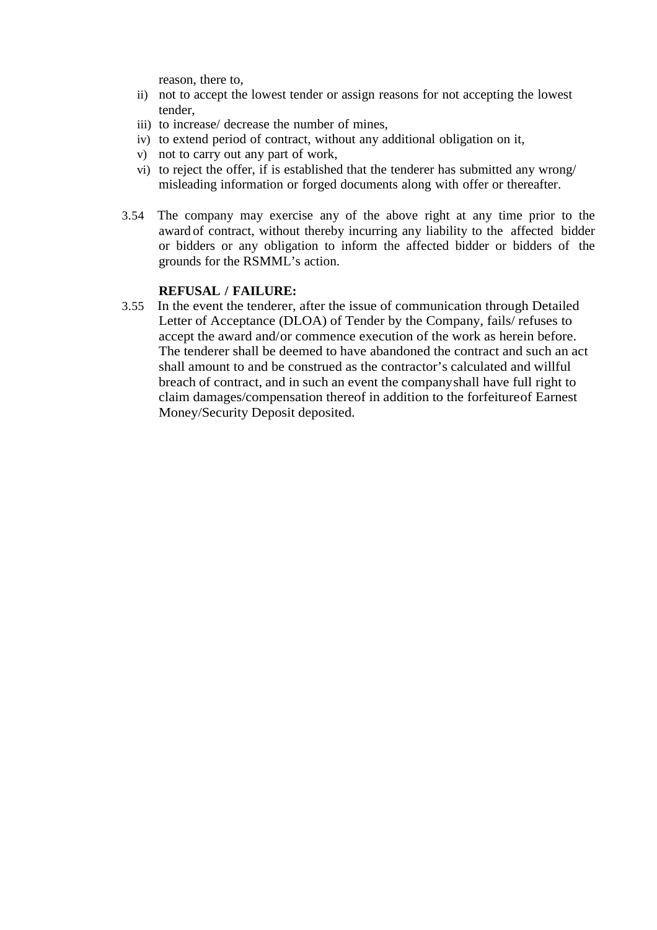reason, there to,

- ii) not to accept the lowest tender or assign reasons for not accepting the lowest tender,
- iii) to increase/ decrease the number of mines,
- iv) to extend period of contract, without any additional obligation on it,
- v) not to carry out any part of work,
- vi) to reject the offer, if is established that the tenderer has submitted any wrong/ misleading information or forged documents along with offer or thereafter.
- 3.54 The company may exercise any of the above right at any time prior to the award of contract, without thereby incurring any liability to the affected bidder or bidders or any obligation to inform the affected bidder or bidders of the grounds for the RSMML's action.

#### **REFUSAL / FAILURE:**

3.55 In the event the tenderer, after the issue of communication through Detailed Letter of Acceptance (DLOA) of Tender by the Company, fails/ refuses to accept the award and/or commence execution of the work as herein before. The tenderer shall be deemed to have abandoned the contract and such an act shall amount to and be construed as the contractor's calculated and willful breach of contract, and in such an event the company shall have full right to claim damages/compensation thereof in addition to the forfeiture of Earnest Money/Security Deposit deposited.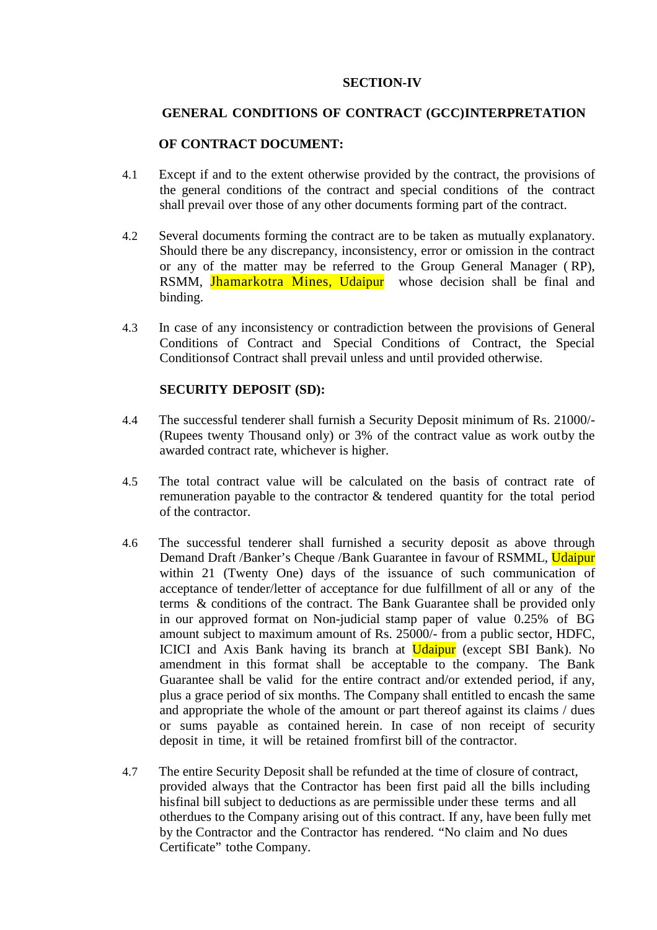#### **SECTION-IV**

# **GENERAL CONDITIONS OF CONTRACT (GCC) INTERPRETATION**

#### **OF CONTRACT DOCUMENT:**

- 4.1 Except if and to the extent otherwise provided by the contract, the provisions of the general conditions of the contract and special conditions of the contract shall prevail over those of any other documents forming part of the contract.
- 4.2 Several documents forming the contract are to be taken as mutually explanatory. Should there be any discrepancy, inconsistency, error or omission in the contract or any of the matter may be referred to the Group General Manager ( RP), RSMM, Jhamarkotra Mines, Udaipur whose decision shall be final and binding.
- 4.3 In case of any inconsistency or contradiction between the provisions of General Conditions of Contract and Special Conditions of Contract, the Special Conditions of Contract shall prevail unless and until provided otherwise.

# **SECURITY DEPOSIT (SD):**

- 4.4 The successful tenderer shall furnish a Security Deposit minimum of Rs. 21000/- (Rupees twenty Thousand only) or 3% of the contract value as work out by the awarded contract rate, whichever is higher.
- 4.5 The total contract value will be calculated on the basis of contract rate of remuneration payable to the contractor & tendered quantity for the total period of the contractor.
- 4.6 The successful tenderer shall furnished a security deposit as above through Demand Draft /Banker's Cheque /Bank Guarantee in favour of RSMML, Udaipur within 21 (Twenty One) days of the issuance of such communication of acceptance of tender/letter of acceptance for due fulfillment of all or any of the terms & conditions of the contract. The Bank Guarantee shall be provided only in our approved format on Non-judicial stamp paper of value 0.25% of BG amount subject to maximum amount of Rs. 25000/- from a public sector, HDFC, ICICI and Axis Bank having its branch at Udaipur (except SBI Bank). No amendment in this format shall be acceptable to the company. The Bank Guarantee shall be valid for the entire contract and/or extended period, if any, plus a grace period of six months. The Company shall entitled to encash the same and appropriate the whole of the amount or part thereof against its claims / dues or sums payable as contained herein. In case of non receipt of security deposit in time, it will be retained from first bill of the contractor.
- 4.7 The entire Security Deposit shall be refunded at the time of closure of contract, provided always that the Contractor has been first paid all the bills including his final bill subject to deductions as are permissible under these terms and all other dues to the Company arising out of this contract. If any, have been fully met by the Contractor and the Contractor has rendered. "No claim and No dues Certificate" to the Company.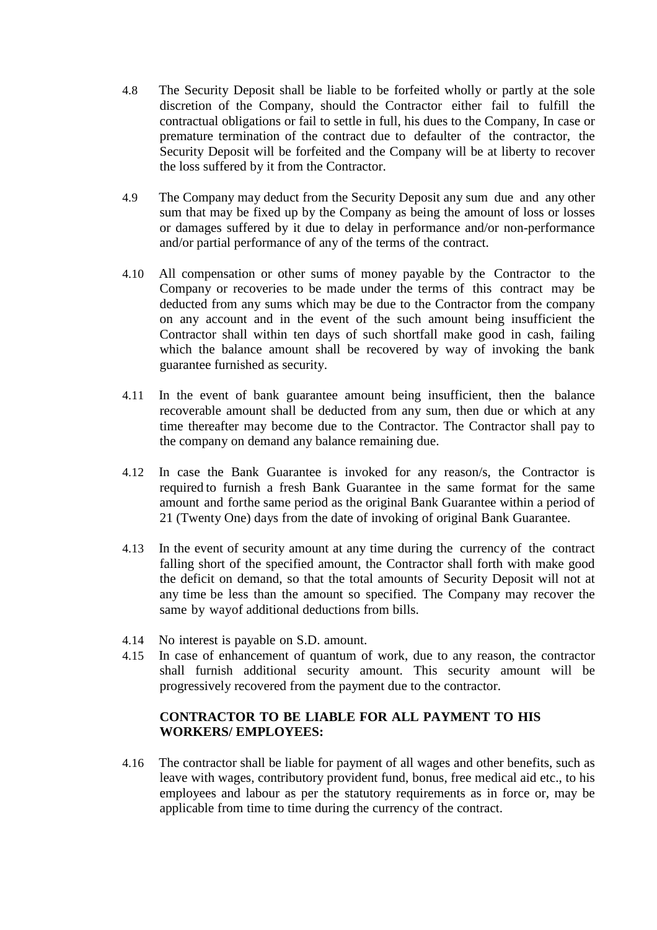- 4.8 The Security Deposit shall be liable to be forfeited wholly or partly at the sole discretion of the Company, should the Contractor either fail to fulfill the contractual obligations or fail to settle in full, his dues to the Company, In case or premature termination of the contract due to defaulter of the contractor, the Security Deposit will be forfeited and the Company will be at liberty to recover the loss suffered by it from the Contractor.
- 4.9 The Company may deduct from the Security Deposit any sum due and any other sum that may be fixed up by the Company as being the amount of loss or losses or damages suffered by it due to delay in performance and/or non-performance and/or partial performance of any of the terms of the contract.
- 4.10 All compensation or other sums of money payable by the Contractor to the Company or recoveries to be made under the terms of this contract may be deducted from any sums which may be due to the Contractor from the company on any account and in the event of the such amount being insufficient the Contractor shall within ten days of such shortfall make good in cash, failing which the balance amount shall be recovered by way of invoking the bank guarantee furnished as security.
- 4.11 In the event of bank guarantee amount being insufficient, then the balance recoverable amount shall be deducted from any sum, then due or which at any time thereafter may become due to the Contractor. The Contractor shall pay to the company on demand any balance remaining due.
- 4.12 In case the Bank Guarantee is invoked for any reason/s, the Contractor is required to furnish a fresh Bank Guarantee in the same format for the same amount and for the same period as the original Bank Guarantee within a period of 21 (Twenty One) days from the date of invoking of original Bank Guarantee.
- 4.13 In the event of security amount at any time during the currency of the contract falling short of the specified amount, the Contractor shall forth with make good the deficit on demand, so that the total amounts of Security Deposit will not at any time be less than the amount so specified. The Company may recover the same by way of additional deductions from bills.
- 4.14 No interest is payable on S.D. amount.
- 4.15 In case of enhancement of quantum of work, due to any reason, the contractor shall furnish additional security amount. This security amount will be progressively recovered from the payment due to the contractor.

# **CONTRACTOR TO BE LIABLE FOR ALL PAYMENT TO HIS WORKERS/ EMPLOYEES:**

4.16 The contractor shall be liable for payment of all wages and other benefits, such as leave with wages, contributory provident fund, bonus, free medical aid etc., to his employees and labour as per the statutory requirements as in force or, may be applicable from time to time during the currency of the contract.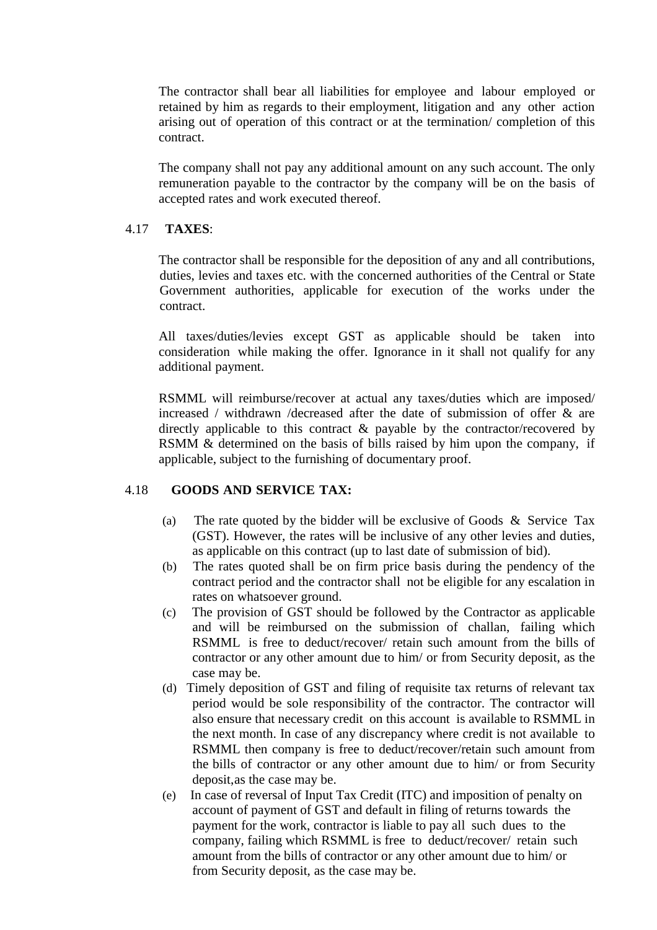The contractor shall bear all liabilities for employee and labour employed or retained by him as regards to their employment, litigation and any other action arising out of operation of this contract or at the termination/ completion of this contract.

The company shall not pay any additional amount on any such account. The only remuneration payable to the contractor by the company will be on the basis of accepted rates and work executed thereof.

## 4.17 **TAXES**:

The contractor shall be responsible for the deposition of any and all contributions, duties, levies and taxes etc. with the concerned authorities of the Central or State Government authorities, applicable for execution of the works under the contract.

All taxes/duties/levies except GST as applicable should be taken into consideration while making the offer. Ignorance in it shall not qualify for any additional payment.

RSMML will reimburse/recover at actual any taxes/duties which are imposed/ increased / withdrawn /decreased after the date of submission of offer & are directly applicable to this contract & payable by the contractor/recovered by RSMM & determined on the basis of bills raised by him upon the company, if applicable, subject to the furnishing of documentary proof.

# 4.18 **GOODS AND SERVICE TAX:**

- (a) The rate quoted by the bidder will be exclusive of Goods & Service Tax (GST). However, the rates will be inclusive of any other levies and duties, as applicable on this contract (up to last date of submission of bid).
- (b) The rates quoted shall be on firm price basis during the pendency of the contract period and the contractor shall not be eligible for any escalation in rates on whatsoever ground.
- (c) The provision of GST should be followed by the Contractor as applicable and will be reimbursed on the submission of challan, failing which RSMML is free to deduct/recover/ retain such amount from the bills of contractor or any other amount due to him/ or from Security deposit, as the case may be.
- (d) Timely deposition of GST and filing of requisite tax returns of relevant tax period would be sole responsibility of the contractor. The contractor will also ensure that necessary credit on this account is available to RSMML in the next month. In case of any discrepancy where credit is not available to RSMML then company is free to deduct/recover/retain such amount from the bills of contractor or any other amount due to him/ or from Security deposit, as the case may be.
- (e) In case of reversal of Input Tax Credit (ITC) and imposition of penalty on account of payment of GST and default in filing of returns towards the payment for the work, contractor is liable to pay all such dues to the company, failing which RSMML is free to deduct/recover/ retain such amount from the bills of contractor or any other amount due to him/ or from Security deposit, as the case may be.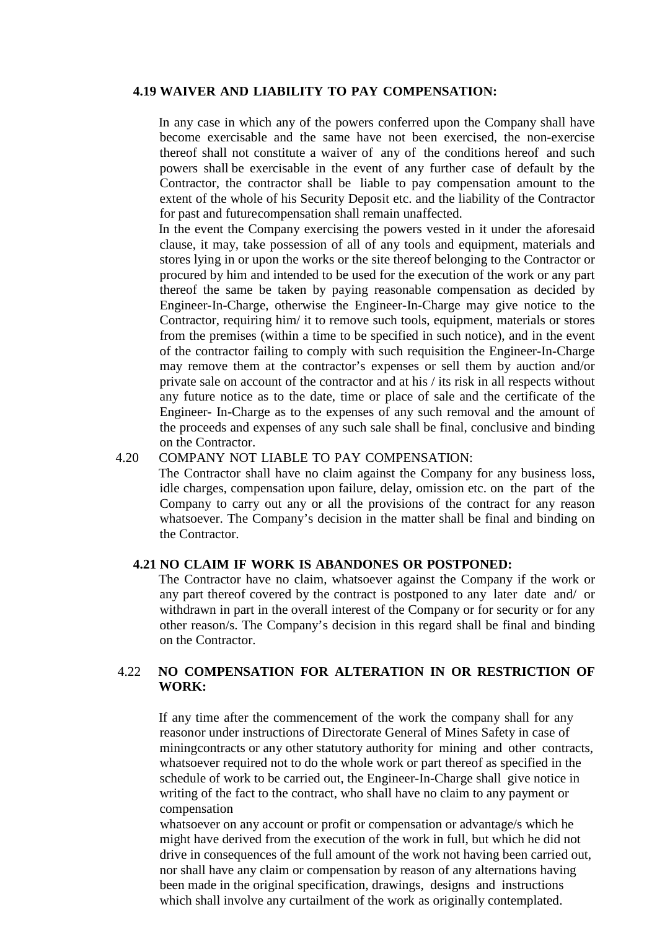#### **4.19 WAIVER AND LIABILITY TO PAY COMPENSATION:**

In any case in which any of the powers conferred upon the Company shall have become exercisable and the same have not been exercised, the non-exercise thereof shall not constitute a waiver of any of the conditions hereof and such powers shall be exercisable in the event of any further case of default by the Contractor, the contractor shall be liable to pay compensation amount to the extent of the whole of his Security Deposit etc. and the liability of the Contractor for past and future compensation shall remain unaffected.

In the event the Company exercising the powers vested in it under the aforesaid clause, it may, take possession of all of any tools and equipment, materials and stores lying in or upon the works or the site thereof belonging to the Contractor or procured by him and intended to be used for the execution of the work or any part thereof the same be taken by paying reasonable compensation as decided by Engineer-In-Charge, otherwise the Engineer-In-Charge may give notice to the Contractor, requiring him/ it to remove such tools, equipment, materials or stores from the premises (within a time to be specified in such notice), and in the event of the contractor failing to comply with such requisition the Engineer-In-Charge may remove them at the contractor's expenses or sell them by auction and/or private sale on account of the contractor and at his / its risk in all respects without any future notice as to the date, time or place of sale and the certificate of the Engineer- In-Charge as to the expenses of any such removal and the amount of the proceeds and expenses of any such sale shall be final, conclusive and binding on the Contractor.

#### 4.20 COMPANY NOT LIABLE TO PAY COMPENSATION:

The Contractor shall have no claim against the Company for any business loss, idle charges, compensation upon failure, delay, omission etc. on the part of the Company to carry out any or all the provisions of the contract for any reason whatsoever. The Company's decision in the matter shall be final and binding on the Contractor.

#### **4.21 NO CLAIM IF WORK IS ABANDONES OR POSTPONED:**

The Contractor have no claim, whatsoever against the Company if the work or any part thereof covered by the contract is postponed to any later date and/ or withdrawn in part in the overall interest of the Company or for security or for any other reason/s. The Company's decision in this regard shall be final and binding on the Contractor.

# 4.22 **NO COMPENSATION FOR ALTERATION IN OR RESTRICTION OF WORK:**

If any time after the commencement of the work the company shall for any reason or under instructions of Directorate General of Mines Safety in case of mining contracts or any other statutory authority for mining and other contracts, whatsoever required not to do the whole work or part thereof as specified in the schedule of work to be carried out, the Engineer-In-Charge shall give notice in writing of the fact to the contract, who shall have no claim to any payment or compensation

 whatsoever on any account or profit or compensation or advantage/s which he might have derived from the execution of the work in full, but which he did not drive in consequences of the full amount of the work not having been carried out, nor shall have any claim or compensation by reason of any alternations having been made in the original specification, drawings, designs and instructions which shall involve any curtailment of the work as originally contemplated.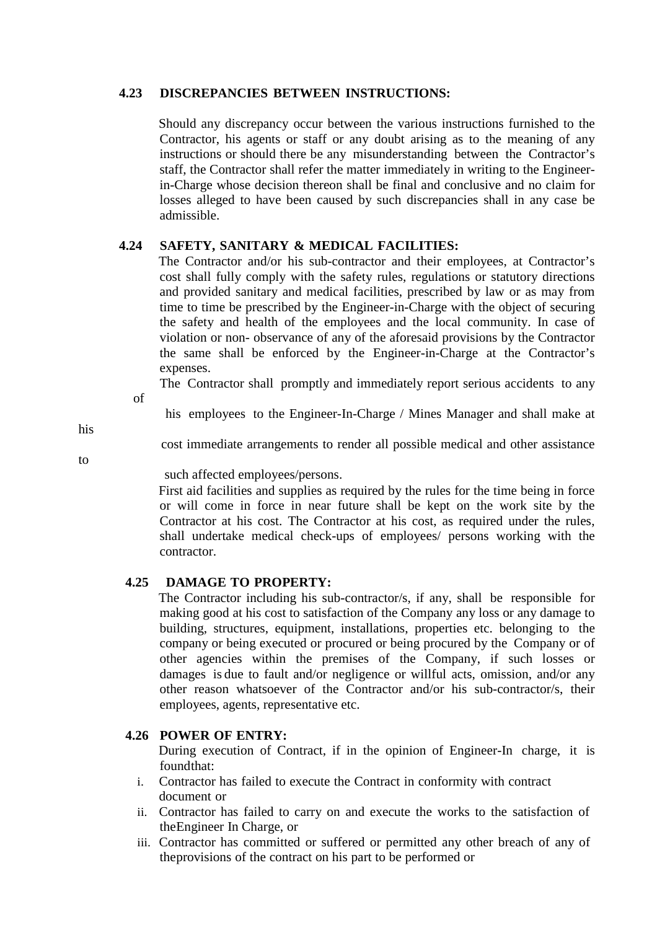# **4.23 DISCREPANCIES BETWEEN INSTRUCTIONS:**

Should any discrepancy occur between the various instructions furnished to the Contractor, his agents or staff or any doubt arising as to the meaning of any instructions or should there be any misunderstanding between the Contractor's staff, the Contractor shall refer the matter immediately in writing to the Engineerin-Charge whose decision thereon shall be final and conclusive and no claim for losses alleged to have been caused by such discrepancies shall in any case be admissible.

# **4.24 SAFETY, SANITARY & MEDICAL FACILITIES:**

The Contractor and/or his sub-contractor and their employees, at Contractor's cost shall fully comply with the safety rules, regulations or statutory directions and provided sanitary and medical facilities, prescribed by law or as may from time to time be prescribed by the Engineer-in-Charge with the object of securing the safety and health of the employees and the local community. In case of violation or non- observance of any of the aforesaid provisions by the Contractor the same shall be enforced by the Engineer-in-Charge at the Contractor's expenses.

The Contractor shall promptly and immediately report serious accidents to any

of

his employees to the Engineer-In-Charge / Mines Manager and shall make at

his

to

cost immediate arrangements to render all possible medical and other assistance

such affected employees/persons.

First aid facilities and supplies as required by the rules for the time being in force or will come in force in near future shall be kept on the work site by the Contractor at his cost. The Contractor at his cost, as required under the rules, shall undertake medical check-ups of employees/ persons working with the contractor.

# **4.25 DAMAGE TO PROPERTY:**

The Contractor including his sub-contractor/s, if any, shall be responsible for making good at his cost to satisfaction of the Company any loss or any damage to building, structures, equipment, installations, properties etc. belonging to the company or being executed or procured or being procured by the Company or of other agencies within the premises of the Company, if such losses or damages is due to fault and/or negligence or willful acts, omission, and/or any other reason whatsoever of the Contractor and/or his sub-contractor/s, their employees, agents, representative etc.

# **4.26 POWER OF ENTRY:**

During execution of Contract, if in the opinion of Engineer-In charge, it is found that:

- i. Contractor has failed to execute the Contract in conformity with contract document or
- ii. Contractor has failed to carry on and execute the works to the satisfaction of the Engineer In Charge, or
- iii. Contractor has committed or suffered or permitted any other breach of any of the provisions of the contract on his part to be performed or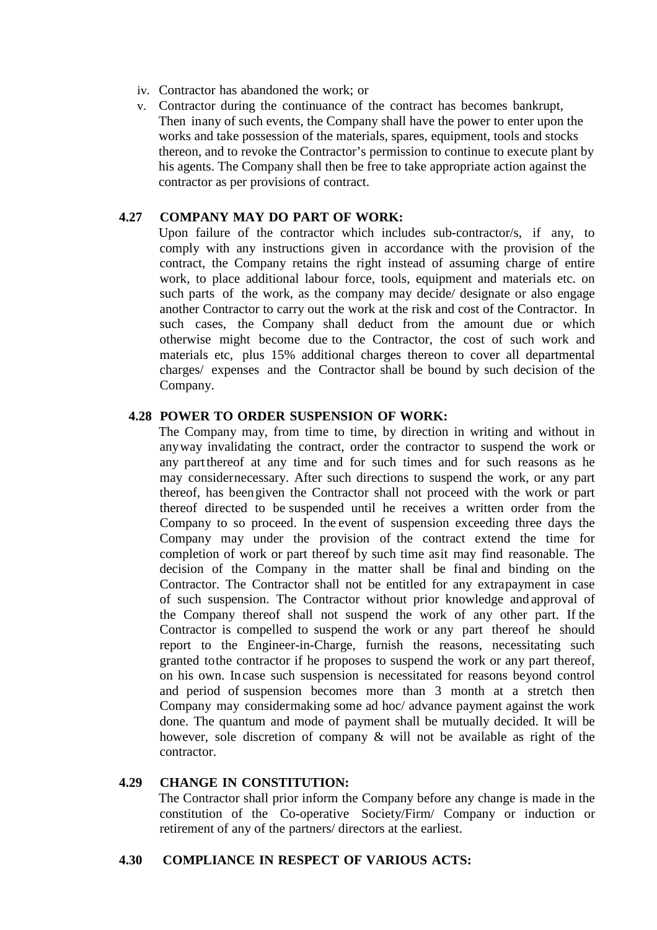- iv. Contractor has abandoned the work; or
- v. Contractor during the continuance of the contract has becomes bankrupt, Then in any of such events, the Company shall have the power to enter upon the works and take possession of the materials, spares, equipment, tools and stocks thereon, and to revoke the Contractor's permission to continue to execute plant by his agents. The Company shall then be free to take appropriate action against the contractor as per provisions of contract.

#### **4.27 COMPANY MAY DO PART OF WORK:**

Upon failure of the contractor which includes sub-contractor/s, if any, to comply with any instructions given in accordance with the provision of the contract, the Company retains the right instead of assuming charge of entire work, to place additional labour force, tools, equipment and materials etc. on such parts of the work, as the company may decide/ designate or also engage another Contractor to carry out the work at the risk and cost of the Contractor. In such cases, the Company shall deduct from the amount due or which otherwise might become due to the Contractor, the cost of such work and materials etc, plus 15% additional charges thereon to cover all departmental charges/ expenses and the Contractor shall be bound by such decision of the Company.

#### **4.28 POWER TO ORDER SUSPENSION OF WORK:**

The Company may, from time to time, by direction in writing and without in any way invalidating the contract, order the contractor to suspend the work or any part thereof at any time and for such times and for such reasons as he may consider necessary. After such directions to suspend the work, or any part thereof, has been given the Contractor shall not proceed with the work or part thereof directed to be suspended until he receives a written order from the Company to so proceed. In the event of suspension exceeding three days the Company may under the provision of the contract extend the time for completion of work or part thereof by such time as it may find reasonable. The decision of the Company in the matter shall be final and binding on the Contractor. The Contractor shall not be entitled for any extra payment in case of such suspension. The Contractor without prior knowledge and approval of the Company thereof shall not suspend the work of any other part. If the Contractor is compelled to suspend the work or any part thereof he should report to the Engineer-in-Charge, furnish the reasons, necessitating such granted to the contractor if he proposes to suspend the work or any part thereof, on his own. In case such suspension is necessitated for reasons beyond control and period of suspension becomes more than 3 month at a stretch then Company may consider making some ad hoc/ advance payment against the work done. The quantum and mode of payment shall be mutually decided. It will be however, sole discretion of company & will not be available as right of the contractor.

# **4.29 CHANGE IN CONSTITUTION:**

The Contractor shall prior inform the Company before any change is made in the constitution of the Co-operative Society/Firm/ Company or induction or retirement of any of the partners/ directors at the earliest.

#### **4.30 COMPLIANCE IN RESPECT OF VARIOUS ACTS:**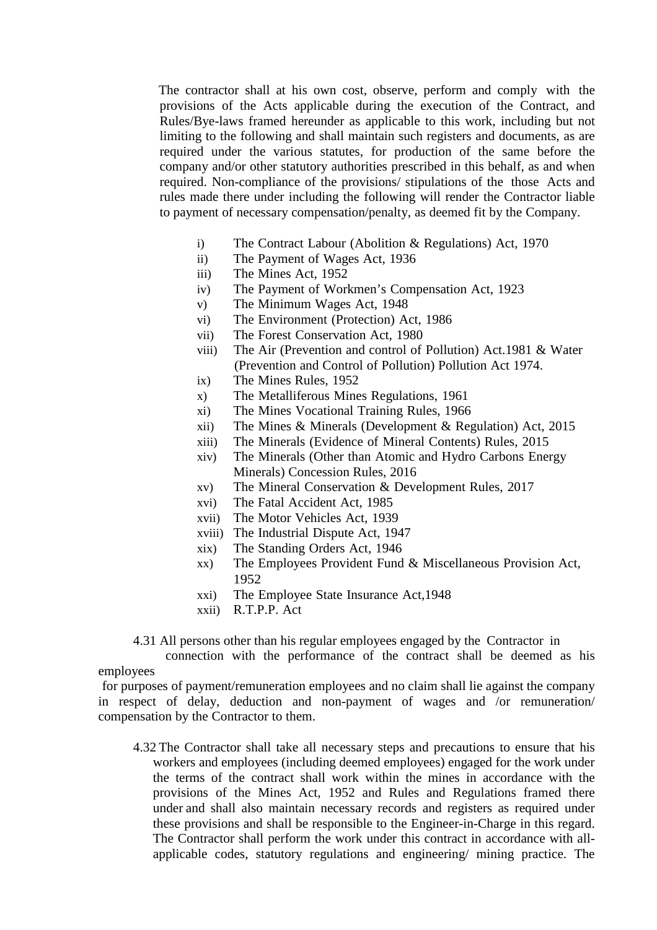The contractor shall at his own cost, observe, perform and comply with the provisions of the Acts applicable during the execution of the Contract, and Rules/Bye-laws framed hereunder as applicable to this work, including but not limiting to the following and shall maintain such registers and documents, as are required under the various statutes, for production of the same before the company and/or other statutory authorities prescribed in this behalf, as and when required. Non-compliance of the provisions/ stipulations of the those Acts and rules made there under including the following will render the Contractor liable to payment of necessary compensation/penalty, as deemed fit by the Company.

- i) The Contract Labour (Abolition & Regulations) Act, 1970
- ii) The Payment of Wages Act, 1936
- iii) The Mines Act, 1952
- iv) The Payment of Workmen's Compensation Act, 1923
- v) The Minimum Wages Act, 1948
- vi) The Environment (Protection) Act, 1986
- vii) The Forest Conservation Act, 1980
- viii) The Air (Prevention and control of Pollution) Act.1981 & Water (Prevention and Control of Pollution) Pollution Act 1974.
- ix) The Mines Rules, 1952
- x) The Metalliferous Mines Regulations, 1961
- xi) The Mines Vocational Training Rules, 1966
- xii) The Mines & Minerals (Development & Regulation) Act, 2015
- xiii) The Minerals (Evidence of Mineral Contents) Rules, 2015
- xiv) The Minerals (Other than Atomic and Hydro Carbons Energy Minerals) Concession Rules, 2016
- xv) The Mineral Conservation & Development Rules, 2017
- xvi) The Fatal Accident Act, 1985
- xvii) The Motor Vehicles Act, 1939
- xviii) The Industrial Dispute Act, 1947
- xix) The Standing Orders Act, 1946
- xx) The Employees Provident Fund & Miscellaneous Provision Act, 1952
- xxi) The Employee State Insurance Act,1948
- xxii) R.T.P.P. Act

4.31 All persons other than his regular employees engaged by the Contractor in

 connection with the performance of the contract shall be deemed as his employees

 for purposes of payment/remuneration employees and no claim shall lie against the company in respect of delay, deduction and non-payment of wages and /or remuneration/ compensation by the Contractor to them.

4.32 The Contractor shall take all necessary steps and precautions to ensure that his workers and employees (including deemed employees) engaged for the work under the terms of the contract shall work within the mines in accordance with the provisions of the Mines Act, 1952 and Rules and Regulations framed there under and shall also maintain necessary records and registers as required under these provisions and shall be responsible to the Engineer-in-Charge in this regard. The Contractor shall perform the work under this contract in accordance with allapplicable codes, statutory regulations and engineering/ mining practice. The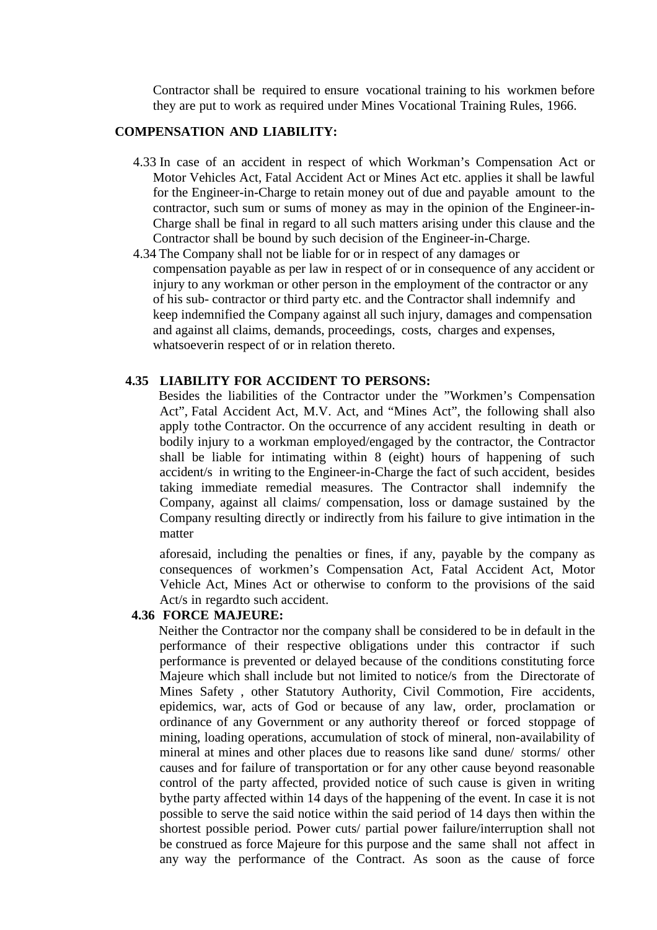Contractor shall be required to ensure vocational training to his workmen before they are put to work as required under Mines Vocational Training Rules, 1966.

#### **COMPENSATION AND LIABILITY:**

- 4.33 In case of an accident in respect of which Workman's Compensation Act or Motor Vehicles Act, Fatal Accident Act or Mines Act etc. applies it shall be lawful for the Engineer-in-Charge to retain money out of due and payable amount to the contractor, such sum or sums of money as may in the opinion of the Engineer-in-Charge shall be final in regard to all such matters arising under this clause and the Contractor shall be bound by such decision of the Engineer-in-Charge.
- 4.34 The Company shall not be liable for or in respect of any damages or compensation payable as per law in respect of or in consequence of any accident or injury to any workman or other person in the employment of the contractor or any of his sub- contractor or third party etc. and the Contractor shall indemnify and keep indemnified the Company against all such injury, damages and compensation and against all claims, demands, proceedings, costs, charges and expenses, whatsoever in respect of or in relation thereto.

#### **4.35 LIABILITY FOR ACCIDENT TO PERSONS:**

Besides the liabilities of the Contractor under the "Workmen's Compensation Act", Fatal Accident Act, M.V. Act, and "Mines Act", the following shall also apply to the Contractor. On the occurrence of any accident resulting in death or bodily injury to a workman employed/engaged by the contractor, the Contractor shall be liable for intimating within 8 (eight) hours of happening of such accident/s in writing to the Engineer-in-Charge the fact of such accident, besides taking immediate remedial measures. The Contractor shall indemnify the Company, against all claims/ compensation, loss or damage sustained by the Company resulting directly or indirectly from his failure to give intimation in the matter

aforesaid, including the penalties or fines, if any, payable by the company as consequences of workmen's Compensation Act, Fatal Accident Act, Motor Vehicle Act, Mines Act or otherwise to conform to the provisions of the said Act/s in regard to such accident.

#### **4.36 FORCE MAJEURE:**

Neither the Contractor nor the company shall be considered to be in default in the performance of their respective obligations under this contractor if such performance is prevented or delayed because of the conditions constituting force Majeure which shall include but not limited to notice/s from the Directorate of Mines Safety , other Statutory Authority, Civil Commotion, Fire accidents, epidemics, war, acts of God or because of any law, order, proclamation or ordinance of any Government or any authority thereof or forced stoppage of mining, loading operations, accumulation of stock of mineral, non-availability of mineral at mines and other places due to reasons like sand dune/ storms/ other causes and for failure of transportation or for any other cause beyond reasonable control of the party affected, provided notice of such cause is given in writing by the party affected within 14 days of the happening of the event. In case it is not possible to serve the said notice within the said period of 14 days then within the shortest possible period. Power cuts/ partial power failure/interruption shall not be construed as force Majeure for this purpose and the same shall not affect in any way the performance of the Contract. As soon as the cause of force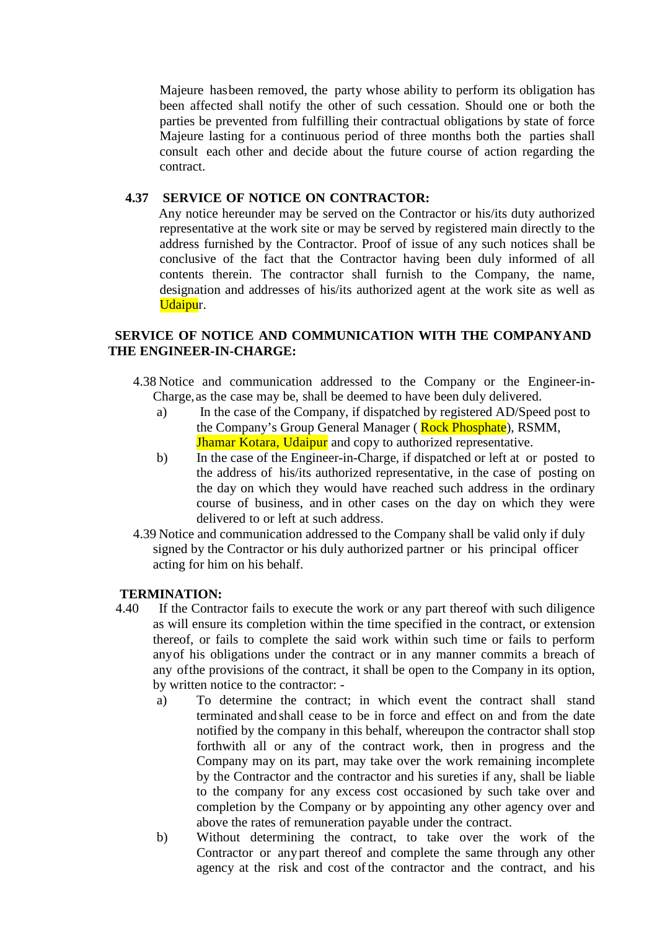Majeure has been removed, the party whose ability to perform its obligation has been affected shall notify the other of such cessation. Should one or both the parties be prevented from fulfilling their contractual obligations by state of force Majeure lasting for a continuous period of three months both the parties shall consult each other and decide about the future course of action regarding the contract.

#### **4.37 SERVICE OF NOTICE ON CONTRACTOR:**

Any notice hereunder may be served on the Contractor or his/its duty authorized representative at the work site or may be served by registered main directly to the address furnished by the Contractor. Proof of issue of any such notices shall be conclusive of the fact that the Contractor having been duly informed of all contents therein. The contractor shall furnish to the Company, the name, designation and addresses of his/its authorized agent at the work site as well as Udaipur.

# **SERVICE OF NOTICE AND COMMUNICATION WITH THE COMPANY AND THE ENGINEER-IN-CHARGE:**

- 4.38 Notice and communication addressed to the Company or the Engineer-in-Charge, as the case may be, shall be deemed to have been duly delivered.
	- a) In the case of the Company, if dispatched by registered AD/Speed post to the Company's Group General Manager (Rock Phosphate), RSMM, Jhamar Kotara, Udaipur and copy to authorized representative.
	- b) In the case of the Engineer-in-Charge, if dispatched or left at or posted to the address of his/its authorized representative, in the case of posting on the day on which they would have reached such address in the ordinary course of business, and in other cases on the day on which they were delivered to or left at such address.
- 4.39 Notice and communication addressed to the Company shall be valid only if duly signed by the Contractor or his duly authorized partner or his principal officer acting for him on his behalf.

#### **TERMINATION:**

- 4.40 If the Contractor fails to execute the work or any part thereof with such diligence as will ensure its completion within the time specified in the contract, or extension thereof, or fails to complete the said work within such time or fails to perform any of his obligations under the contract or in any manner commits a breach of any of the provisions of the contract, it shall be open to the Company in its option, by written notice to the contractor:
	- a) To determine the contract; in which event the contract shall stand terminated and shall cease to be in force and effect on and from the date notified by the company in this behalf, whereupon the contractor shall stop forthwith all or any of the contract work, then in progress and the Company may on its part, may take over the work remaining incomplete by the Contractor and the contractor and his sureties if any, shall be liable to the company for any excess cost occasioned by such take over and completion by the Company or by appointing any other agency over and above the rates of remuneration payable under the contract.
	- b) Without determining the contract, to take over the work of the Contractor or any part thereof and complete the same through any other agency at the risk and cost of the contractor and the contract, and his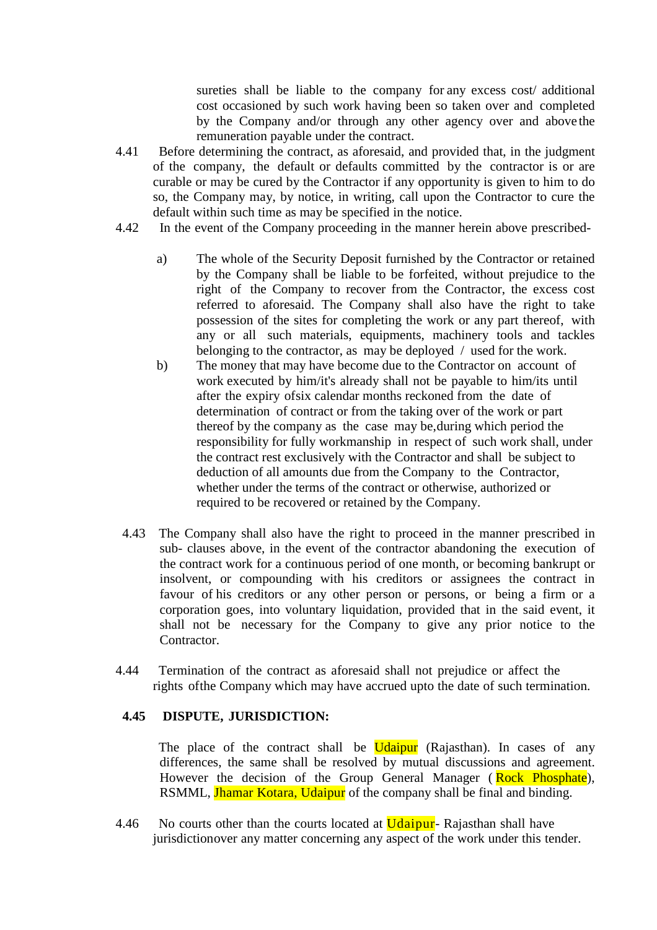sureties shall be liable to the company for any excess cost/ additional cost occasioned by such work having been so taken over and completed by the Company and/or through any other agency over and above the remuneration payable under the contract.

- 4.41 Before determining the contract, as aforesaid, and provided that, in the judgment of the company, the default or defaults committed by the contractor is or are curable or may be cured by the Contractor if any opportunity is given to him to do so, the Company may, by notice, in writing, call upon the Contractor to cure the default within such time as may be specified in the notice.
- 4.42 In the event of the Company proceeding in the manner herein above prescribed
	- a) The whole of the Security Deposit furnished by the Contractor or retained by the Company shall be liable to be forfeited, without prejudice to the right of the Company to recover from the Contractor, the excess cost referred to aforesaid. The Company shall also have the right to take possession of the sites for completing the work or any part thereof, with any or all such materials, equipments, machinery tools and tackles belonging to the contractor, as may be deployed / used for the work.
	- b) The money that may have become due to the Contractor on account of work executed by him/it's already shall not be payable to him/its until after the expiry of six calendar months reckoned from the date of determination of contract or from the taking over of the work or part thereof by the company as the case may be, during which period the responsibility for fully workmanship in respect of such work shall, under the contract rest exclusively with the Contractor and shall be subject to deduction of all amounts due from the Company to the Contractor, whether under the terms of the contract or otherwise, authorized or required to be recovered or retained by the Company.
- 4.43 The Company shall also have the right to proceed in the manner prescribed in sub- clauses above, in the event of the contractor abandoning the execution of the contract work for a continuous period of one month, or becoming bankrupt or insolvent, or compounding with his creditors or assignees the contract in favour of his creditors or any other person or persons, or being a firm or a corporation goes, into voluntary liquidation, provided that in the said event, it shall not be necessary for the Company to give any prior notice to the Contractor.
- 4.44 Termination of the contract as aforesaid shall not prejudice or affect the rights of the Company which may have accrued upto the date of such termination.

#### **4.45 DISPUTE, JURISDICTION:**

The place of the contract shall be **Udaipur** (Rajasthan). In cases of any differences, the same shall be resolved by mutual discussions and agreement. However the decision of the Group General Manager (Rock Phosphate), RSMML, Jhamar Kotara, Udaipur of the company shall be final and binding.

4.46 No courts other than the courts located at **Udaipur**- Rajasthan shall have jurisdiction over any matter concerning any aspect of the work under this tender.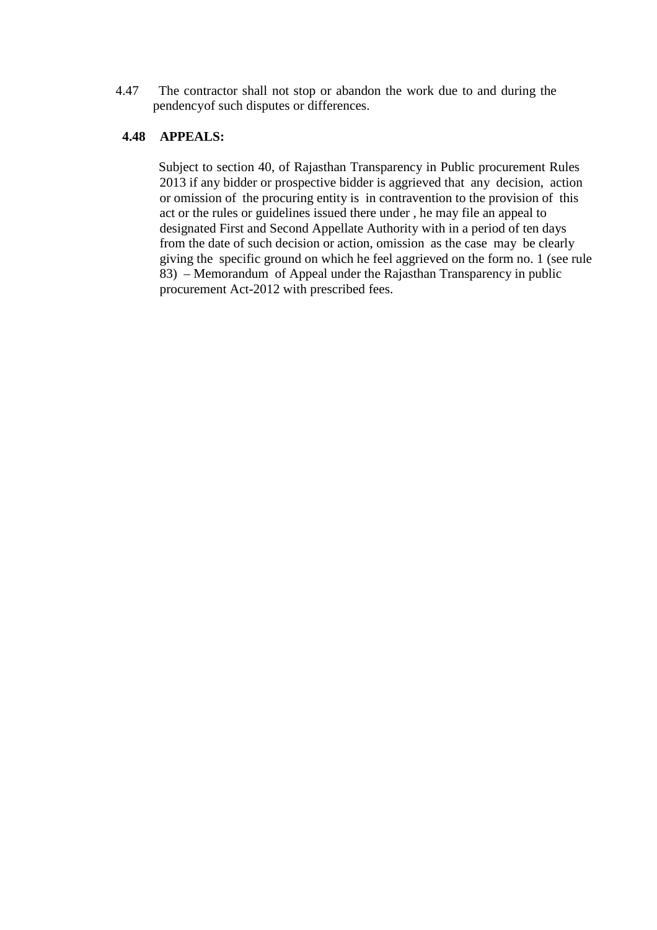4.47 The contractor shall not stop or abandon the work due to and during the pendency of such disputes or differences.

# **4.48 APPEALS:**

Subject to section 40, of Rajasthan Transparency in Public procurement Rules 2013 if any bidder or prospective bidder is aggrieved that any decision, action or omission of the procuring entity is in contravention to the provision of this act or the rules or guidelines issued there under , he may file an appeal to designated First and Second Appellate Authority with in a period of ten days from the date of such decision or action, omission as the case may be clearly giving the specific ground on which he feel aggrieved on the form no. 1 (see rule 83) – Memorandum of Appeal under the Rajasthan Transparency in public procurement Act-2012 with prescribed fees.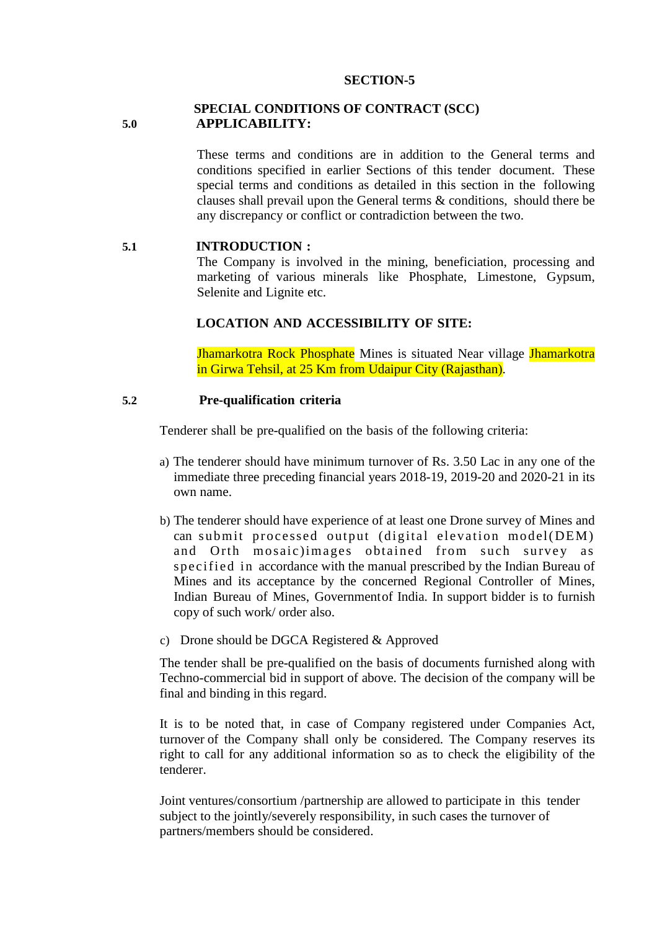#### **SECTION-5**

#### **SPECIAL CONDITIONS OF CONTRACT (SCC) 5.0 APPLICABILITY:**

These terms and conditions are in addition to the General terms and conditions specified in earlier Sections of this tender document. These special terms and conditions as detailed in this section in the following clauses shall prevail upon the General terms & conditions, should there be any discrepancy or conflict or contradiction between the two.

#### **5.1 INTRODUCTION :**

The Company is involved in the mining, beneficiation, processing and marketing of various minerals like Phosphate, Limestone, Gypsum, Selenite and Lignite etc.

#### **LOCATION AND ACCESSIBILITY OF SITE:**

Jhamarkotra Rock Phosphate Mines is situated Near village Jhamarkotra in Girwa Tehsil, at 25 Km from Udaipur City (Rajasthan).

#### **5.2 Pre-qualification criteria**

Tenderer shall be pre-qualified on the basis of the following criteria:

- a) The tenderer should have minimum turnover of Rs. 3.50 Lac in any one of the immediate three preceding financial years 2018-19, 2019-20 and 2020-21 in its own name.
- b) The tenderer should have experience of at least one Drone survey of Mines and can submit processed output (digital elevation model(DEM) and Orth mosaic)images obtained from such survey as specified in accordance with the manual prescribed by the Indian Bureau of Mines and its acceptance by the concerned Regional Controller of Mines, Indian Bureau of Mines, Government of India. In support bidder is to furnish copy of such work/ order also.
- c) Drone should be DGCA Registered & Approved

The tender shall be pre-qualified on the basis of documents furnished along with Techno-commercial bid in support of above. The decision of the company will be final and binding in this regard.

It is to be noted that, in case of Company registered under Companies Act, turnover of the Company shall only be considered. The Company reserves its right to call for any additional information so as to check the eligibility of the tenderer.

Joint ventures/consortium /partnership are allowed to participate in this tender subject to the jointly/severely responsibility, in such cases the turnover of partners/members should be considered.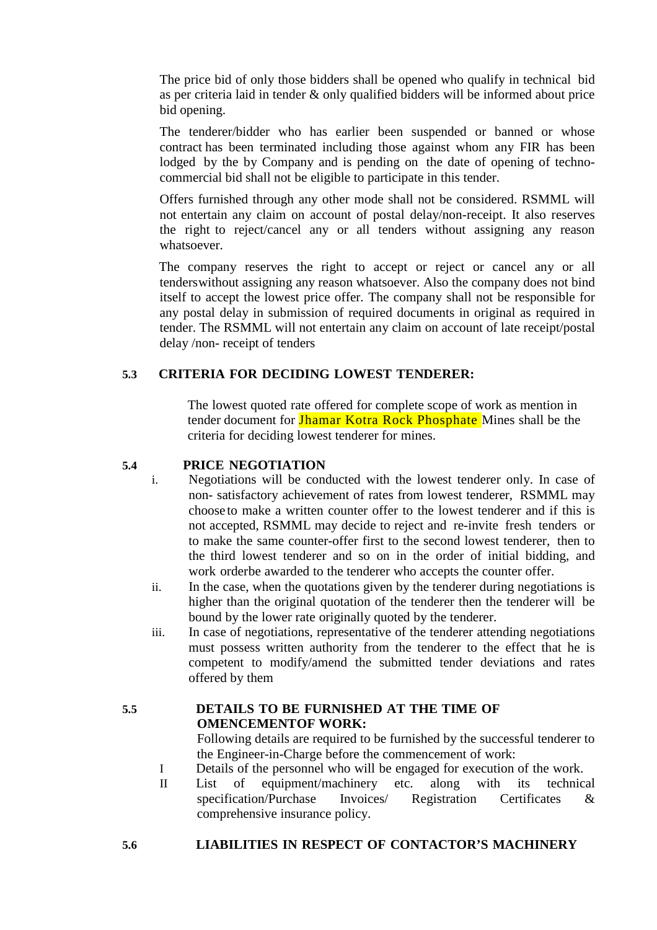The price bid of only those bidders shall be opened who qualify in technical bid as per criteria laid in tender & only qualified bidders will be informed about price bid opening.

The tenderer/bidder who has earlier been suspended or banned or whose contract has been terminated including those against whom any FIR has been lodged by the by Company and is pending on the date of opening of technocommercial bid shall not be eligible to participate in this tender.

Offers furnished through any other mode shall not be considered. RSMML will not entertain any claim on account of postal delay/non-receipt. It also reserves the right to reject/cancel any or all tenders without assigning any reason whatsoever.

The company reserves the right to accept or reject or cancel any or all tenders without assigning any reason whatsoever. Also the company does not bind itself to accept the lowest price offer. The company shall not be responsible for any postal delay in submission of required documents in original as required in tender. The RSMML will not entertain any claim on account of late receipt/postal delay /non- receipt of tenders

# **5.3 CRITERIA FOR DECIDING LOWEST TENDERER:**

The lowest quoted rate offered for complete scope of work as mention in tender document for **Jhamar Kotra Rock Phosphate** Mines shall be the criteria for deciding lowest tenderer for mines.

#### **5.4 PRICE NEGOTIATION**

- i. Negotiations will be conducted with the lowest tenderer only. In case of non- satisfactory achievement of rates from lowest tenderer, RSMML may choose to make a written counter offer to the lowest tenderer and if this is not accepted, RSMML may decide to reject and re-invite fresh tenders or to make the same counter-offer first to the second lowest tenderer, then to the third lowest tenderer and so on in the order of initial bidding, and work orderbe awarded to the tenderer who accepts the counter offer.
- ii. In the case, when the quotations given by the tenderer during negotiations is higher than the original quotation of the tenderer then the tenderer will be bound by the lower rate originally quoted by the tenderer.
- iii. In case of negotiations, representative of the tenderer attending negotiations must possess written authority from the tenderer to the effect that he is competent to modify/amend the submitted tender deviations and rates offered by them

# **5.5 DETAILS TO BE FURNISHED AT THE TIME OF OMENCEMENTOF WORK:**

Following details are required to be furnished by the successful tenderer to the Engineer-in-Charge before the commencement of work:

- I Details of the personnel who will be engaged for execution of the work.
- II List of equipment/machinery etc. along with its technical specification/Purchase Invoices/ Registration Certificates & comprehensive insurance policy.

# **5.6 LIABILITIES IN RESPECT OF CONTACTOR'S MACHINERY**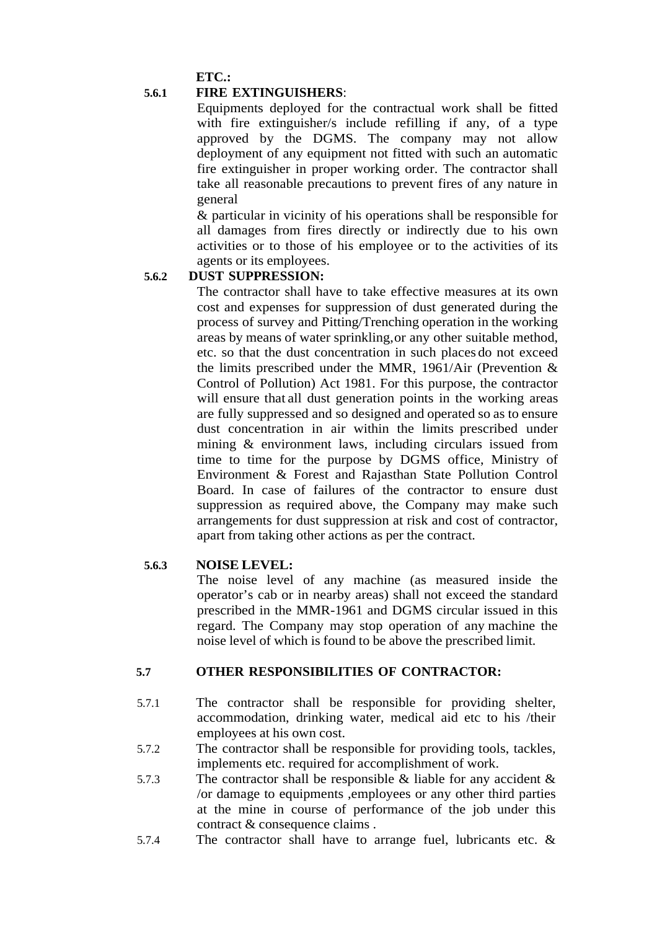**ETC.:**

# **5.6.1 FIRE EXTINGUISHERS**:

Equipments deployed for the contractual work shall be fitted with fire extinguisher/s include refilling if any, of a type approved by the DGMS. The company may not allow deployment of any equipment not fitted with such an automatic fire extinguisher in proper working order. The contractor shall take all reasonable precautions to prevent fires of any nature in general

& particular in vicinity of his operations shall be responsible for all damages from fires directly or indirectly due to his own activities or to those of his employee or to the activities of its agents or its employees.

# **5.6.2 DUST SUPPRESSION:**

The contractor shall have to take effective measures at its own cost and expenses for suppression of dust generated during the process of survey and Pitting/Trenching operation in the working areas by means of water sprinkling, or any other suitable method, etc. so that the dust concentration in such places do not exceed the limits prescribed under the MMR, 1961/Air (Prevention & Control of Pollution) Act 1981. For this purpose, the contractor will ensure that all dust generation points in the working areas are fully suppressed and so designed and operated so as to ensure dust concentration in air within the limits prescribed under mining & environment laws, including circulars issued from time to time for the purpose by DGMS office, Ministry of Environment & Forest and Rajasthan State Pollution Control Board. In case of failures of the contractor to ensure dust suppression as required above, the Company may make such arrangements for dust suppression at risk and cost of contractor, apart from taking other actions as per the contract.

#### **5.6.3 NOISE LEVEL:**

The noise level of any machine (as measured inside the operator's cab or in nearby areas) shall not exceed the standard prescribed in the MMR-1961 and DGMS circular issued in this regard. The Company may stop operation of any machine the noise level of which is found to be above the prescribed limit.

# **5.7 OTHER RESPONSIBILITIES OF CONTRACTOR:**

- 5.7.1 The contractor shall be responsible for providing shelter, accommodation, drinking water, medical aid etc to his /their employees at his own cost.
- 5.7.2 The contractor shall be responsible for providing tools, tackles, implements etc. required for accomplishment of work.
- 5.7.3 The contractor shall be responsible & liable for any accident & /or damage to equipments ,employees or any other third parties at the mine in course of performance of the job under this contract & consequence claims .
- 5.7.4 The contractor shall have to arrange fuel, lubricants etc. &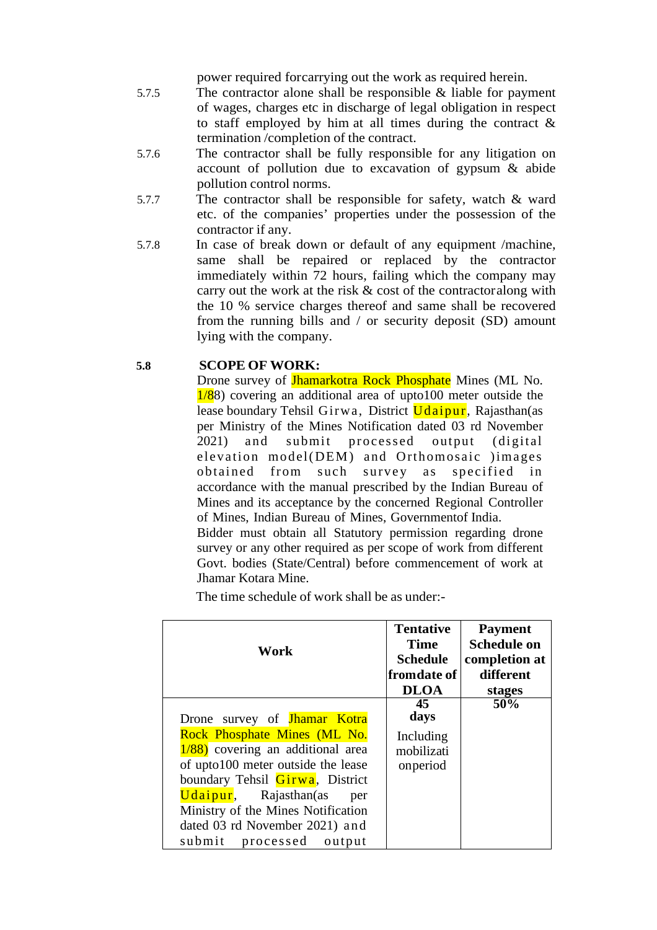power required for carrying out the work as required herein.

- 5.7.5 The contractor alone shall be responsible & liable for payment of wages, charges etc in discharge of legal obligation in respect to staff employed by him at all times during the contract  $\&$ termination /completion of the contract.
- 5.7.6 The contractor shall be fully responsible for any litigation on account of pollution due to excavation of gypsum & abide pollution control norms.
- 5.7.7 The contractor shall be responsible for safety, watch & ward etc. of the companies' properties under the possession of the contractor if any.
- 5.7.8 In case of break down or default of any equipment /machine, same shall be repaired or replaced by the contractor immediately within 72 hours, failing which the company may carry out the work at the risk & cost of the contractor along with the 10 % service charges thereof and same shall be recovered from the running bills and / or security deposit (SD) amount lying with the company.

# **5.8 SCOPE OF WORK:**

Drone survey of **Jhamarkotra Rock Phosphate** Mines (ML No. 1/88) covering an additional area of upto100 meter outside the lease boundary Tehsil Girwa, District Udaipur, Rajasthan(as per Ministry of the Mines Notification dated 03 rd November 2021) and submit processed output (digital elevation model(DEM) and Orthomosaic )images obtained from such survey as specified in accordance with the manual prescribed by the Indian Bureau of Mines and its acceptance by the concerned Regional Controller of Mines, Indian Bureau of Mines, Government of India.

Bidder must obtain all Statutory permission regarding drone survey or any other required as per scope of work from different Govt. bodies (State/Central) before commencement of work at Jhamar Kotara Mine.

The time schedule of work shall be as under:-

| Work                                                                                                                                                                                                                                                                                                                        | <b>Tentative</b><br>Time<br><b>Schedule</b><br>fromdate of     | <b>Payment</b><br><b>Schedule on</b><br>completion at<br>different |
|-----------------------------------------------------------------------------------------------------------------------------------------------------------------------------------------------------------------------------------------------------------------------------------------------------------------------------|----------------------------------------------------------------|--------------------------------------------------------------------|
|                                                                                                                                                                                                                                                                                                                             | <b>DLOA</b>                                                    | stages                                                             |
| Drone survey of <b>Jhamar Kotra</b><br>Rock Phosphate Mines (ML No.<br>$1/88$ ) covering an additional area<br>of upto 100 meter outside the lease<br>boundary Tehsil Girwa, District<br>Udaipur, Rajasthan(as<br>per<br>Ministry of the Mines Notification<br>dated 03 rd November 2021) and<br>submit processed<br>output | $\overline{45}$<br>days<br>Including<br>mobilizati<br>onperiod | 50%                                                                |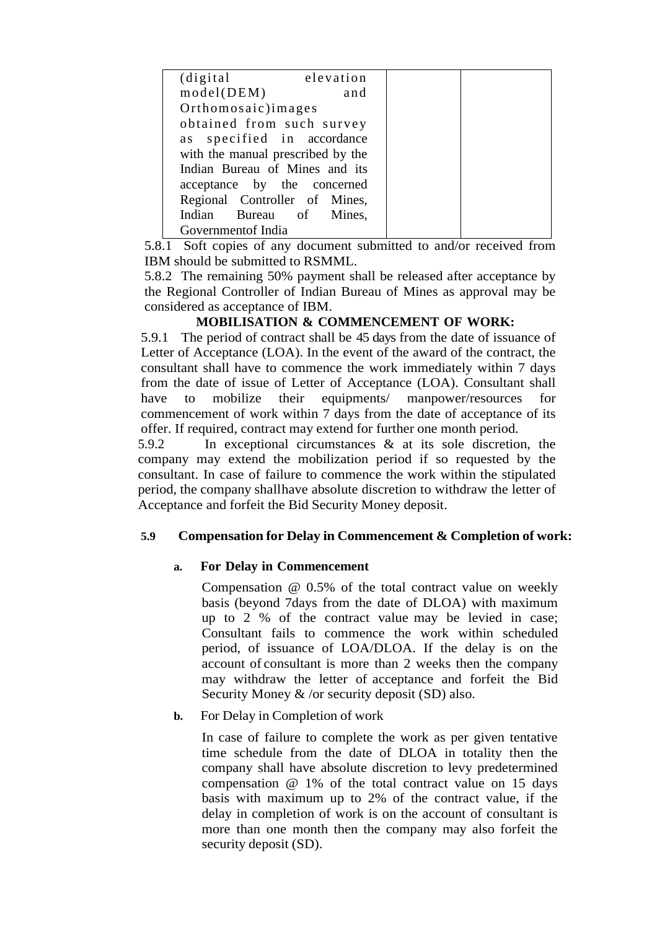| (digital)                         | elevation |  |
|-----------------------------------|-----------|--|
| model(DEM)                        | and       |  |
| Orthomosaic) images               |           |  |
| obtained from such survey         |           |  |
| as specified in accordance        |           |  |
| with the manual prescribed by the |           |  |
| Indian Bureau of Mines and its    |           |  |
| acceptance by the concerned       |           |  |
| Regional Controller of Mines,     |           |  |
| Indian Bureau of Mines,           |           |  |
| Governmentof India                |           |  |

5.8.1 Soft copies of any document submitted to and/or received from IBM should be submitted to RSMML.

5.8.2 The remaining 50% payment shall be released after acceptance by the Regional Controller of Indian Bureau of Mines as approval may be considered as acceptance of IBM.

# **MOBILISATION & COMMENCEMENT OF WORK:**

5.9.1 The period of contract shall be 45 days from the date of issuance of Letter of Acceptance (LOA). In the event of the award of the contract, the consultant shall have to commence the work immediately within 7 days from the date of issue of Letter of Acceptance (LOA). Consultant shall have to mobilize their equipments/ manpower/resources for commencement of work within 7 days from the date of acceptance of its offer. If required, contract may extend for further one month period.

5.9.2 In exceptional circumstances & at its sole discretion, the company may extend the mobilization period if so requested by the consultant. In case of failure to commence the work within the stipulated period, the company shall have absolute discretion to withdraw the letter of Acceptance and forfeit the Bid Security Money deposit.

# **5.9 Compensation for Delay in Commencement & Completion of work:**

#### **a. For Delay in Commencement**

Compensation @ 0.5% of the total contract value on weekly basis (beyond 7days from the date of DLOA) with maximum up to 2 % of the contract value may be levied in case; Consultant fails to commence the work within scheduled period, of issuance of LOA/DLOA. If the delay is on the account of consultant is more than 2 weeks then the company may withdraw the letter of acceptance and forfeit the Bid Security Money & /or security deposit (SD) also.

**b.** For Delay in Completion of work

In case of failure to complete the work as per given tentative time schedule from the date of DLOA in totality then the company shall have absolute discretion to levy predetermined compensation @ 1% of the total contract value on 15 days basis with maximum up to 2% of the contract value, if the delay in completion of work is on the account of consultant is more than one month then the company may also forfeit the security deposit (SD).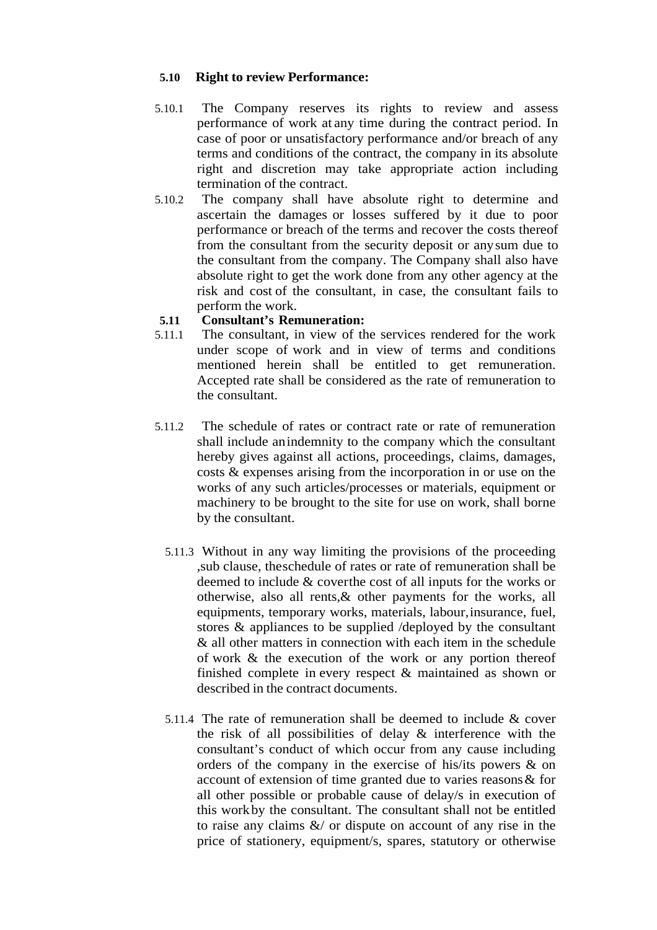# **5.10 Right to review Performance:**

- 5.10.1 The Company reserves its rights to review and assess performance of work at any time during the contract period. In case of poor or unsatisfactory performance and/or breach of any terms and conditions of the contract, the company in its absolute right and discretion may take appropriate action including termination of the contract.
- 5.10.2 The company shall have absolute right to determine and ascertain the damages or losses suffered by it due to poor performance or breach of the terms and recover the costs thereof from the consultant from the security deposit or any sum due to the consultant from the company. The Company shall also have absolute right to get the work done from any other agency at the risk and cost of the consultant, in case, the consultant fails to perform the work.

#### **5.11 Consultant's Remuneration:**

- 5.11.1 The consultant, in view of the services rendered for the work under scope of work and in view of terms and conditions mentioned herein shall be entitled to get remuneration. Accepted rate shall be considered as the rate of remuneration to the consultant.
- 5.11.2 The schedule of rates or contract rate or rate of remuneration shall include an indemnity to the company which the consultant hereby gives against all actions, proceedings, claims, damages, costs & expenses arising from the incorporation in or use on the works of any such articles/processes or materials, equipment or machinery to be brought to the site for use on work, shall borne by the consultant.
	- 5.11.3 Without in any way limiting the provisions of the proceeding ,sub clause, the schedule of rates or rate of remuneration shall be deemed to include & cover the cost of all inputs for the works or otherwise, also all rents,& other payments for the works, all equipments, temporary works, materials, labour, insurance, fuel, stores & appliances to be supplied /deployed by the consultant & all other matters in connection with each item in the schedule of work & the execution of the work or any portion thereof finished complete in every respect & maintained as shown or described in the contract documents.
	- 5.11.4 The rate of remuneration shall be deemed to include & cover the risk of all possibilities of delay & interference with the consultant's conduct of which occur from any cause including orders of the company in the exercise of his/its powers & on account of extension of time granted due to varies reasons & for all other possible or probable cause of delay/s in execution of this work by the consultant. The consultant shall not be entitled to raise any claims  $\&$  or dispute on account of any rise in the price of stationery, equipment/s, spares, statutory or otherwise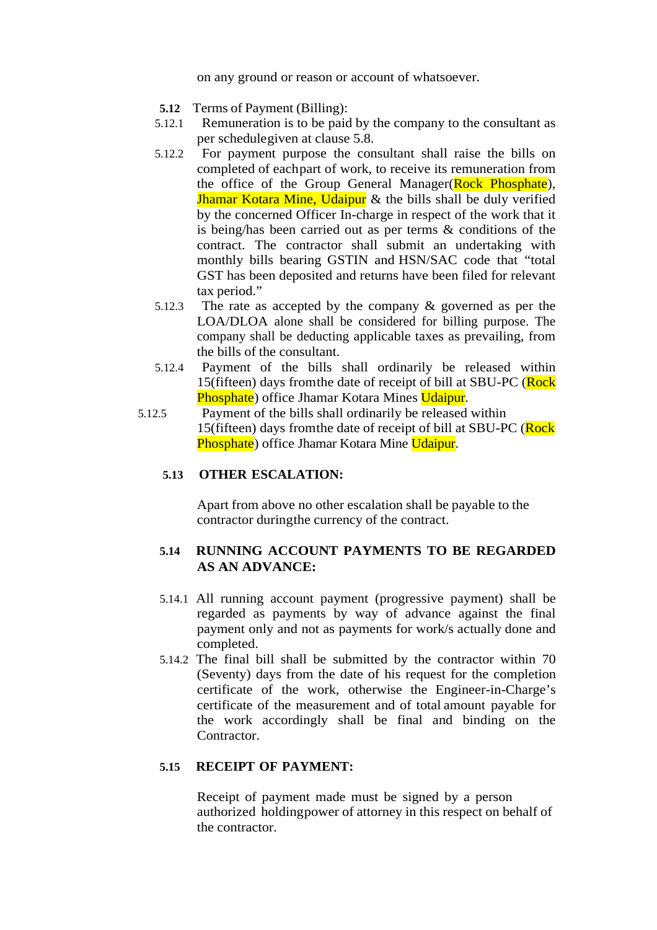on any ground or reason or account of whatsoever.

- **5.12** Terms of Payment (Billing):
- 5.12.1 Remuneration is to be paid by the company to the consultant as per schedule given at clause 5.8.
- 5.12.2 For payment purpose the consultant shall raise the bills on completed of each part of work, to receive its remuneration from the office of the Group General Manager(Rock Phosphate), **Jhamar Kotara Mine, Udaipur** & the bills shall be duly verified by the concerned Officer In-charge in respect of the work that it is being/has been carried out as per terms & conditions of the contract. The contractor shall submit an undertaking with monthly bills bearing GSTIN and HSN/SAC code that "total GST has been deposited and returns have been filed for relevant tax period."
- 5.12.3 The rate as accepted by the company & governed as per the LOA/DLOA alone shall be considered for billing purpose. The company shall be deducting applicable taxes as prevailing, from the bills of the consultant.
- 5.12.4 Payment of the bills shall ordinarily be released within 15(fifteen) days from the date of receipt of bill at SBU-PC (Rock Phosphate) office Jhamar Kotara Mines Udaipur.
- 5.12.5 Payment of the bills shall ordinarily be released within 15(fifteen) days from the date of receipt of bill at SBU-PC (Rock Phosphate) office Jhamar Kotara Mine Udaipur.

#### **5.13 OTHER ESCALATION:**

Apart from above no other escalation shall be payable to the contractor during the currency of the contract.

#### **5.14 RUNNING ACCOUNT PAYMENTS TO BE REGARDED AS AN ADVANCE:**

- 5.14.1 All running account payment (progressive payment) shall be regarded as payments by way of advance against the final payment only and not as payments for work/s actually done and completed.
- 5.14.2 The final bill shall be submitted by the contractor within 70 (Seventy) days from the date of his request for the completion certificate of the work, otherwise the Engineer-in-Charge's certificate of the measurement and of total amount payable for the work accordingly shall be final and binding on the **Contractor**

#### **5.15 RECEIPT OF PAYMENT:**

Receipt of payment made must be signed by a person authorized holding power of attorney in this respect on behalf of the contractor.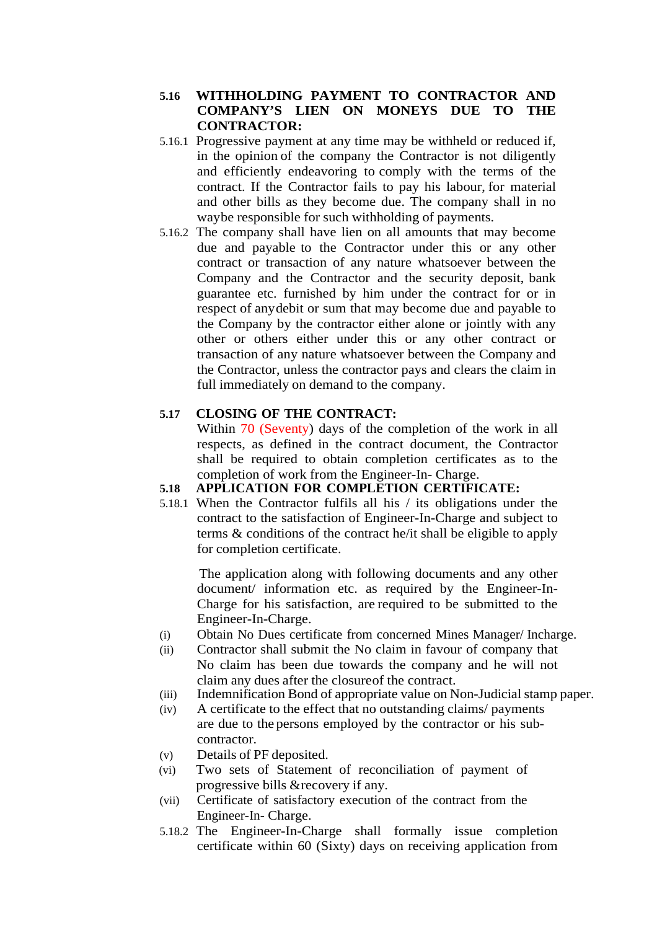#### **5.16 WITHHOLDING PAYMENT TO CONTRACTOR AND COMPANY'S LIEN ON MONEYS DUE TO THE CONTRACTOR:**

- 5.16.1 Progressive payment at any time may be withheld or reduced if, in the opinion of the company the Contractor is not diligently and efficiently endeavoring to comply with the terms of the contract. If the Contractor fails to pay his labour, for material and other bills as they become due. The company shall in no way be responsible for such withholding of payments.
- 5.16.2 The company shall have lien on all amounts that may become due and payable to the Contractor under this or any other contract or transaction of any nature whatsoever between the Company and the Contractor and the security deposit, bank guarantee etc. furnished by him under the contract for or in respect of any debit or sum that may become due and payable to the Company by the contractor either alone or jointly with any other or others either under this or any other contract or transaction of any nature whatsoever between the Company and the Contractor, unless the contractor pays and clears the claim in full immediately on demand to the company.

#### **5.17 CLOSING OF THE CONTRACT:**

Within 70 (Seventy) days of the completion of the work in all respects, as defined in the contract document, the Contractor shall be required to obtain completion certificates as to the completion of work from the Engineer-In- Charge.

#### **5.18 APPLICATION FOR COMPLETION CERTIFICATE:**

5.18.1 When the Contractor fulfils all his / its obligations under the contract to the satisfaction of Engineer-In-Charge and subject to terms & conditions of the contract he/it shall be eligible to apply for completion certificate.

The application along with following documents and any other document/ information etc. as required by the Engineer-In-Charge for his satisfaction, are required to be submitted to the Engineer-In-Charge.

- (i) Obtain No Dues certificate from concerned Mines Manager/ Incharge.
- (ii) Contractor shall submit the No claim in favour of company that No claim has been due towards the company and he will not claim any dues after the closure of the contract.
- (iii) Indemnification Bond of appropriate value on Non-Judicial stamp paper.
- (iv) A certificate to the effect that no outstanding claims/ payments are due to the persons employed by the contractor or his subcontractor.
- (v) Details of PF deposited.
- (vi) Two sets of Statement of reconciliation of payment of progressive bills & recovery if any.
- (vii) Certificate of satisfactory execution of the contract from the Engineer-In- Charge.
- 5.18.2 The Engineer-In-Charge shall formally issue completion certificate within 60 (Sixty) days on receiving application from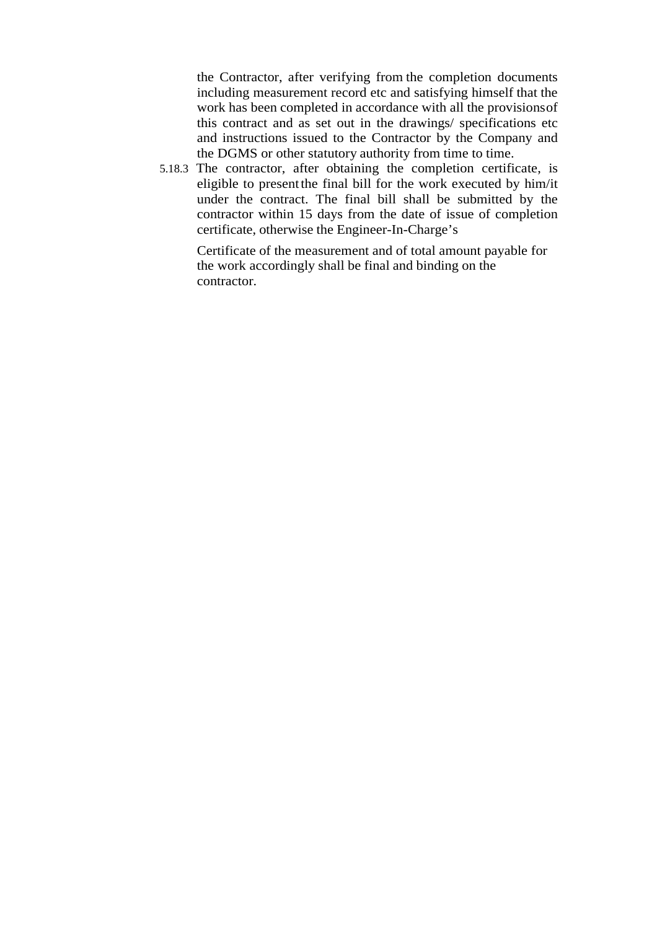the Contractor, after verifying from the completion documents including measurement record etc and satisfying himself that the work has been completed in accordance with all the provisions of this contract and as set out in the drawings/ specifications etc and instructions issued to the Contractor by the Company and the DGMS or other statutory authority from time to time.

5.18.3 The contractor, after obtaining the completion certificate, is eligible to present the final bill for the work executed by him/it under the contract. The final bill shall be submitted by the contractor within 15 days from the date of issue of completion certificate, otherwise the Engineer-In-Charge's

Certificate of the measurement and of total amount payable for the work accordingly shall be final and binding on the contractor.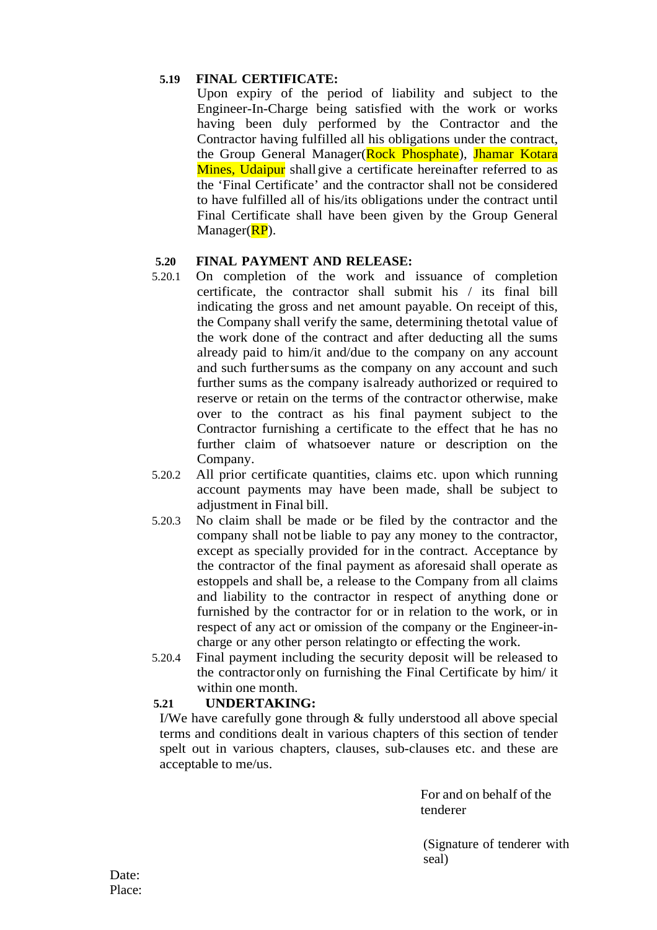# **5.19 FINAL CERTIFICATE:**

Upon expiry of the period of liability and subject to the Engineer-In-Charge being satisfied with the work or works having been duly performed by the Contractor and the Contractor having fulfilled all his obligations under the contract, the Group General Manager(Rock Phosphate), Jhamar Kotara Mines, Udaipur shall give a certificate hereinafter referred to as the 'Final Certificate' and the contractor shall not be considered to have fulfilled all of his/its obligations under the contract until Final Certificate shall have been given by the Group General Manager(RP).

# **5.20 FINAL PAYMENT AND RELEASE:**

- 5.20.1 On completion of the work and issuance of completion certificate, the contractor shall submit his / its final bill indicating the gross and net amount payable. On receipt of this, the Company shall verify the same, determining the total value of the work done of the contract and after deducting all the sums already paid to him/it and/due to the company on any account and such further sums as the company on any account and such further sums as the company is already authorized or required to reserve or retain on the terms of the contract or otherwise, make over to the contract as his final payment subject to the Contractor furnishing a certificate to the effect that he has no further claim of whatsoever nature or description on the Company.
- 5.20.2 All prior certificate quantities, claims etc. upon which running account payments may have been made, shall be subject to adjustment in Final bill.
- 5.20.3 No claim shall be made or be filed by the contractor and the company shall not be liable to pay any money to the contractor, except as specially provided for in the contract. Acceptance by the contractor of the final payment as aforesaid shall operate as estoppels and shall be, a release to the Company from all claims and liability to the contractor in respect of anything done or furnished by the contractor for or in relation to the work, or in respect of any act or omission of the company or the Engineer-incharge or any other person relating to or effecting the work.
- 5.20.4 Final payment including the security deposit will be released to the contractor only on furnishing the Final Certificate by him/ it within one month.

#### **5.21 UNDERTAKING:**

I/We have carefully gone through & fully understood all above special terms and conditions dealt in various chapters of this section of tender spelt out in various chapters, clauses, sub-clauses etc. and these are acceptable to me/us.

> For and on behalf of the tenderer

(Signature of tenderer with seal)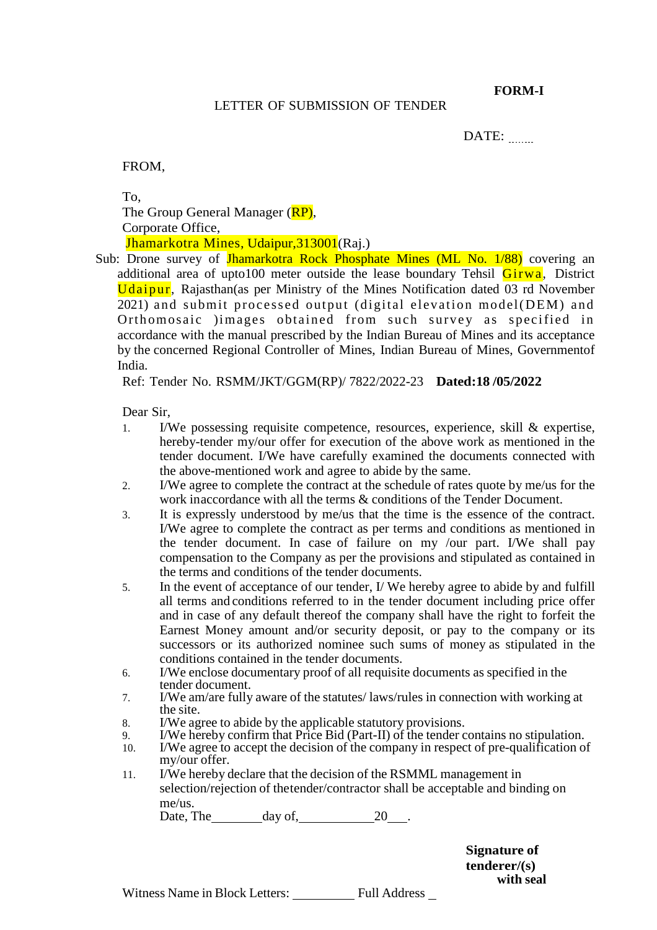**FORM-I** 

#### LETTER OF SUBMISSION OF TENDER

DATE:

FROM,

To,

The Group General Manager (RP), Corporate Office, Jhamarkotra Mines, Udaipur, 313001 (Raj.)

Sub: Drone survey of Jhamarkotra Rock Phosphate Mines (ML No. 1/88) covering an additional area of upto100 meter outside the lease boundary Tehsil  $Girwa$ , District Udaipur, Rajasthan(as per Ministry of the Mines Notification dated 03 rd November 2021) and submit processed output (digital elevation model(DEM) and Orthomosaic )images obtained from such survey as specified in accordance with the manual prescribed by the Indian Bureau of Mines and its acceptance by the concerned Regional Controller of Mines, Indian Bureau of Mines, Government of India.

Ref: Tender No. RSMM/JKT/GGM(RP)/ 7822/2022-23 **Dated:18 /05/2022**

Dear Sir,

- 1. I/We possessing requisite competence, resources, experience, skill & expertise, hereby-tender my/our offer for execution of the above work as mentioned in the tender document. I/We have carefully examined the documents connected with the above-mentioned work and agree to abide by the same.
- 2. I/We agree to complete the contract at the schedule of rates quote by me/us for the work in accordance with all the terms  $\&$  conditions of the Tender Document.
- 3. It is expressly understood by me/us that the time is the essence of the contract. I/We agree to complete the contract as per terms and conditions as mentioned in the tender document. In case of failure on my /our part. I/We shall pay compensation to the Company as per the provisions and stipulated as contained in the terms and conditions of the tender documents.
- 5. In the event of acceptance of our tender, I/ We hereby agree to abide by and fulfill all terms and conditions referred to in the tender document including price offer and in case of any default thereof the company shall have the right to forfeit the Earnest Money amount and/or security deposit, or pay to the company or its successors or its authorized nominee such sums of money as stipulated in the conditions contained in the tender documents.
- 6. I/We enclose documentary proof of all requisite documents as specified in the tender document.
- 7. I/We am/are fully aware of the statutes/ laws/rules in connection with working at the site.
- 8. I/We agree to abide by the applicable statutory provisions.<br>9. I/We hereby confirm that Price Bid (Part-II) of the tender c
- 9. I/We hereby confirm that Price Bid (Part-II) of the tender contains no stipulation.<br>10. I/We agree to accept the decision of the company in respect of pre-qualification of
- I/We agree to accept the decision of the company in respect of pre-qualification of my/our offer.
- 11. I/We hereby declare that the decision of the RSMML management in selection/rejection of the tender/contractor shall be acceptable and binding on me/us.

Date, The day of, 20 .

**Signature of tenderer/(s) with seal**

Witness Name in Block Letters: Full Address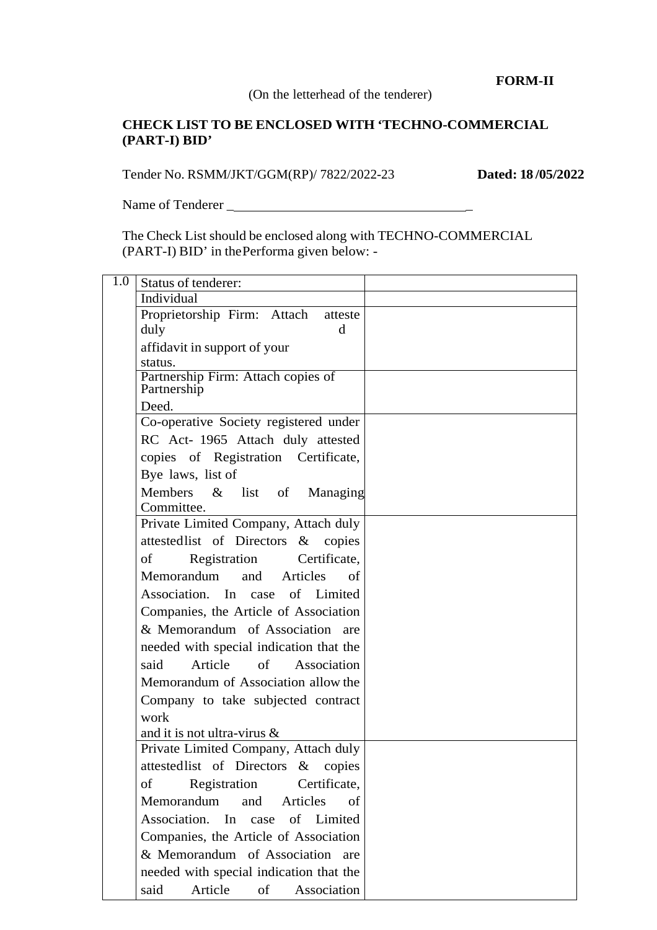**FORM-II**

# **CHECK LIST TO BE ENCLOSED WITH 'TECHNO-COMMERCIAL (PART-I) BID'**

Tender No. RSMM/JKT/GGM(RP)/ 7822/2022-23 **Dated: 18 /05/2022**

Name of Tenderer \_ \_

The Check List should be enclosed along with TECHNO-COMMERCIAL (PART-I) BID' in the Performa given below: -

| 1.0 | Status of tenderer:                               |  |
|-----|---------------------------------------------------|--|
|     | Individual                                        |  |
|     | Proprietorship Firm: Attach<br>atteste            |  |
|     | duly<br>d                                         |  |
|     | affidavit in support of your                      |  |
|     | status.                                           |  |
|     | Partnership Firm: Attach copies of<br>Partnership |  |
|     | Deed.                                             |  |
|     | Co-operative Society registered under             |  |
|     | RC Act- 1965 Attach duly attested                 |  |
|     | copies of Registration Certificate,               |  |
|     | Bye laws, list of                                 |  |
|     | Members & list of Managing                        |  |
|     | Committee.                                        |  |
|     | Private Limited Company, Attach duly              |  |
|     | attested list of Directors & copies               |  |
|     | Registration Certificate,<br>of                   |  |
|     | Memorandum<br>and Articles<br>οf                  |  |
|     | Association. In case of Limited                   |  |
|     | Companies, the Article of Association             |  |
|     | & Memorandum of Association are                   |  |
|     | needed with special indication that the           |  |
|     | Article<br>said<br>of Association                 |  |
|     | Memorandum of Association allow the               |  |
|     | Company to take subjected contract                |  |
|     | work                                              |  |
|     | and it is not ultra-virus $\&$                    |  |
|     | Private Limited Company, Attach duly              |  |
|     | attestedlist of Directors &<br>copies             |  |
|     | Registration<br>Certificate,<br>of                |  |
|     | Memorandum<br>and<br>Articles<br>οf               |  |
|     | Association. In case<br>of Limited                |  |
|     | Companies, the Article of Association             |  |
|     | & Memorandum of Association<br>are                |  |
|     | needed with special indication that the           |  |
|     | Article<br>of<br>said<br>Association              |  |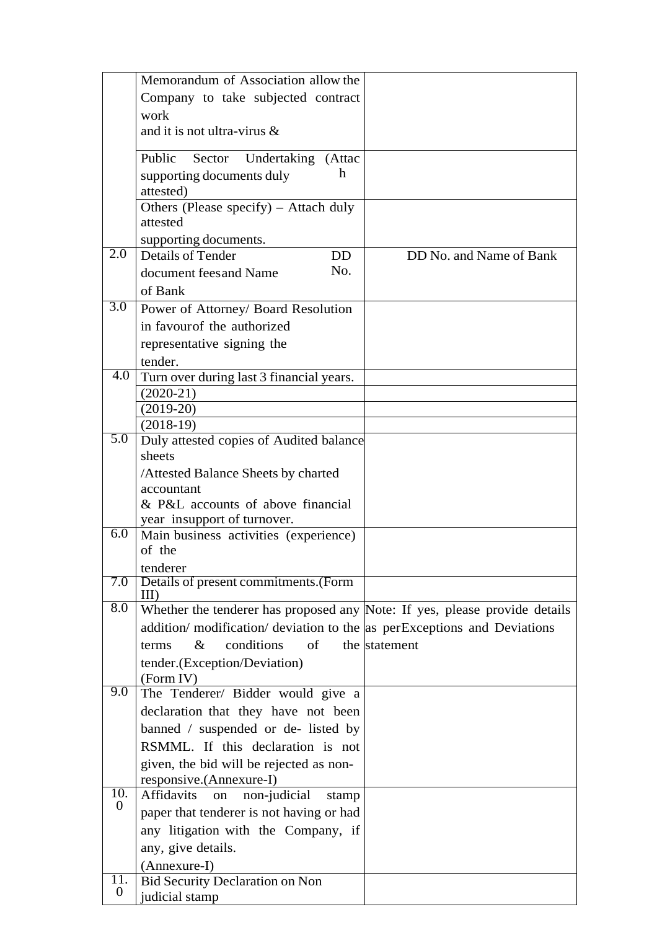|                 | Memorandum of Association allow the                                                      |                         |
|-----------------|------------------------------------------------------------------------------------------|-------------------------|
|                 | Company to take subjected contract                                                       |                         |
|                 | work                                                                                     |                         |
|                 | and it is not ultra-virus &                                                              |                         |
|                 |                                                                                          |                         |
|                 | Public Sector Undertaking (Attac                                                         |                         |
|                 | h<br>supporting documents duly                                                           |                         |
|                 | attested)                                                                                |                         |
|                 | Others (Please specify) - Attach duly                                                    |                         |
|                 | attested                                                                                 |                         |
|                 | supporting documents.                                                                    |                         |
| 2.0             | <b>Details of Tender</b><br><b>DD</b>                                                    | DD No. and Name of Bank |
|                 | No.<br>document feesand Name                                                             |                         |
|                 | of Bank                                                                                  |                         |
| 3.0             | Power of Attorney/ Board Resolution                                                      |                         |
|                 | in favour of the authorized                                                              |                         |
|                 | representative signing the                                                               |                         |
|                 | tender.                                                                                  |                         |
| 4.0             | Turn over during last 3 financial years.                                                 |                         |
|                 | $(2020-21)$                                                                              |                         |
|                 | $(2019-20)$                                                                              |                         |
|                 | $(2018-19)$                                                                              |                         |
| 5.0             | Duly attested copies of Audited balance                                                  |                         |
|                 | sheets                                                                                   |                         |
|                 | Attested Balance Sheets by charted                                                       |                         |
|                 | accountant                                                                               |                         |
|                 | & P&L accounts of above financial                                                        |                         |
|                 | year insupport of turnover.                                                              |                         |
| 6.0             | Main business activities (experience)                                                    |                         |
|                 | of the                                                                                   |                         |
|                 | tenderer                                                                                 |                         |
| 7.0             | Details of present commitments.(Form                                                     |                         |
| 8.0             | $\rm{III}$<br>Whether the tenderer has proposed any Note: If yes, please provide details |                         |
|                 |                                                                                          |                         |
|                 | addition/ modification/ deviation to the as perExceptions and Deviations                 |                         |
|                 | conditions<br>of<br>$\&$<br>terms                                                        | the statement           |
|                 | tender.(Exception/Deviation)                                                             |                         |
| 9.0             | (Form IV)                                                                                |                         |
|                 | The Tenderer/ Bidder would give a                                                        |                         |
|                 | declaration that they have not been                                                      |                         |
|                 | banned / suspended or de- listed by                                                      |                         |
|                 | RSMML. If this declaration is not                                                        |                         |
|                 | given, the bid will be rejected as non-                                                  |                         |
|                 | responsive.(Annexure-I)                                                                  |                         |
| 10.<br>$\theta$ | Affidavits<br>non-judicial<br>stamp<br>on                                                |                         |
|                 | paper that tenderer is not having or had                                                 |                         |
|                 | any litigation with the Company, if                                                      |                         |
|                 | any, give details.                                                                       |                         |
|                 | (Annexure-I)                                                                             |                         |
| 11.             | <b>Bid Security Declaration on Non</b>                                                   |                         |
| $\theta$        | judicial stamp                                                                           |                         |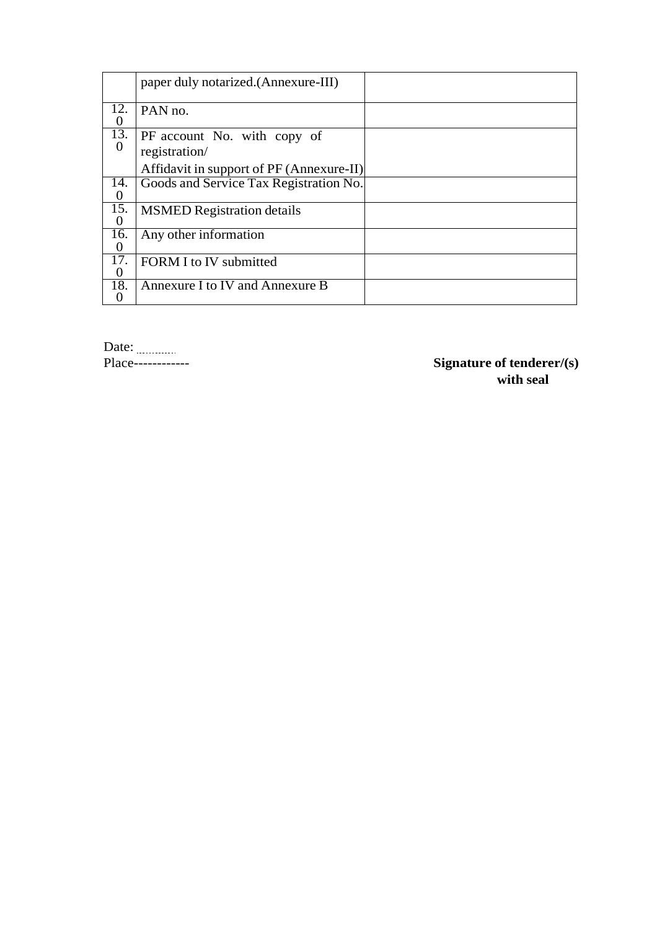|                      | paper duly notarized. (Annexure-III)                                                     |  |
|----------------------|------------------------------------------------------------------------------------------|--|
| 12.<br>$\Omega$      | PAN no.                                                                                  |  |
| 13.<br>$\Omega$      | PF account No. with copy of<br>registration/<br>Affidavit in support of PF (Annexure-II) |  |
| 14.<br>$\left($      | Goods and Service Tax Registration No.                                                   |  |
| 15.<br>$\Omega$      | <b>MSMED</b> Registration details                                                        |  |
| 16.<br>$\Omega$      | Any other information                                                                    |  |
| 17.<br>$\mathcal{L}$ | FORM I to IV submitted                                                                   |  |
| 18.<br>$\theta$      | Annexure I to IV and Annexure B                                                          |  |

Date:<br>Place------------

**Signature of tenderer/(s) with seal**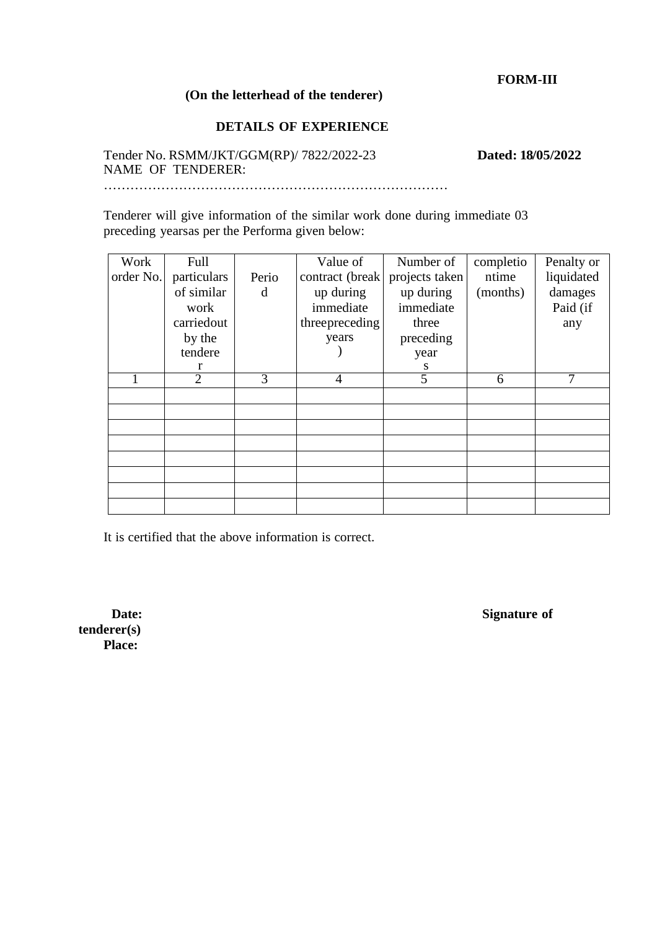# **FORM-III**

# **(On the letterhead of the tenderer)**

……………………………………………………………………

# **DETAILS OF EXPERIENCE**

Tender No. RSMM/JKT/GGM(RP)/ 7822/2022-23 **Dated: 18/05/2022** NAME OF TENDERER:

Tenderer will give information of the similar work done during immediate 03 preceding years as per the Performa given below:

| Work      | Full           |       | Value of        | Number of      | completio | Penalty or |
|-----------|----------------|-------|-----------------|----------------|-----------|------------|
| order No. | particulars    | Perio | contract (break | projects taken | ntime     | liquidated |
|           | of similar     | d     | up during       | up during      | (months)  | damages    |
|           | work           |       | immediate       | immediate      |           | Paid (if   |
|           | carriedout     |       | threepreceding  | three          |           | any        |
|           | by the         |       | years           | preceding      |           |            |
|           | tendere        |       |                 | year           |           |            |
|           |                |       |                 | S              |           |            |
|           | $\overline{2}$ | 3     | 4               | 5              | 6         | 7          |
|           |                |       |                 |                |           |            |
|           |                |       |                 |                |           |            |
|           |                |       |                 |                |           |            |
|           |                |       |                 |                |           |            |
|           |                |       |                 |                |           |            |
|           |                |       |                 |                |           |            |
|           |                |       |                 |                |           |            |
|           |                |       |                 |                |           |            |

It is certified that the above information is correct.

**tenderer(s) Place:**

**Date:** Signature of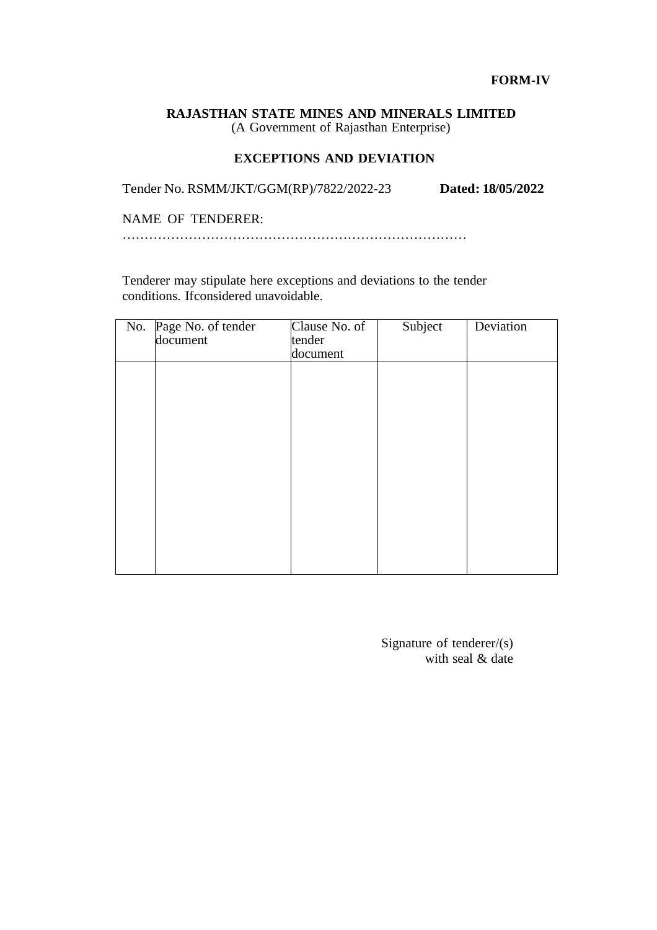### **FORM-IV**

#### **RAJASTHAN STATE MINES AND MINERALS LIMITED** (A Government of Rajasthan Enterprise)

# **EXCEPTIONS AND DEVIATION**

Tender No. RSMM/JKT/GGM(RP)/7822/2022-23 **Dated: 18/05/2022**

NAME OF TENDERER:

……………………………………………………………………

Tenderer may stipulate here exceptions and deviations to the tender conditions. If considered unavoidable.

| $\overline{\text{No}}$ . | Page No. of tender<br>document | Clause No. of<br>tender<br>document | Subject | Deviation |
|--------------------------|--------------------------------|-------------------------------------|---------|-----------|
|                          |                                |                                     |         |           |
|                          |                                |                                     |         |           |
|                          |                                |                                     |         |           |
|                          |                                |                                     |         |           |
|                          |                                |                                     |         |           |
|                          |                                |                                     |         |           |

Signature of tenderer/(s) with seal & date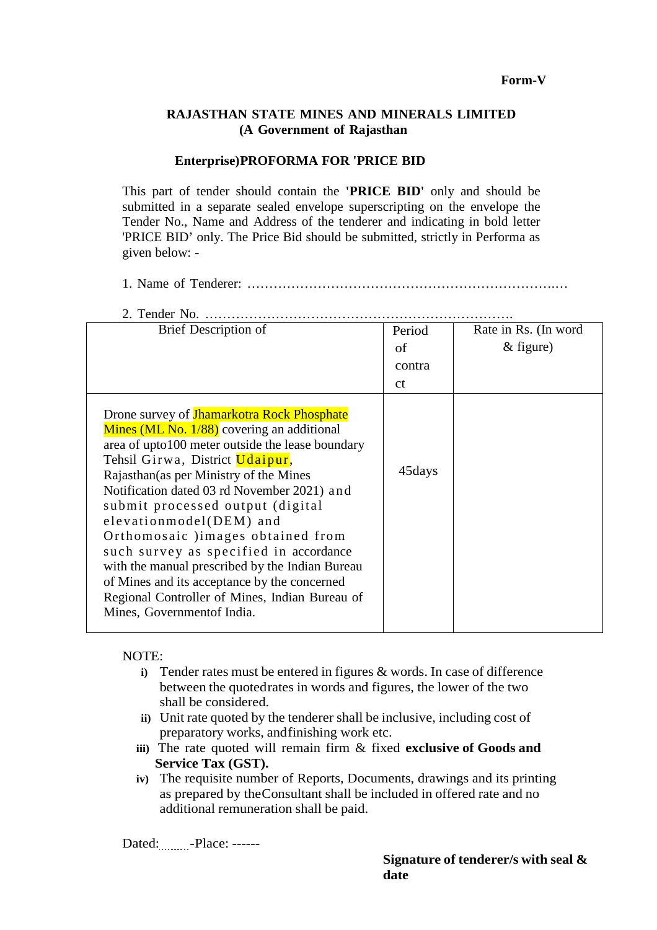# **RAJASTHAN STATE MINES AND MINERALS LIMITED (A Government of Rajasthan**

# **Enterprise) PROFORMA FOR 'PRICE BID**

This part of tender should contain the **'PRICE BID'** only and should be submitted in a separate sealed envelope superscripting on the envelope the Tender No., Name and Address of the tenderer and indicating in bold letter 'PRICE BID' only. The Price Bid should be submitted, strictly in Performa as given below: -

- 1. Name of Tenderer: …………………………………………………………….…
- 

| 2. Tender No.                                                                                                                                                                                                                                                                                                                                                                                                                                                                                                                                                                                                       |               |                      |
|---------------------------------------------------------------------------------------------------------------------------------------------------------------------------------------------------------------------------------------------------------------------------------------------------------------------------------------------------------------------------------------------------------------------------------------------------------------------------------------------------------------------------------------------------------------------------------------------------------------------|---------------|----------------------|
| Brief Description of                                                                                                                                                                                                                                                                                                                                                                                                                                                                                                                                                                                                | Period        | Rate in Rs. (In word |
|                                                                                                                                                                                                                                                                                                                                                                                                                                                                                                                                                                                                                     | of            | $&$ figure)          |
|                                                                                                                                                                                                                                                                                                                                                                                                                                                                                                                                                                                                                     | contra        |                      |
|                                                                                                                                                                                                                                                                                                                                                                                                                                                                                                                                                                                                                     | <sub>ct</sub> |                      |
| Drone survey of <b>Jhamarkotra Rock Phosphate</b><br>Mines (ML No. 1/88) covering an additional<br>area of upto100 meter outside the lease boundary<br>Tehsil Girwa, District Udaipur,<br>Rajasthan (as per Ministry of the Mines<br>Notification dated 03 rd November 2021) and<br>submit processed output (digital<br>elevationmodel(DEM) and<br>Orthomosaic ) images obtained from<br>such survey as specified in accordance<br>with the manual prescribed by the Indian Bureau<br>of Mines and its acceptance by the concerned<br>Regional Controller of Mines, Indian Bureau of<br>Mines, Government of India. | 45 days       |                      |

NOTE:

- **i)** Tender rates must be entered in figures & words. In case of difference between the quoted rates in words and figures, the lower of the two shall be considered.
- **ii)** Unit rate quoted by the tenderer shall be inclusive, including cost of preparatory works, and finishing work etc.
- **iii)** The rate quoted will remain firm & fixed **exclusive of Goods and Service Tax (GST).**
- **iv)** The requisite number of Reports, Documents, drawings and its printing as prepared by the Consultant shall be included in offered rate and no additional remuneration shall be paid.

Dated: -Place: ------

**Signature of tenderer/s with seal & date**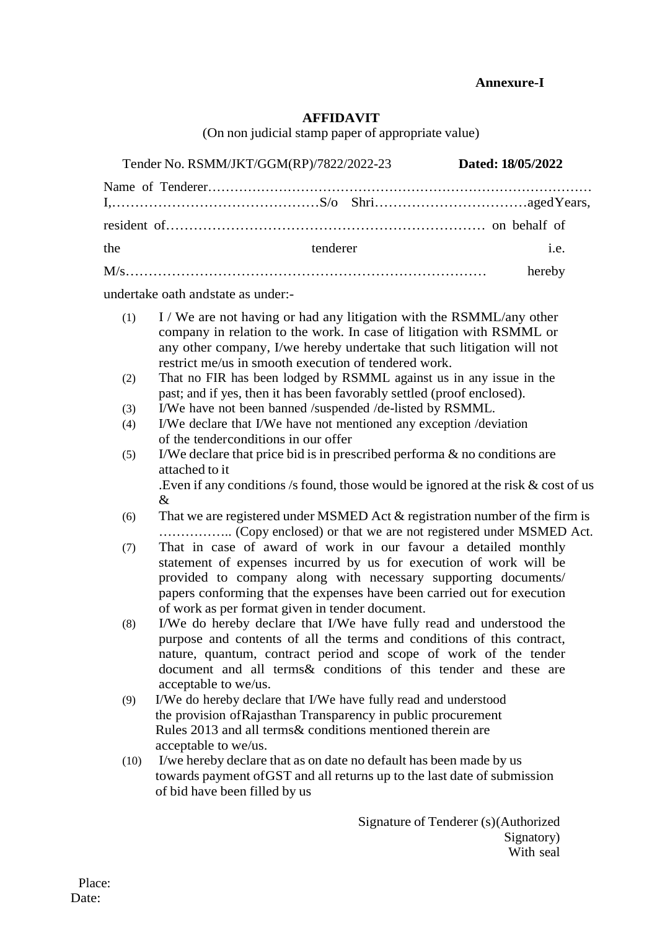# **Annexure-I**

#### **AFFIDAVIT**

(On non judicial stamp paper of appropriate value)

|     | Tender No. RSMM/JKT/GGM(RP)/7822/2022-23 | Dated: 18/05/2022 |
|-----|------------------------------------------|-------------------|
|     |                                          |                   |
|     |                                          |                   |
| the | tenderer                                 | i.e.              |
|     |                                          | hereby            |

undertake oath and state as under:-

- (1) I / We are not having or had any litigation with the RSMML/any other company in relation to the work. In case of litigation with RSMML or any other company, I/we hereby undertake that such litigation will not restrict me/us in smooth execution of tendered work.
- (2) That no FIR has been lodged by RSMML against us in any issue in the past; and if yes, then it has been favorably settled (proof enclosed).
- (3) I/We have not been banned /suspended /de-listed by RSMML.
- (4) I/We declare that I/We have not mentioned any exception /deviation of the tender conditions in our offer
- (5) I/We declare that price bid is in prescribed performa  $\&$  no conditions are attached to it . Even if any conditions /s found, those would be ignored at the risk  $\&$  cost of us
- & (6) That we are registered under MSMED Act & registration number of the firm is …………….. (Copy enclosed) or that we are not registered under MSMED Act.
- (7) That in case of award of work in our favour a detailed monthly statement of expenses incurred by us for execution of work will be provided to company along with necessary supporting documents/ papers conforming that the expenses have been carried out for execution of work as per format given in tender document.
- (8) I/We do hereby declare that I/We have fully read and understood the purpose and contents of all the terms and conditions of this contract, nature, quantum, contract period and scope of work of the tender document and all terms& conditions of this tender and these are acceptable to we/us.
- (9) I/We do hereby declare that I/We have fully read and understood the provision of Rajasthan Transparency in public procurement Rules 2013 and all terms& conditions mentioned therein are acceptable to we/us.
- (10) I/we hereby declare that as on date no default has been made by us towards payment of GST and all returns up to the last date of submission of bid have been filled by us

Signature of Tenderer (s) (Authorized Signatory) With seal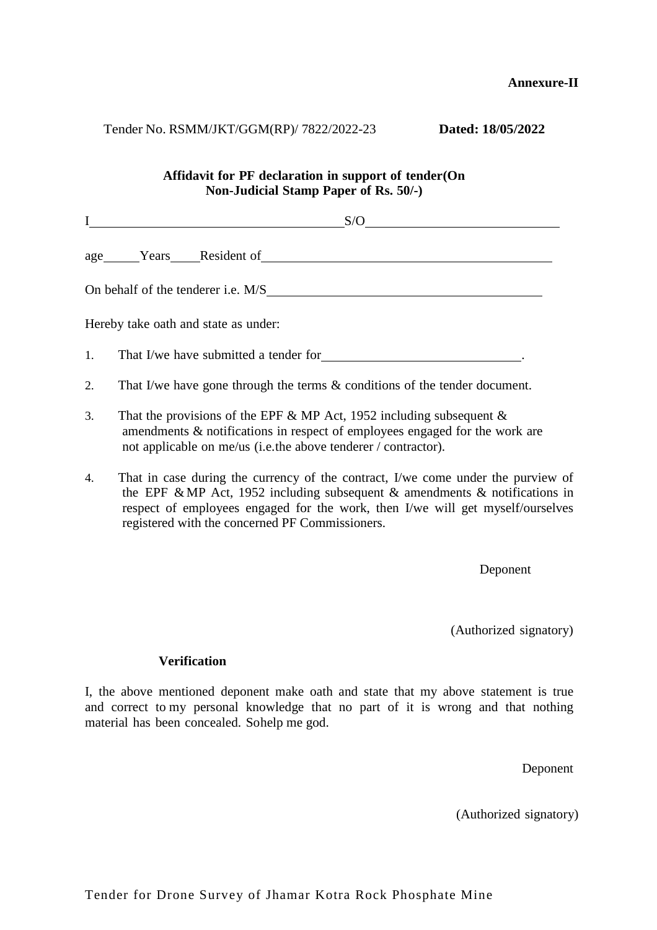#### Tender No. RSMM/JKT/GGM(RP)/ 7822/2022-23 **Dated: 18/05/2022**

# **Affidavit for PF declaration in support of tender (On Non-Judicial Stamp Paper of Rs. 50/-)**

I S/O age Years Resident of On behalf of the tenderer i.e. M/S

Hereby take oath and state as under:

1. That I/we have submitted a tender for .

- 2. That I/we have gone through the terms & conditions of the tender document.
- 3. That the provisions of the EPF  $&$  MP Act, 1952 including subsequent  $&$ amendments & notifications in respect of employees engaged for the work are not applicable on me/us (i.e. the above tenderer / contractor).
- 4. That in case during the currency of the contract, I/we come under the purview of the EPF & MP Act, 1952 including subsequent & amendments & notifications in respect of employees engaged for the work, then I/we will get myself/ourselves registered with the concerned PF Commissioners.

Deponent

(Authorized signatory)

#### **Verification**

I, the above mentioned deponent make oath and state that my above statement is true and correct to my personal knowledge that no part of it is wrong and that nothing material has been concealed. So help me god.

Deponent

(Authorized signatory)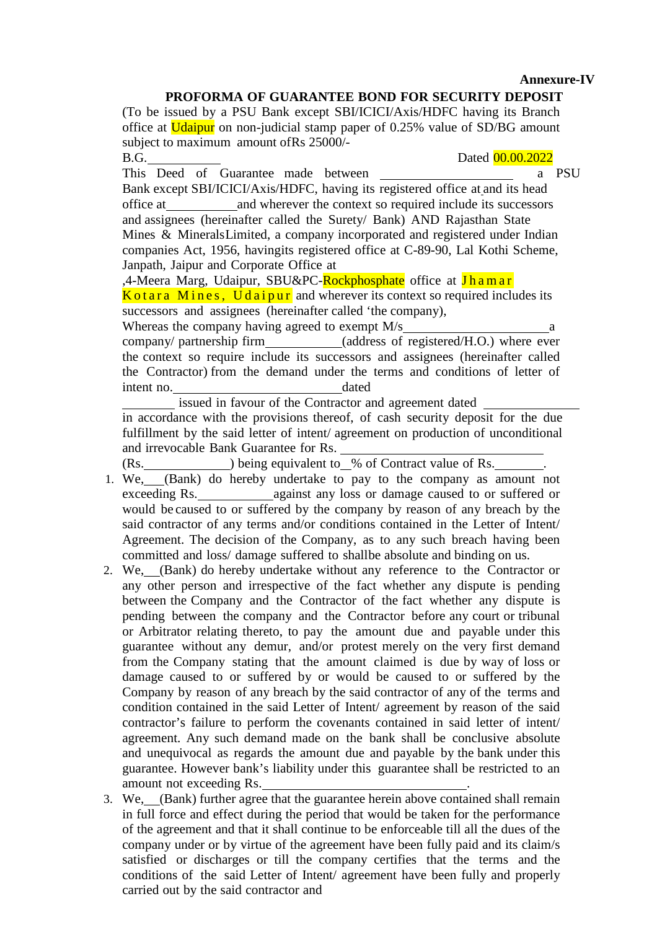#### **Annexure-IV**

#### **PROFORMA OF GUARANTEE BOND FOR SECURITY DEPOSIT**

(To be issued by a PSU Bank except SBI/ICICI/Axis/HDFC having its Branch office at Udaipur on non-judicial stamp paper of 0.25% value of SD/BG amount subject to maximum amount of Rs 25000/-

B.G. Dated 00.00.2022

This Deed of Guarantee made between a PSU Bank except SBI/ICICI/Axis/HDFC, having its registered office at and its head office at and wherever the context so required include its successors and assignees (hereinafter called the Surety/ Bank) AND Rajasthan State Mines & Minerals Limited, a company incorporated and registered under Indian companies Act, 1956, having its registered office at C-89-90, Lal Kothi Scheme, Janpath, Jaipur and Corporate Office at

,4-Meera Marg, Udaipur, SBU&PC-Rockphosphate office at Jhamar Kotara Mines, Udaipur and wherever its context so required includes its successors and assignees (hereinafter called 'the company),

Whereas the company having agreed to exempt  $M/s$  a company/ partnership firm (address of registered/H.O.) where ever the context so require include its successors and assignees (hereinafter called the Contractor) from the demand under the terms and conditions of letter of intent no. dated

 issued in favour of the Contractor and agreement dated in accordance with the provisions thereof, of cash security deposit for the due fulfillment by the said letter of intent/ agreement on production of unconditional and irrevocable Bank Guarantee for Rs.

(Rs. ) being equivalent to % of Contract value of Rs.

- 1. We, (Bank) do hereby undertake to pay to the company as amount not exceeding Rs. against any loss or damage caused to or suffered or would be caused to or suffered by the company by reason of any breach by the said contractor of any terms and/or conditions contained in the Letter of Intent/ Agreement. The decision of the Company, as to any such breach having been committed and loss/ damage suffered to shall be absolute and binding on us.
- 2. We, (Bank) do hereby undertake without any reference to the Contractor or any other person and irrespective of the fact whether any dispute is pending between the Company and the Contractor of the fact whether any dispute is pending between the company and the Contractor before any court or tribunal or Arbitrator relating thereto, to pay the amount due and payable under this guarantee without any demur, and/or protest merely on the very first demand from the Company stating that the amount claimed is due by way of loss or damage caused to or suffered by or would be caused to or suffered by the Company by reason of any breach by the said contractor of any of the terms and condition contained in the said Letter of Intent/ agreement by reason of the said contractor's failure to perform the covenants contained in said letter of intent/ agreement. Any such demand made on the bank shall be conclusive absolute and unequivocal as regards the amount due and payable by the bank under this guarantee. However bank's liability under this guarantee shall be restricted to an amount not exceeding Rs. .
- 3. We, (Bank) further agree that the guarantee herein above contained shall remain in full force and effect during the period that would be taken for the performance of the agreement and that it shall continue to be enforceable till all the dues of the company under or by virtue of the agreement have been fully paid and its claim/s satisfied or discharges or till the company certifies that the terms and the conditions of the said Letter of Intent/ agreement have been fully and properly carried out by the said contractor and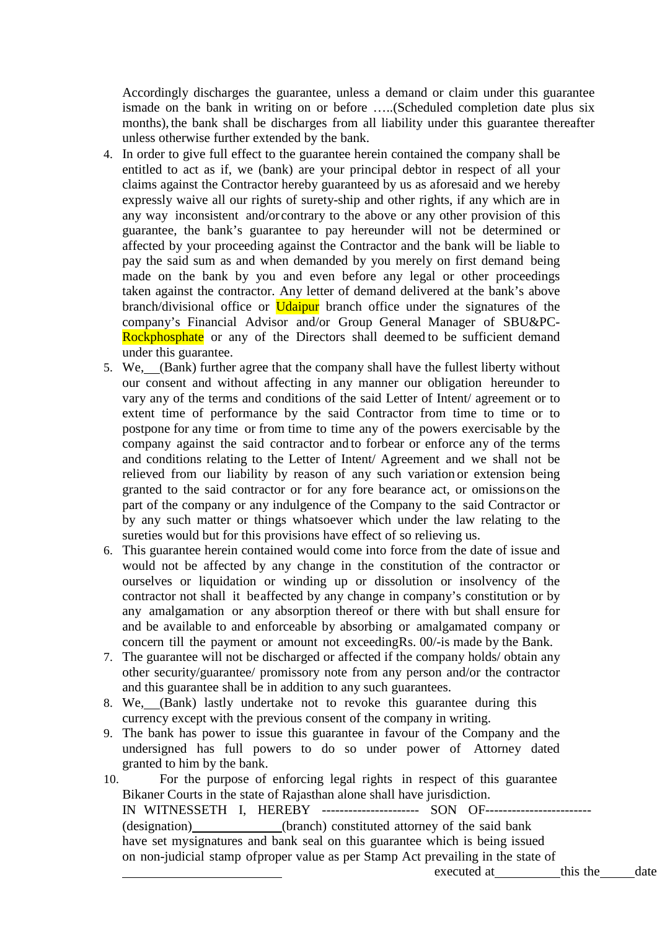Accordingly discharges the guarantee, unless a demand or claim under this guarantee ismade on the bank in writing on or before …..(Scheduled completion date plus six months), the bank shall be discharges from all liability under this guarantee thereafter unless otherwise further extended by the bank.

- 4. In order to give full effect to the guarantee herein contained the company shall be entitled to act as if, we (bank) are your principal debtor in respect of all your claims against the Contractor hereby guaranteed by us as aforesaid and we hereby expressly waive all our rights of surety-ship and other rights, if any which are in any way inconsistent and/or contrary to the above or any other provision of this guarantee, the bank's guarantee to pay hereunder will not be determined or affected by your proceeding against the Contractor and the bank will be liable to pay the said sum as and when demanded by you merely on first demand being made on the bank by you and even before any legal or other proceedings taken against the contractor. Any letter of demand delivered at the bank's above branch/divisional office or Udaipur branch office under the signatures of the company's Financial Advisor and/or Group General Manager of SBU&PC-Rockphosphate or any of the Directors shall deemed to be sufficient demand under this guarantee.
- 5. We, (Bank) further agree that the company shall have the fullest liberty without our consent and without affecting in any manner our obligation hereunder to vary any of the terms and conditions of the said Letter of Intent/ agreement or to extent time of performance by the said Contractor from time to time or to postpone for any time or from time to time any of the powers exercisable by the company against the said contractor and to forbear or enforce any of the terms and conditions relating to the Letter of Intent/ Agreement and we shall not be relieved from our liability by reason of any such variation or extension being granted to the said contractor or for any fore bearance act, or omissions on the part of the company or any indulgence of the Company to the said Contractor or by any such matter or things whatsoever which under the law relating to the sureties would but for this provisions have effect of so relieving us.
- 6. This guarantee herein contained would come into force from the date of issue and would not be affected by any change in the constitution of the contractor or ourselves or liquidation or winding up or dissolution or insolvency of the contractor not shall it be affected by any change in company's constitution or by any amalgamation or any absorption thereof or there with but shall ensure for and be available to and enforceable by absorbing or amalgamated company or concern till the payment or amount not exceeding Rs. 00/-is made by the Bank.
- 7. The guarantee will not be discharged or affected if the company holds/ obtain any other security/guarantee/ promissory note from any person and/or the contractor and this guarantee shall be in addition to any such guarantees.
- 8. We, (Bank) lastly undertake not to revoke this guarantee during this currency except with the previous consent of the company in writing.
- 9. The bank has power to issue this guarantee in favour of the Company and the undersigned has full powers to do so under power of Attorney dated granted to him by the bank.
- 10. For the purpose of enforcing legal rights in respect of this guarantee Bikaner Courts in the state of Rajasthan alone shall have jurisdiction. IN WITNESSETH I, HEREBY -------------------------- SON OF----(designation) (branch) constituted attorney of the said bank have set my signatures and bank seal on this guarantee which is being issued on non-judicial stamp of proper value as per Stamp Act prevailing in the state of

executed at this the date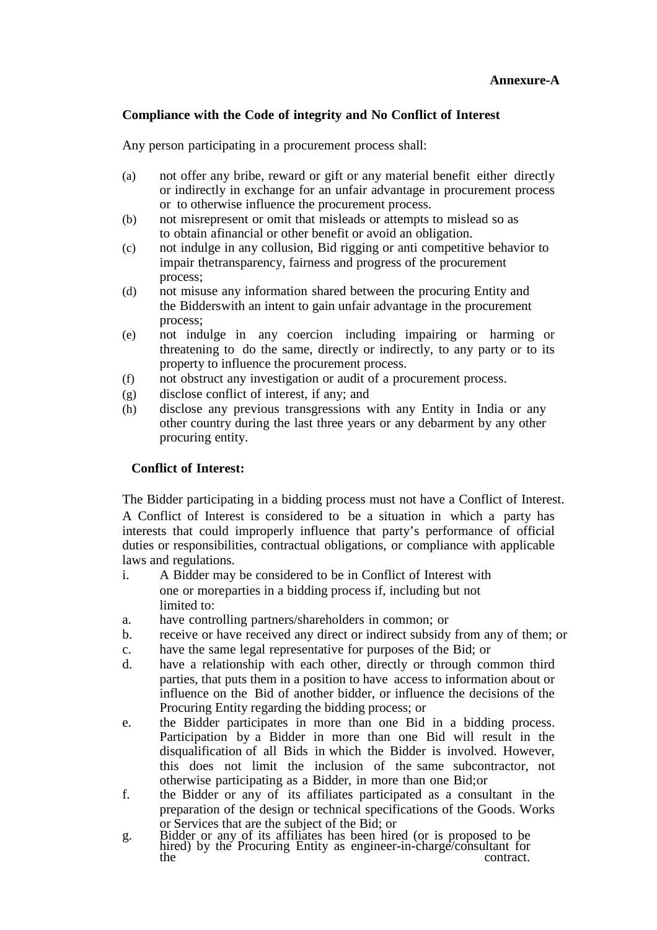# **Compliance with the Code of integrity and No Conflict of Interest**

Any person participating in a procurement process shall:

- (a) not offer any bribe, reward or gift or any material benefit either directly or indirectly in exchange for an unfair advantage in procurement process or to otherwise influence the procurement process.
- (b) not misrepresent or omit that misleads or attempts to mislead so as to obtain a financial or other benefit or avoid an obligation.
- (c) not indulge in any collusion, Bid rigging or anti competitive behavior to impair the transparency, fairness and progress of the procurement process;
- (d) not misuse any information shared between the procuring Entity and the Bidders with an intent to gain unfair advantage in the procurement process;
- (e) not indulge in any coercion including impairing or harming or threatening to do the same, directly or indirectly, to any party or to its property to influence the procurement process.
- (f) not obstruct any investigation or audit of a procurement process.
- (g) disclose conflict of interest, if any; and
- (h) disclose any previous transgressions with any Entity in India or any other country during the last three years or any debarment by any other procuring entity.

#### **Conflict of Interest:**

The Bidder participating in a bidding process must not have a Conflict of Interest.

A Conflict of Interest is considered to be a situation in which a party has interests that could improperly influence that party's performance of official duties or responsibilities, contractual obligations, or compliance with applicable laws and regulations.

- i. A Bidder may be considered to be in Conflict of Interest with one or more parties in a bidding process if, including but not limited to:
- a. have controlling partners/shareholders in common; or
- b. receive or have received any direct or indirect subsidy from any of them; or
- c. have the same legal representative for purposes of the Bid; or
- d. have a relationship with each other, directly or through common third parties, that puts them in a position to have access to information about or influence on the Bid of another bidder, or influence the decisions of the Procuring Entity regarding the bidding process; or
- e. the Bidder participates in more than one Bid in a bidding process. Participation by a Bidder in more than one Bid will result in the disqualification of all Bids in which the Bidder is involved. However, this does not limit the inclusion of the same subcontractor, not otherwise participating as a Bidder, in more than one Bid; or
- f. the Bidder or any of its affiliates participated as a consultant in the preparation of the design or technical specifications of the Goods. Works or Services that are the subject of the Bid; or
- g. Bidder or any of its affiliates has been hired (or is proposed to be hired) by the Procuring Entity as engineer-in-charge/consultant for the  $\overline{c}$   $\overline{c}$  contract.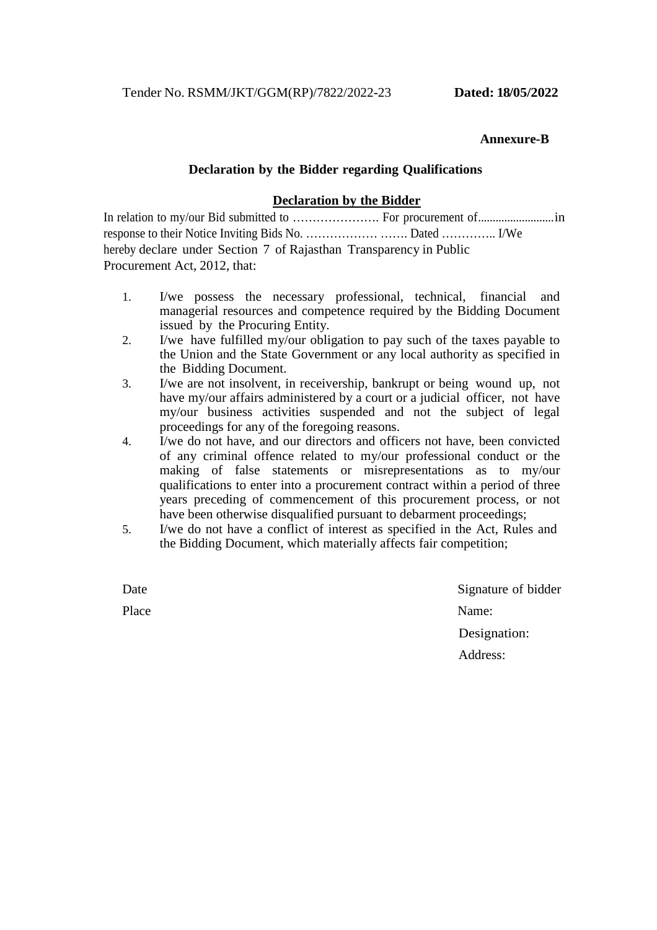#### **Annexure-B**

#### **Declaration by the Bidder regarding Qualifications**

# **Declaration by the Bidder**

In relation to my/our Bid submitted to …………………. For procurement of .......................... in response to their Notice Inviting Bids No. ……………… ……. Dated ………….. I/We hereby declare under Section 7 of Rajasthan Transparency in Public Procurement Act, 2012, that:

- 1. I/we possess the necessary professional, technical, financial and managerial resources and competence required by the Bidding Document issued by the Procuring Entity.
- 2. I/we have fulfilled my/our obligation to pay such of the taxes payable to the Union and the State Government or any local authority as specified in the Bidding Document.
- 3. I/we are not insolvent, in receivership, bankrupt or being wound up, not have my/our affairs administered by a court or a judicial officer, not have my/our business activities suspended and not the subject of legal proceedings for any of the foregoing reasons.
- 4. I/we do not have, and our directors and officers not have, been convicted of any criminal offence related to my/our professional conduct or the making of false statements or misrepresentations as to my/our qualifications to enter into a procurement contract within a period of three years preceding of commencement of this procurement process, or not have been otherwise disqualified pursuant to debarment proceedings;
- 5. I/we do not have a conflict of interest as specified in the Act, Rules and the Bidding Document, which materially affects fair competition;

Place Name:

Date Signature of bidder

Designation:

Address: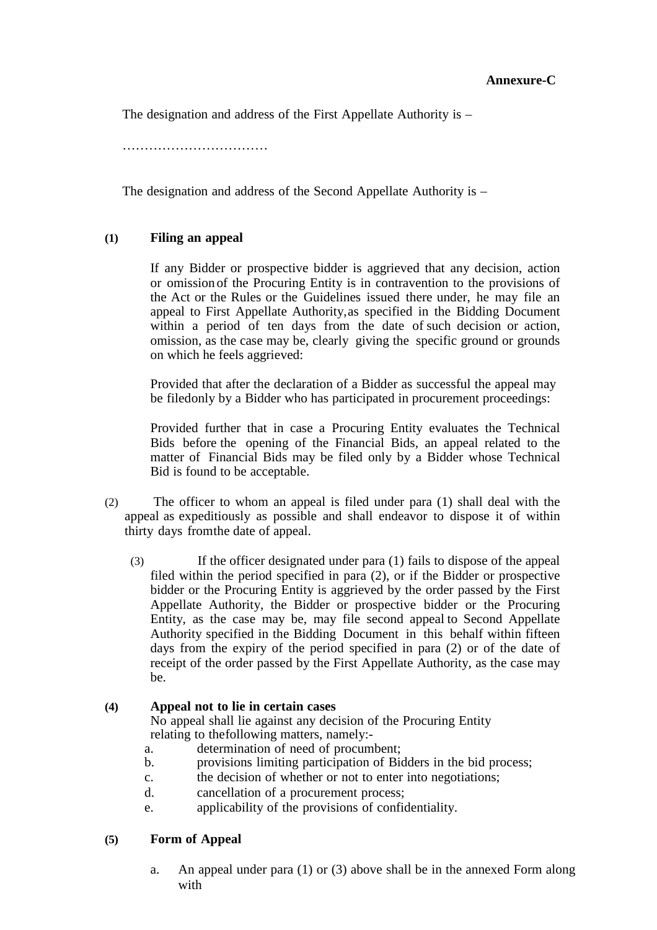The designation and address of the First Appellate Authority is –

……………………………………

The designation and address of the Second Appellate Authority is –

#### **(1) Filing an appeal**

If any Bidder or prospective bidder is aggrieved that any decision, action or omission of the Procuring Entity is in contravention to the provisions of the Act or the Rules or the Guidelines issued there under, he may file an appeal to First Appellate Authority, as specified in the Bidding Document within a period of ten days from the date of such decision or action, omission, as the case may be, clearly giving the specific ground or grounds on which he feels aggrieved:

Provided that after the declaration of a Bidder as successful the appeal may be filed only by a Bidder who has participated in procurement proceedings:

Provided further that in case a Procuring Entity evaluates the Technical Bids before the opening of the Financial Bids, an appeal related to the matter of Financial Bids may be filed only by a Bidder whose Technical Bid is found to be acceptable.

- (2) The officer to whom an appeal is filed under para (1) shall deal with the appeal as expeditiously as possible and shall endeavor to dispose it of within thirty days from the date of appeal.
	- (3) If the officer designated under para (1) fails to dispose of the appeal filed within the period specified in para (2), or if the Bidder or prospective bidder or the Procuring Entity is aggrieved by the order passed by the First Appellate Authority, the Bidder or prospective bidder or the Procuring Entity, as the case may be, may file second appeal to Second Appellate Authority specified in the Bidding Document in this behalf within fifteen days from the expiry of the period specified in para (2) or of the date of receipt of the order passed by the First Appellate Authority, as the case may be.

#### **(4) Appeal not to lie in certain cases**

No appeal shall lie against any decision of the Procuring Entity relating to the following matters, namely:-

- a. determination of need of procumbent;
- b. provisions limiting participation of Bidders in the bid process;
- c. the decision of whether or not to enter into negotiations;
- d. cancellation of a procurement process;
- e. applicability of the provisions of confidentiality.

#### **(5) Form of Appeal**

a. An appeal under para (1) or (3) above shall be in the annexed Form along with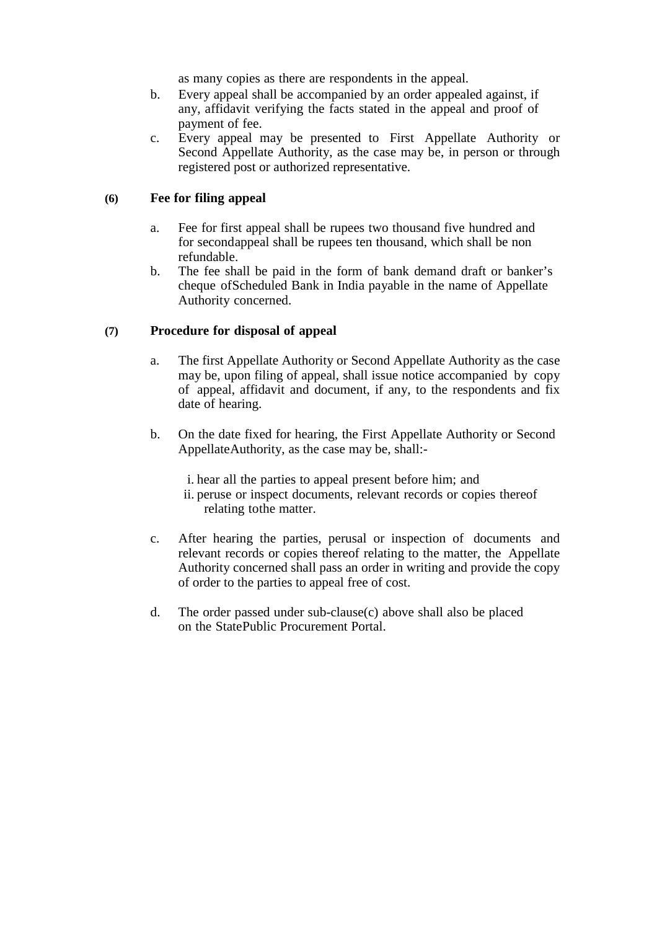as many copies as there are respondents in the appeal.

- b. Every appeal shall be accompanied by an order appealed against, if any, affidavit verifying the facts stated in the appeal and proof of payment of fee.
- c. Every appeal may be presented to First Appellate Authority or Second Appellate Authority, as the case may be, in person or through registered post or authorized representative.

# **(6) Fee for filing appeal**

- a. Fee for first appeal shall be rupees two thousand five hundred and for second appeal shall be rupees ten thousand, which shall be non refundable.
- b. The fee shall be paid in the form of bank demand draft or banker's cheque of Scheduled Bank in India payable in the name of Appellate Authority concerned.

#### **(7) Procedure for disposal of appeal**

- a. The first Appellate Authority or Second Appellate Authority as the case may be, upon filing of appeal, shall issue notice accompanied by copy of appeal, affidavit and document, if any, to the respondents and fix date of hearing.
- b. On the date fixed for hearing, the First Appellate Authority or Second Appellate Authority, as the case may be, shall:-

i. hear all the parties to appeal present before him; and ii. peruse or inspect documents, relevant records or copies thereof relating to the matter.

- c. After hearing the parties, perusal or inspection of documents and relevant records or copies thereof relating to the matter, the Appellate Authority concerned shall pass an order in writing and provide the copy of order to the parties to appeal free of cost.
- d. The order passed under sub-clause(c) above shall also be placed on the State Public Procurement Portal.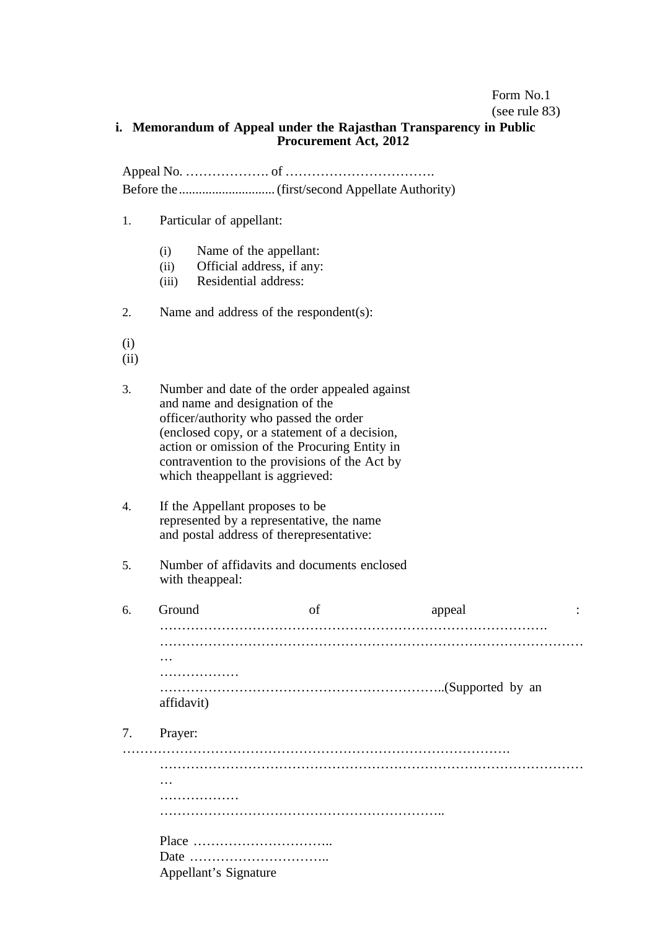# Form No.1

(see rule 83)

#### **i. Memorandum of Appeal under the Rajasthan Transparency in Public Procurement Act, 2012**

Appeal No. ………………. of ……………………………. Before the ............................. (first/second Appellate Authority)

- 1. Particular of appellant:
	- (i) Name of the appellant:
	- (ii) Official address, if any:
	- (iii) Residential address:
- 2. Name and address of the respondent(s):
- (i)
- (ii)
- 3. Number and date of the order appealed against and name and designation of the officer/authority who passed the order (enclosed copy, or a statement of a decision, action or omission of the Procuring Entity in contravention to the provisions of the Act by which the appellant is aggrieved:
- 4. If the Appellant proposes to be represented by a representative, the name and postal address of the representative:
- 5. Number of affidavits and documents enclosed with the appeal:

| 6. | Ground                | of | appeal |  |
|----|-----------------------|----|--------|--|
|    |                       |    |        |  |
|    |                       |    |        |  |
|    | $\cdots$              |    |        |  |
|    | .                     |    |        |  |
|    | affidavit)            |    |        |  |
| 7. | Prayer:               |    |        |  |
|    |                       |    |        |  |
|    |                       |    |        |  |
|    | $\cdots$<br>.         |    |        |  |
|    |                       |    |        |  |
|    |                       |    |        |  |
|    |                       |    |        |  |
|    | Appellant's Signature |    |        |  |